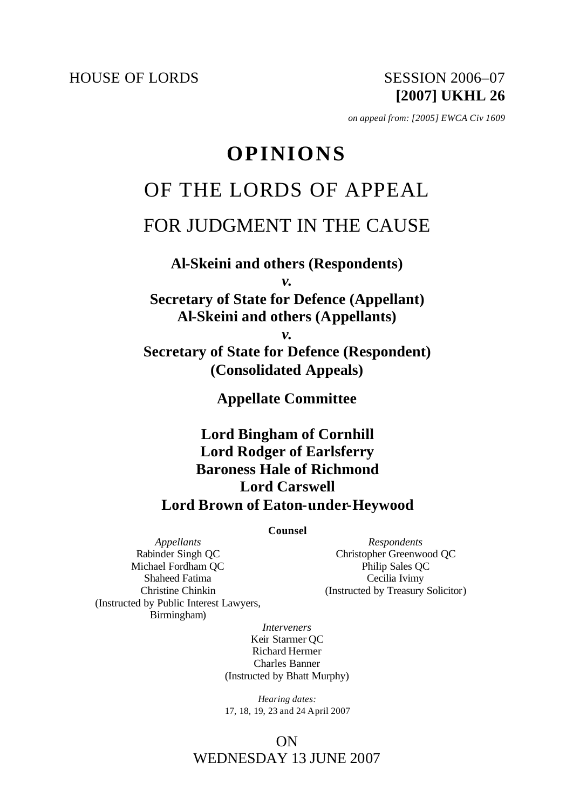HOUSE OF LORDS SESSION 2006–07

**[2007] UKHL 26** 

*on appeal from: [2005] EWCA Civ 1609*

## **OPINIONS**

# OF THE LORDS OF APPEAL

### FOR JUDGMENT IN THE CAUSE

**Al-Skeini and others (Respondents)** *v.* **Secretary of State for Defence (Appellant) Al-Skeini and others (Appellants)**

*v.*

**Secretary of State for Defence (Respondent) (Consolidated Appeals)**

**Appellate Committee**

**Lord Bingham of Cornhill Lord Rodger of Earlsferry Baroness Hale of Richmond Lord Carswell Lord Brown of Eaton-under-Heywood**

#### **Counsel**

*Appellants* Rabinder Singh QC Michael Fordham QC Shaheed Fatima Christine Chinkin (Instructed by Public Interest Lawyers, Birmingham)

*Respondents* Christopher Greenwood QC Philip Sales QC Cecilia Ivimy (Instructed by Treasury Solicitor)

*Interveners* Keir Starmer QC Richard Hermer Charles Banner (Instructed by Bhatt Murphy)

*Hearing dates:* 17, 18, 19, 23 and 24 April 2007

### ON WEDNESDAY 13 JUNE 2007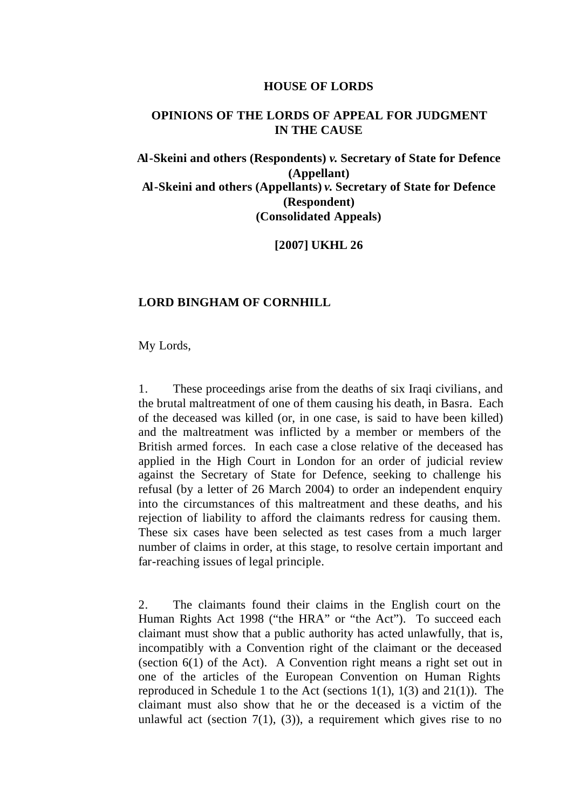#### **HOUSE OF LORDS**

#### **OPINIONS OF THE LORDS OF APPEAL FOR JUDGMENT IN THE CAUSE**

#### **Al-Skeini and others (Respondents)** *v.* **Secretary of State for Defence (Appellant) Al-Skeini and others (Appellants)** *v.* **Secretary of State for Defence (Respondent) (Consolidated Appeals)**

**[2007] UKHL 26**

#### **LORD BINGHAM OF CORNHILL**

My Lords,

1. These proceedings arise from the deaths of six Iraqi civilians, and the brutal maltreatment of one of them causing his death, in Basra. Each of the deceased was killed (or, in one case, is said to have been killed) and the maltreatment was inflicted by a member or members of the British armed forces. In each case a close relative of the deceased has applied in the High Court in London for an order of judicial review against the Secretary of State for Defence, seeking to challenge his refusal (by a letter of 26 March 2004) to order an independent enquiry into the circumstances of this maltreatment and these deaths, and his rejection of liability to afford the claimants redress for causing them. These six cases have been selected as test cases from a much larger number of claims in order, at this stage, to resolve certain important and far-reaching issues of legal principle.

2. The claimants found their claims in the English court on the Human Rights Act 1998 ("the HRA" or "the Act"). To succeed each claimant must show that a public authority has acted unlawfully, that is, incompatibly with a Convention right of the claimant or the deceased (section 6(1) of the Act). A Convention right means a right set out in one of the articles of the European Convention on Human Rights reproduced in Schedule 1 to the Act (sections  $1(1)$ ,  $1(3)$  and  $21(1)$ ). The claimant must also show that he or the deceased is a victim of the unlawful act (section  $7(1)$ ,  $(3)$ ), a requirement which gives rise to no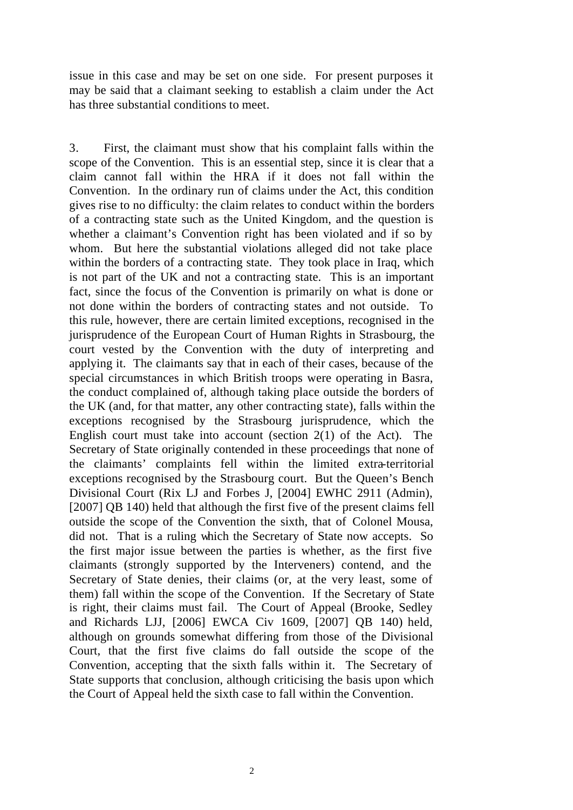issue in this case and may be set on one side. For present purposes it may be said that a claimant seeking to establish a claim under the Act has three substantial conditions to meet.

3. First, the claimant must show that his complaint falls within the scope of the Convention. This is an essential step, since it is clear that a claim cannot fall within the HRA if it does not fall within the Convention. In the ordinary run of claims under the Act, this condition gives rise to no difficulty: the claim relates to conduct within the borders of a contracting state such as the United Kingdom, and the question is whether a claimant's Convention right has been violated and if so by whom. But here the substantial violations alleged did not take place within the borders of a contracting state. They took place in Iraq, which is not part of the UK and not a contracting state. This is an important fact, since the focus of the Convention is primarily on what is done or not done within the borders of contracting states and not outside. To this rule, however, there are certain limited exceptions, recognised in the jurisprudence of the European Court of Human Rights in Strasbourg, the court vested by the Convention with the duty of interpreting and applying it. The claimants say that in each of their cases, because of the special circumstances in which British troops were operating in Basra, the conduct complained of, although taking place outside the borders of the UK (and, for that matter, any other contracting state), falls within the exceptions recognised by the Strasbourg jurisprudence, which the English court must take into account (section  $2(1)$  of the Act). The Secretary of State originally contended in these proceedings that none of the claimants' complaints fell within the limited extra-territorial exceptions recognised by the Strasbourg court. But the Queen's Bench Divisional Court (Rix LJ and Forbes J, [2004] EWHC 2911 (Admin), [2007] QB 140) held that although the first five of the present claims fell outside the scope of the Convention the sixth, that of Colonel Mousa, did not. That is a ruling which the Secretary of State now accepts. So the first major issue between the parties is whether, as the first five claimants (strongly supported by the Interveners) contend, and the Secretary of State denies, their claims (or, at the very least, some of them) fall within the scope of the Convention. If the Secretary of State is right, their claims must fail. The Court of Appeal (Brooke, Sedley and Richards LJJ, [2006] EWCA Civ 1609, [2007] QB 140) held, although on grounds somewhat differing from those of the Divisional Court, that the first five claims do fall outside the scope of the Convention, accepting that the sixth falls within it. The Secretary of State supports that conclusion, although criticising the basis upon which the Court of Appeal held the sixth case to fall within the Convention.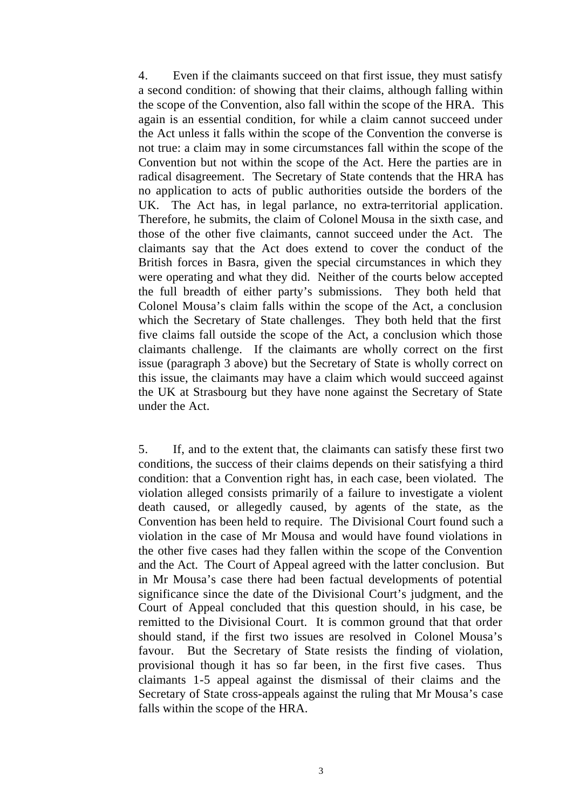4. Even if the claimants succeed on that first issue, they must satisfy a second condition: of showing that their claims, although falling within the scope of the Convention, also fall within the scope of the HRA. This again is an essential condition, for while a claim cannot succeed under the Act unless it falls within the scope of the Convention the converse is not true: a claim may in some circumstances fall within the scope of the Convention but not within the scope of the Act. Here the parties are in radical disagreement. The Secretary of State contends that the HRA has no application to acts of public authorities outside the borders of the UK. The Act has, in legal parlance, no extra-territorial application. Therefore, he submits, the claim of Colonel Mousa in the sixth case, and those of the other five claimants, cannot succeed under the Act. The claimants say that the Act does extend to cover the conduct of the British forces in Basra, given the special circumstances in which they were operating and what they did. Neither of the courts below accepted the full breadth of either party's submissions. They both held that Colonel Mousa's claim falls within the scope of the Act, a conclusion which the Secretary of State challenges. They both held that the first five claims fall outside the scope of the Act, a conclusion which those claimants challenge. If the claimants are wholly correct on the first issue (paragraph 3 above) but the Secretary of State is wholly correct on this issue, the claimants may have a claim which would succeed against the UK at Strasbourg but they have none against the Secretary of State under the Act.

5. If, and to the extent that, the claimants can satisfy these first two conditions, the success of their claims depends on their satisfying a third condition: that a Convention right has, in each case, been violated. The violation alleged consists primarily of a failure to investigate a violent death caused, or allegedly caused, by agents of the state, as the Convention has been held to require. The Divisional Court found such a violation in the case of Mr Mousa and would have found violations in the other five cases had they fallen within the scope of the Convention and the Act. The Court of Appeal agreed with the latter conclusion. But in Mr Mousa's case there had been factual developments of potential significance since the date of the Divisional Court's judgment, and the Court of Appeal concluded that this question should, in his case, be remitted to the Divisional Court. It is common ground that that order should stand, if the first two issues are resolved in Colonel Mousa's favour. But the Secretary of State resists the finding of violation, provisional though it has so far been, in the first five cases. Thus claimants 1-5 appeal against the dismissal of their claims and the Secretary of State cross-appeals against the ruling that Mr Mousa's case falls within the scope of the HRA.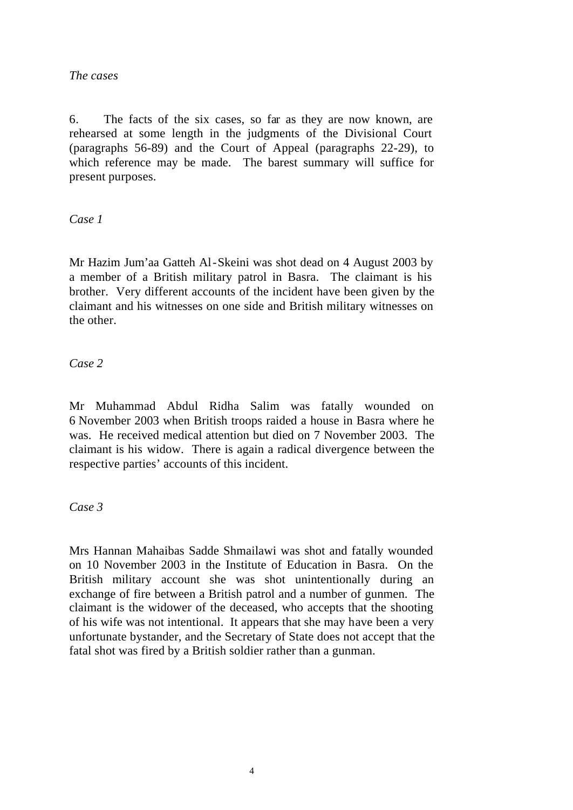#### *The cases*

6. The facts of the six cases, so far as they are now known, are rehearsed at some length in the judgments of the Divisional Court (paragraphs 56-89) and the Court of Appeal (paragraphs 22-29), to which reference may be made. The barest summary will suffice for present purposes.

*Case 1*

Mr Hazim Jum'aa Gatteh Al-Skeini was shot dead on 4 August 2003 by a member of a British military patrol in Basra. The claimant is his brother. Very different accounts of the incident have been given by the claimant and his witnesses on one side and British military witnesses on the other.

*Case 2*

Mr Muhammad Abdul Ridha Salim was fatally wounded on 6 November 2003 when British troops raided a house in Basra where he was. He received medical attention but died on 7 November 2003. The claimant is his widow. There is again a radical divergence between the respective parties' accounts of this incident.

*Case 3*

Mrs Hannan Mahaibas Sadde Shmailawi was shot and fatally wounded on 10 November 2003 in the Institute of Education in Basra. On the British military account she was shot unintentionally during an exchange of fire between a British patrol and a number of gunmen. The claimant is the widower of the deceased, who accepts that the shooting of his wife was not intentional. It appears that she may have been a very unfortunate bystander, and the Secretary of State does not accept that the fatal shot was fired by a British soldier rather than a gunman.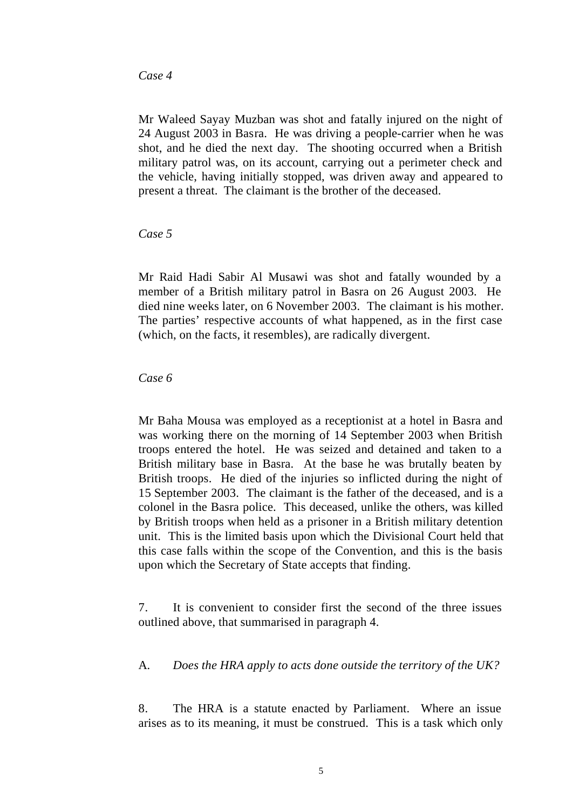#### *Case 4*

Mr Waleed Sayay Muzban was shot and fatally injured on the night of 24 August 2003 in Basra. He was driving a people-carrier when he was shot, and he died the next day. The shooting occurred when a British military patrol was, on its account, carrying out a perimeter check and the vehicle, having initially stopped, was driven away and appeared to present a threat. The claimant is the brother of the deceased.

#### *Case 5*

Mr Raid Hadi Sabir Al Musawi was shot and fatally wounded by a member of a British military patrol in Basra on 26 August 2003. He died nine weeks later, on 6 November 2003. The claimant is his mother. The parties' respective accounts of what happened, as in the first case (which, on the facts, it resembles), are radically divergent.

#### *Case 6*

Mr Baha Mousa was employed as a receptionist at a hotel in Basra and was working there on the morning of 14 September 2003 when British troops entered the hotel. He was seized and detained and taken to a British military base in Basra. At the base he was brutally beaten by British troops. He died of the injuries so inflicted during the night of 15 September 2003. The claimant is the father of the deceased, and is a colonel in the Basra police. This deceased, unlike the others, was killed by British troops when held as a prisoner in a British military detention unit. This is the limited basis upon which the Divisional Court held that this case falls within the scope of the Convention, and this is the basis upon which the Secretary of State accepts that finding.

7. It is convenient to consider first the second of the three issues outlined above, that summarised in paragraph 4.

A. *Does the HRA apply to acts done outside the territory of the UK?*

8. The HRA is a statute enacted by Parliament. Where an issue arises as to its meaning, it must be construed. This is a task which only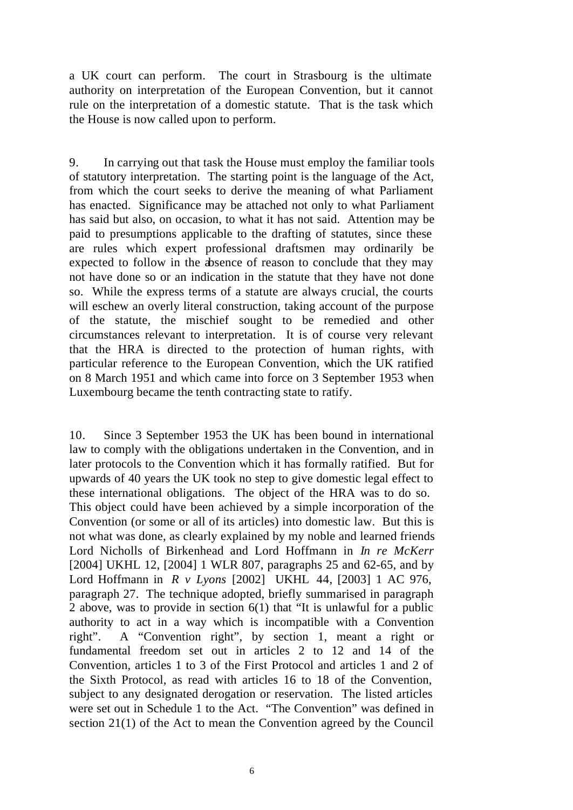a UK court can perform. The court in Strasbourg is the ultimate authority on interpretation of the European Convention, but it cannot rule on the interpretation of a domestic statute. That is the task which the House is now called upon to perform.

9. In carrying out that task the House must employ the familiar tools of statutory interpretation. The starting point is the language of the Act, from which the court seeks to derive the meaning of what Parliament has enacted. Significance may be attached not only to what Parliament has said but also, on occasion, to what it has not said. Attention may be paid to presumptions applicable to the drafting of statutes, since these are rules which expert professional draftsmen may ordinarily be expected to follow in the absence of reason to conclude that they may not have done so or an indication in the statute that they have not done so. While the express terms of a statute are always crucial, the courts will eschew an overly literal construction, taking account of the purpose of the statute, the mischief sought to be remedied and other circumstances relevant to interpretation. It is of course very relevant that the HRA is directed to the protection of human rights, with particular reference to the European Convention, which the UK ratified on 8 March 1951 and which came into force on 3 September 1953 when Luxembourg became the tenth contracting state to ratify.

10. Since 3 September 1953 the UK has been bound in international law to comply with the obligations undertaken in the Convention, and in later protocols to the Convention which it has formally ratified. But for upwards of 40 years the UK took no step to give domestic legal effect to these international obligations. The object of the HRA was to do so. This object could have been achieved by a simple incorporation of the Convention (or some or all of its articles) into domestic law. But this is not what was done, as clearly explained by my noble and learned friends Lord Nicholls of Birkenhead and Lord Hoffmann in *In re McKerr* [2004] UKHL 12, [2004] 1 WLR 807, paragraphs 25 and 62-65, and by Lord Hoffmann in *R v Lyons* [2002] UKHL 44, [2003] 1 AC 976, paragraph 27. The technique adopted, briefly summarised in paragraph 2 above, was to provide in section 6(1) that "It is unlawful for a public authority to act in a way which is incompatible with a Convention right". A "Convention right", by section 1, meant a right or fundamental freedom set out in articles 2 to 12 and 14 of the Convention, articles 1 to 3 of the First Protocol and articles 1 and 2 of the Sixth Protocol, as read with articles 16 to 18 of the Convention, subject to any designated derogation or reservation. The listed articles were set out in Schedule 1 to the Act. "The Convention" was defined in section 21(1) of the Act to mean the Convention agreed by the Council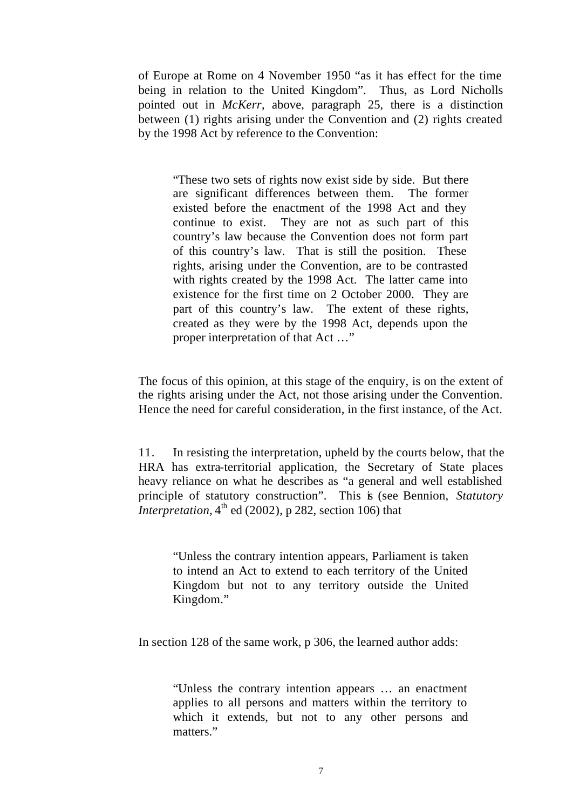of Europe at Rome on 4 November 1950 "as it has effect for the time being in relation to the United Kingdom". Thus, as Lord Nicholls pointed out in *McKerr*, above, paragraph 25, there is a distinction between (1) rights arising under the Convention and (2) rights created by the 1998 Act by reference to the Convention:

"These two sets of rights now exist side by side. But there are significant differences between them. The former existed before the enactment of the 1998 Act and they continue to exist. They are not as such part of this country's law because the Convention does not form part of this country's law. That is still the position. These rights, arising under the Convention, are to be contrasted with rights created by the 1998 Act. The latter came into existence for the first time on 2 October 2000. They are part of this country's law. The extent of these rights, created as they were by the 1998 Act, depends upon the proper interpretation of that Act …"

The focus of this opinion, at this stage of the enquiry, is on the extent of the rights arising under the Act, not those arising under the Convention. Hence the need for careful consideration, in the first instance, of the Act.

11. In resisting the interpretation, upheld by the courts below, that the HRA has extra-territorial application, the Secretary of State places heavy reliance on what he describes as "a general and well established principle of statutory construction". This is (see Bennion, *Statutory Interpretation,*  $4<sup>th</sup>$  ed (2002), p 282, section 106) that

"Unless the contrary intention appears, Parliament is taken to intend an Act to extend to each territory of the United Kingdom but not to any territory outside the United Kingdom."

In section 128 of the same work, p 306, the learned author adds:

"Unless the contrary intention appears … an enactment applies to all persons and matters within the territory to which it extends, but not to any other persons and matters."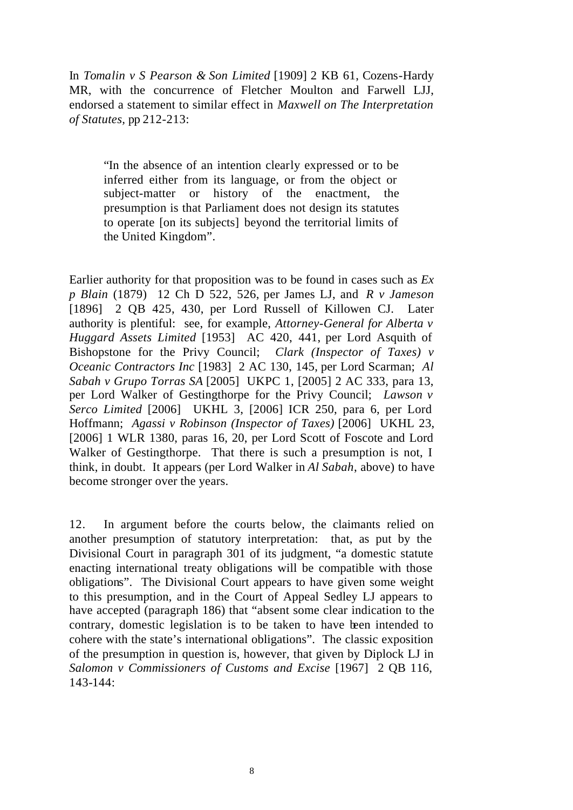In *Tomalin v S Pearson & Son Limited* [1909] 2 KB 61, Cozens-Hardy MR, with the concurrence of Fletcher Moulton and Farwell LJJ, endorsed a statement to similar effect in *Maxwell on The Interpretation of Statutes,* pp 212-213:

"In the absence of an intention clearly expressed or to be inferred either from its language, or from the object or subject-matter or history of the enactment, the presumption is that Parliament does not design its statutes to operate [on its subjects] beyond the territorial limits of the United Kingdom".

Earlier authority for that proposition was to be found in cases such as *Ex p Blain* (1879) 12 Ch D 522, 526, per James LJ, and *R v Jameson* [1896] 2 QB 425, 430, per Lord Russell of Killowen CJ. Later authority is plentiful: see, for example, *Attorney-General for Alberta v Huggard Assets Limited* [1953] AC 420, 441, per Lord Asquith of Bishopstone for the Privy Council; *Clark (Inspector of Taxes) v Oceanic Contractors Inc* [1983] 2 AC 130, 145, per Lord Scarman; *Al Sabah v Grupo Torras SA* [2005] UKPC 1, [2005] 2 AC 333, para 13, per Lord Walker of Gestingthorpe for the Privy Council; *Lawson v Serco Limited* [2006] UKHL 3, [2006] ICR 250, para 6, per Lord Hoffmann; *Agassi v Robinson (Inspector of Taxes)* [2006] UKHL 23, [2006] 1 WLR 1380, paras 16, 20, per Lord Scott of Foscote and Lord Walker of Gestingthorpe. That there is such a presumption is not, I think, in doubt. It appears (per Lord Walker in *Al Sabah*, above) to have become stronger over the years.

12. In argument before the courts below, the claimants relied on another presumption of statutory interpretation: that, as put by the Divisional Court in paragraph 301 of its judgment, "a domestic statute enacting international treaty obligations will be compatible with those obligations". The Divisional Court appears to have given some weight to this presumption, and in the Court of Appeal Sedley LJ appears to have accepted (paragraph 186) that "absent some clear indication to the contrary, domestic legislation is to be taken to have been intended to cohere with the state's international obligations". The classic exposition of the presumption in question is, however, that given by Diplock LJ in *Salomon v Commissioners of Customs and Excise* [1967] 2 QB 116, 143-144: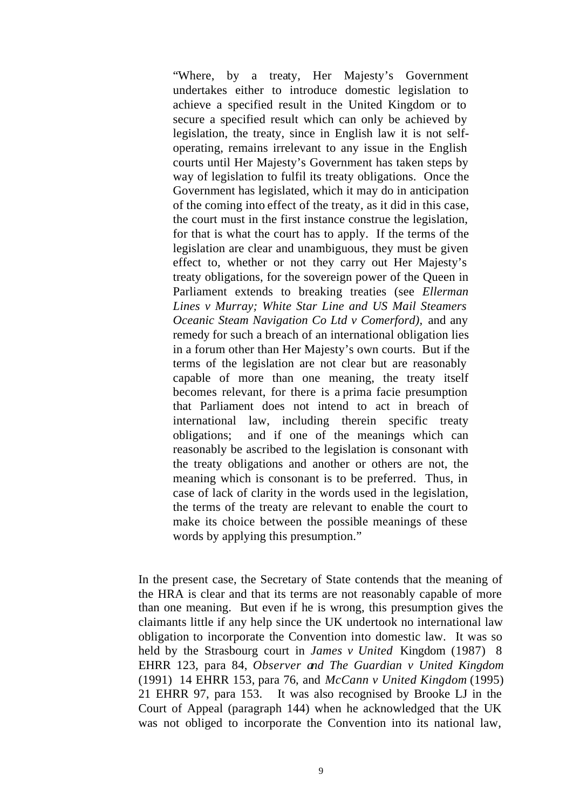"Where, by a treaty, Her Majesty's Government undertakes either to introduce domestic legislation to achieve a specified result in the United Kingdom or to secure a specified result which can only be achieved by legislation, the treaty, since in English law it is not selfoperating, remains irrelevant to any issue in the English courts until Her Majesty's Government has taken steps by way of legislation to fulfil its treaty obligations. Once the Government has legislated, which it may do in anticipation of the coming into effect of the treaty, as it did in this case, the court must in the first instance construe the legislation, for that is what the court has to apply. If the terms of the legislation are clear and unambiguous, they must be given effect to, whether or not they carry out Her Majesty's treaty obligations, for the sovereign power of the Queen in Parliament extends to breaking treaties (see *Ellerman Lines v Murray; White Star Line and US Mail Steamers Oceanic Steam Navigation Co Ltd v Comerford),* and any remedy for such a breach of an international obligation lies in a forum other than Her Majesty's own courts. But if the terms of the legislation are not clear but are reasonably capable of more than one meaning, the treaty itself becomes relevant, for there is a prima facie presumption that Parliament does not intend to act in breach of international law, including therein specific treaty obligations; and if one of the meanings which can reasonably be ascribed to the legislation is consonant with the treaty obligations and another or others are not, the meaning which is consonant is to be preferred. Thus, in case of lack of clarity in the words used in the legislation, the terms of the treaty are relevant to enable the court to make its choice between the possible meanings of these words by applying this presumption."

In the present case, the Secretary of State contends that the meaning of the HRA is clear and that its terms are not reasonably capable of more than one meaning. But even if he is wrong, this presumption gives the claimants little if any help since the UK undertook no international law obligation to incorporate the Convention into domestic law. It was so held by the Strasbourg court in *James v United* Kingdom (1987) 8 EHRR 123, para 84, *Observer and The Guardian v United Kingdom* (1991) 14 EHRR 153, para 76, and *McCann v United Kingdom* (1995) 21 EHRR 97, para 153. It was also recognised by Brooke LJ in the Court of Appeal (paragraph 144) when he acknowledged that the UK was not obliged to incorporate the Convention into its national law,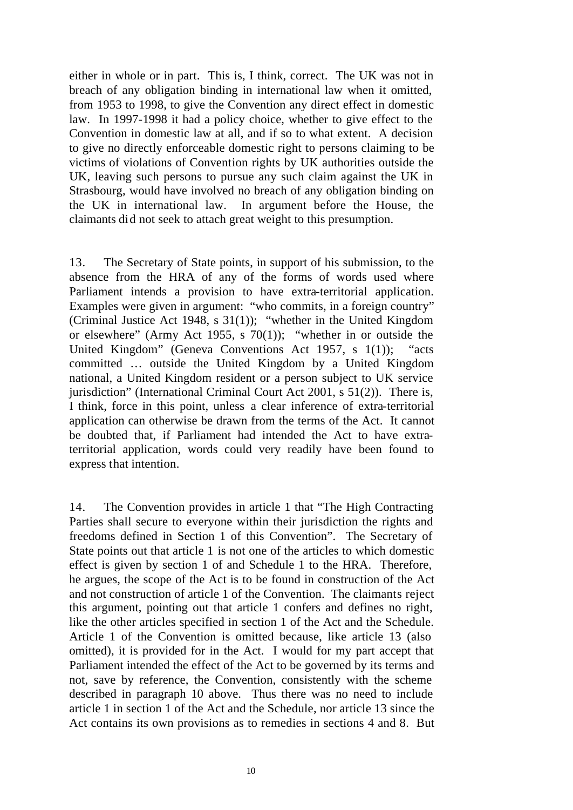either in whole or in part. This is, I think, correct. The UK was not in breach of any obligation binding in international law when it omitted, from 1953 to 1998, to give the Convention any direct effect in domestic law. In 1997-1998 it had a policy choice, whether to give effect to the Convention in domestic law at all, and if so to what extent. A decision to give no directly enforceable domestic right to persons claiming to be victims of violations of Convention rights by UK authorities outside the UK, leaving such persons to pursue any such claim against the UK in Strasbourg, would have involved no breach of any obligation binding on the UK in international law. In argument before the House, the claimants did not seek to attach great weight to this presumption.

13. The Secretary of State points, in support of his submission, to the absence from the HRA of any of the forms of words used where Parliament intends a provision to have extra-territorial application. Examples were given in argument: "who commits, in a foreign country" (Criminal Justice Act 1948, s 31(1)); "whether in the United Kingdom or elsewhere" (Army Act 1955, s 70(1)); "whether in or outside the United Kingdom" (Geneva Conventions Act 1957, s 1(1)); "acts committed … outside the United Kingdom by a United Kingdom national, a United Kingdom resident or a person subject to UK service jurisdiction" (International Criminal Court Act 2001, s 51(2)). There is, I think, force in this point, unless a clear inference of extra-territorial application can otherwise be drawn from the terms of the Act. It cannot be doubted that, if Parliament had intended the Act to have extraterritorial application, words could very readily have been found to express that intention.

14. The Convention provides in article 1 that "The High Contracting Parties shall secure to everyone within their jurisdiction the rights and freedoms defined in Section 1 of this Convention". The Secretary of State points out that article 1 is not one of the articles to which domestic effect is given by section 1 of and Schedule 1 to the HRA. Therefore, he argues, the scope of the Act is to be found in construction of the Act and not construction of article 1 of the Convention. The claimants reject this argument, pointing out that article 1 confers and defines no right, like the other articles specified in section 1 of the Act and the Schedule. Article 1 of the Convention is omitted because, like article 13 (also omitted), it is provided for in the Act. I would for my part accept that Parliament intended the effect of the Act to be governed by its terms and not, save by reference, the Convention, consistently with the scheme described in paragraph 10 above. Thus there was no need to include article 1 in section 1 of the Act and the Schedule, nor article 13 since the Act contains its own provisions as to remedies in sections 4 and 8. But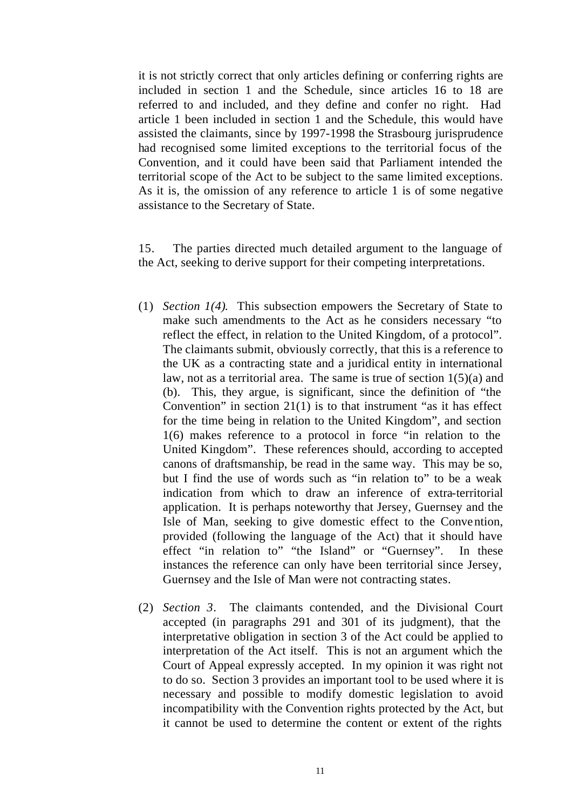it is not strictly correct that only articles defining or conferring rights are included in section 1 and the Schedule, since articles 16 to 18 are referred to and included, and they define and confer no right. Had article 1 been included in section 1 and the Schedule, this would have assisted the claimants, since by 1997-1998 the Strasbourg jurisprudence had recognised some limited exceptions to the territorial focus of the Convention, and it could have been said that Parliament intended the territorial scope of the Act to be subject to the same limited exceptions. As it is, the omission of any reference to article 1 is of some negative assistance to the Secretary of State.

15. The parties directed much detailed argument to the language of the Act, seeking to derive support for their competing interpretations.

- (1) *Section 1(4)*. This subsection empowers the Secretary of State to make such amendments to the Act as he considers necessary "to reflect the effect, in relation to the United Kingdom, of a protocol". The claimants submit, obviously correctly, that this is a reference to the UK as a contracting state and a juridical entity in international law, not as a territorial area. The same is true of section  $1(5)(a)$  and (b). This, they argue, is significant, since the definition of "the Convention" in section 21(1) is to that instrument "as it has effect for the time being in relation to the United Kingdom", and section 1(6) makes reference to a protocol in force "in relation to the United Kingdom". These references should, according to accepted canons of draftsmanship, be read in the same way. This may be so, but I find the use of words such as "in relation to" to be a weak indication from which to draw an inference of extra-territorial application. It is perhaps noteworthy that Jersey, Guernsey and the Isle of Man, seeking to give domestic effect to the Convention, provided (following the language of the Act) that it should have effect "in relation to" "the Island" or "Guernsey". In these instances the reference can only have been territorial since Jersey, Guernsey and the Isle of Man were not contracting states.
- (2) *Section 3*. The claimants contended, and the Divisional Court accepted (in paragraphs 291 and 301 of its judgment), that the interpretative obligation in section 3 of the Act could be applied to interpretation of the Act itself. This is not an argument which the Court of Appeal expressly accepted. In my opinion it was right not to do so. Section 3 provides an important tool to be used where it is necessary and possible to modify domestic legislation to avoid incompatibility with the Convention rights protected by the Act, but it cannot be used to determine the content or extent of the rights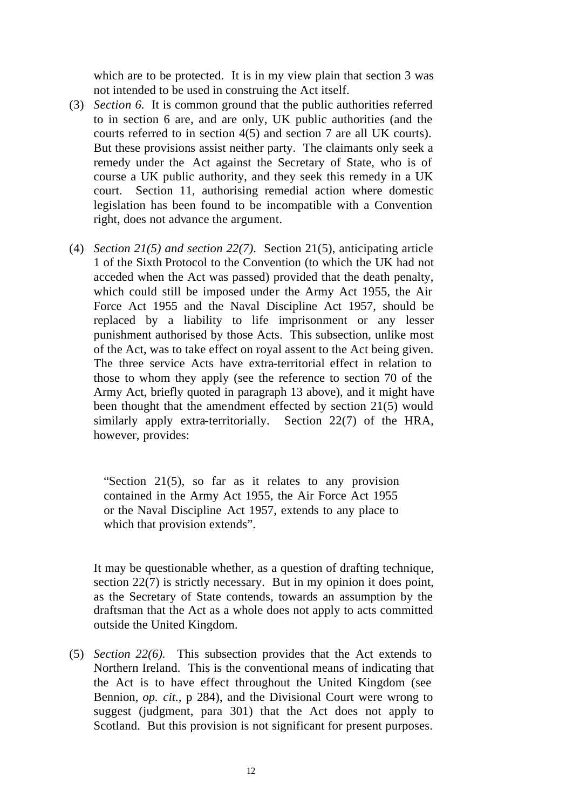which are to be protected. It is in my view plain that section 3 was not intended to be used in construing the Act itself.

- (3) *Section 6.* It is common ground that the public authorities referred to in section 6 are, and are only, UK public authorities (and the courts referred to in section 4(5) and section 7 are all UK courts). But these provisions assist neither party. The claimants only seek a remedy under the Act against the Secretary of State, who is of course a UK public authority, and they seek this remedy in a UK court. Section 11, authorising remedial action where domestic legislation has been found to be incompatible with a Convention right, does not advance the argument.
- (4) *Section 21(5) and section 22(7).* Section 21(5), anticipating article 1 of the Sixth Protocol to the Convention (to which the UK had not acceded when the Act was passed) provided that the death penalty, which could still be imposed under the Army Act 1955, the Air Force Act 1955 and the Naval Discipline Act 1957, should be replaced by a liability to life imprisonment or any lesser punishment authorised by those Acts. This subsection, unlike most of the Act, was to take effect on royal assent to the Act being given. The three service Acts have extra-territorial effect in relation to those to whom they apply (see the reference to section 70 of the Army Act, briefly quoted in paragraph 13 above), and it might have been thought that the amendment effected by section 21(5) would similarly apply extra-territorially. Section 22(7) of the HRA, however, provides:

"Section 21(5), so far as it relates to any provision contained in the Army Act 1955, the Air Force Act 1955 or the Naval Discipline Act 1957, extends to any place to which that provision extends".

It may be questionable whether, as a question of drafting technique, section 22(7) is strictly necessary. But in my opinion it does point, as the Secretary of State contends, towards an assumption by the draftsman that the Act as a whole does not apply to acts committed outside the United Kingdom.

(5) *Section 22(6).* This subsection provides that the Act extends to Northern Ireland. This is the conventional means of indicating that the Act is to have effect throughout the United Kingdom (see Bennion, *op. cit.,* p 284), and the Divisional Court were wrong to suggest (judgment, para 301) that the Act does not apply to Scotland. But this provision is not significant for present purposes.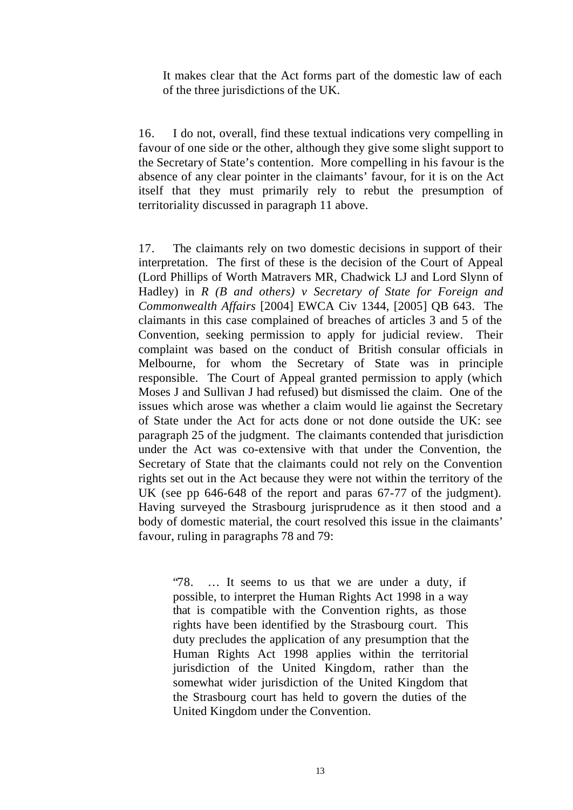It makes clear that the Act forms part of the domestic law of each of the three jurisdictions of the UK.

16. I do not, overall, find these textual indications very compelling in favour of one side or the other, although they give some slight support to the Secretary of State's contention. More compelling in his favour is the absence of any clear pointer in the claimants' favour, for it is on the Act itself that they must primarily rely to rebut the presumption of territoriality discussed in paragraph 11 above.

17. The claimants rely on two domestic decisions in support of their interpretation. The first of these is the decision of the Court of Appeal (Lord Phillips of Worth Matravers MR, Chadwick LJ and Lord Slynn of Hadley) in *R (B and others) v Secretary of State for Foreign and Commonwealth Affairs* [2004] EWCA Civ 1344, [2005] QB 643. The claimants in this case complained of breaches of articles 3 and 5 of the Convention, seeking permission to apply for judicial review. Their complaint was based on the conduct of British consular officials in Melbourne, for whom the Secretary of State was in principle responsible. The Court of Appeal granted permission to apply (which Moses J and Sullivan J had refused) but dismissed the claim. One of the issues which arose was whether a claim would lie against the Secretary of State under the Act for acts done or not done outside the UK: see paragraph 25 of the judgment. The claimants contended that jurisdiction under the Act was co-extensive with that under the Convention, the Secretary of State that the claimants could not rely on the Convention rights set out in the Act because they were not within the territory of the UK (see pp 646-648 of the report and paras 67-77 of the judgment). Having surveyed the Strasbourg jurisprudence as it then stood and a body of domestic material, the court resolved this issue in the claimants' favour, ruling in paragraphs 78 and 79:

"78. … It seems to us that we are under a duty, if possible, to interpret the Human Rights Act 1998 in a way that is compatible with the Convention rights, as those rights have been identified by the Strasbourg court. This duty precludes the application of any presumption that the Human Rights Act 1998 applies within the territorial jurisdiction of the United Kingdom, rather than the somewhat wider jurisdiction of the United Kingdom that the Strasbourg court has held to govern the duties of the United Kingdom under the Convention.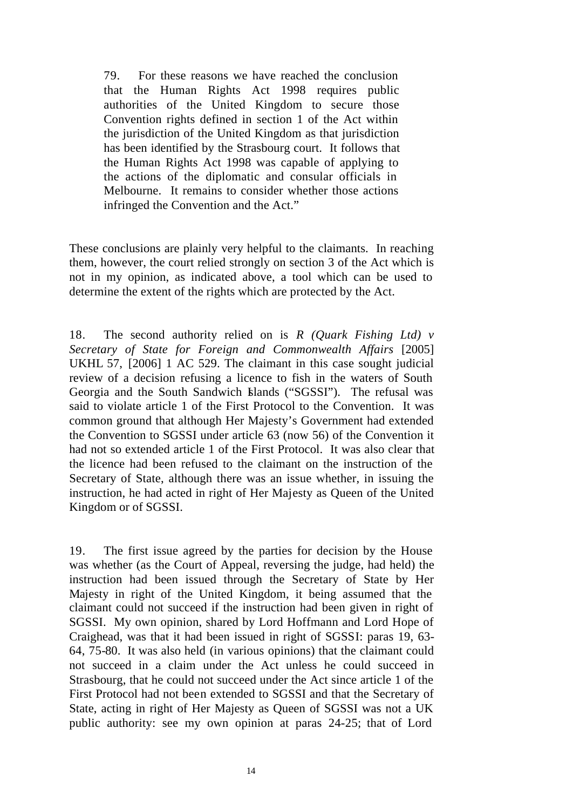79. For these reasons we have reached the conclusion that the Human Rights Act 1998 requires public authorities of the United Kingdom to secure those Convention rights defined in section 1 of the Act within the jurisdiction of the United Kingdom as that jurisdiction has been identified by the Strasbourg court. It follows that the Human Rights Act 1998 was capable of applying to the actions of the diplomatic and consular officials in Melbourne. It remains to consider whether those actions infringed the Convention and the Act."

These conclusions are plainly very helpful to the claimants. In reaching them, however, the court relied strongly on section 3 of the Act which is not in my opinion, as indicated above, a tool which can be used to determine the extent of the rights which are protected by the Act.

18. The second authority relied on is *R (Quark Fishing Ltd) v Secretary of State for Foreign and Commonwealth Affairs* [2005] UKHL 57, [2006] 1 AC 529. The claimant in this case sought judicial review of a decision refusing a licence to fish in the waters of South Georgia and the South Sandwich Islands ("SGSSI"). The refusal was said to violate article 1 of the First Protocol to the Convention. It was common ground that although Her Majesty's Government had extended the Convention to SGSSI under article 63 (now 56) of the Convention it had not so extended article 1 of the First Protocol. It was also clear that the licence had been refused to the claimant on the instruction of the Secretary of State, although there was an issue whether, in issuing the instruction, he had acted in right of Her Majesty as Queen of the United Kingdom or of SGSSI.

19. The first issue agreed by the parties for decision by the House was whether (as the Court of Appeal, reversing the judge, had held) the instruction had been issued through the Secretary of State by Her Majesty in right of the United Kingdom, it being assumed that the claimant could not succeed if the instruction had been given in right of SGSSI. My own opinion, shared by Lord Hoffmann and Lord Hope of Craighead, was that it had been issued in right of SGSSI: paras 19, 63- 64, 75-80. It was also held (in various opinions) that the claimant could not succeed in a claim under the Act unless he could succeed in Strasbourg, that he could not succeed under the Act since article 1 of the First Protocol had not been extended to SGSSI and that the Secretary of State, acting in right of Her Majesty as Queen of SGSSI was not a UK public authority: see my own opinion at paras 24-25; that of Lord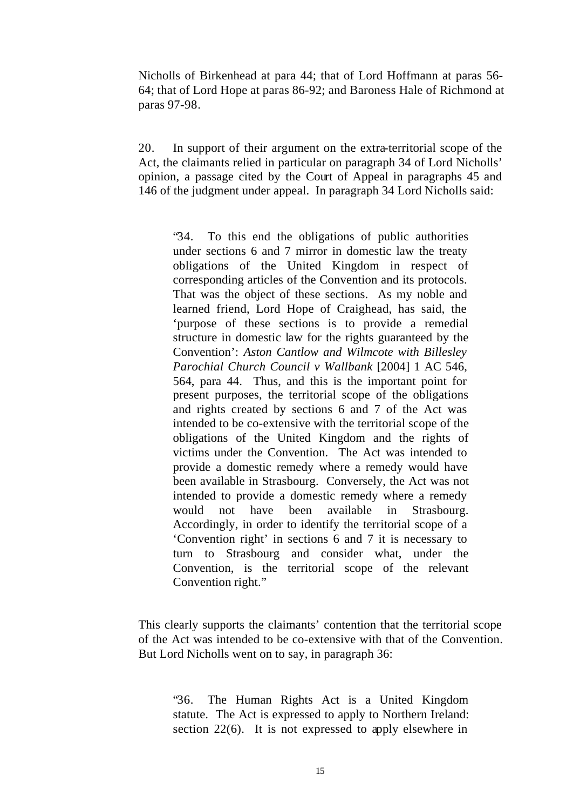Nicholls of Birkenhead at para 44; that of Lord Hoffmann at paras 56- 64; that of Lord Hope at paras 86-92; and Baroness Hale of Richmond at paras 97-98.

20. In support of their argument on the extra-territorial scope of the Act, the claimants relied in particular on paragraph 34 of Lord Nicholls' opinion, a passage cited by the Court of Appeal in paragraphs 45 and 146 of the judgment under appeal. In paragraph 34 Lord Nicholls said:

"34. To this end the obligations of public authorities under sections 6 and 7 mirror in domestic law the treaty obligations of the United Kingdom in respect of corresponding articles of the Convention and its protocols. That was the object of these sections. As my noble and learned friend, Lord Hope of Craighead, has said, the 'purpose of these sections is to provide a remedial structure in domestic law for the rights guaranteed by the Convention': *Aston Cantlow and Wilmcote with Billesley Parochial Church Council v Wallbank* [2004] 1 AC 546, 564, para 44. Thus, and this is the important point for present purposes, the territorial scope of the obligations and rights created by sections 6 and 7 of the Act was intended to be co-extensive with the territorial scope of the obligations of the United Kingdom and the rights of victims under the Convention. The Act was intended to provide a domestic remedy where a remedy would have been available in Strasbourg. Conversely, the Act was not intended to provide a domestic remedy where a remedy would not have been available in Strasbourg. Accordingly, in order to identify the territorial scope of a 'Convention right' in sections 6 and 7 it is necessary to turn to Strasbourg and consider what, under the Convention, is the territorial scope of the relevant Convention right."

This clearly supports the claimants' contention that the territorial scope of the Act was intended to be co-extensive with that of the Convention. But Lord Nicholls went on to say, in paragraph 36:

"36. The Human Rights Act is a United Kingdom statute. The Act is expressed to apply to Northern Ireland: section 22(6). It is not expressed to apply elsewhere in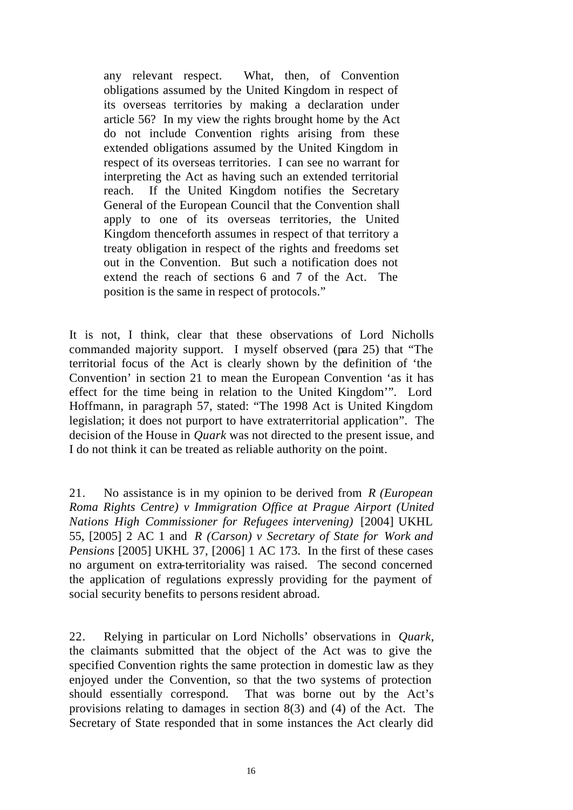any relevant respect. What, then, of Convention obligations assumed by the United Kingdom in respect of its overseas territories by making a declaration under article 56? In my view the rights brought home by the Act do not include Convention rights arising from these extended obligations assumed by the United Kingdom in respect of its overseas territories. I can see no warrant for interpreting the Act as having such an extended territorial reach. If the United Kingdom notifies the Secretary General of the European Council that the Convention shall apply to one of its overseas territories, the United Kingdom thenceforth assumes in respect of that territory a treaty obligation in respect of the rights and freedoms set out in the Convention. But such a notification does not extend the reach of sections 6 and 7 of the Act. The position is the same in respect of protocols."

It is not, I think, clear that these observations of Lord Nicholls commanded majority support. I myself observed (para 25) that "The territorial focus of the Act is clearly shown by the definition of 'the Convention' in section 21 to mean the European Convention 'as it has effect for the time being in relation to the United Kingdom'". Lord Hoffmann, in paragraph 57, stated: "The 1998 Act is United Kingdom legislation; it does not purport to have extraterritorial application". The decision of the House in *Quark* was not directed to the present issue, and I do not think it can be treated as reliable authority on the point.

21. No assistance is in my opinion to be derived from *R (European Roma Rights Centre) v Immigration Office at Prague Airport (United Nations High Commissioner for Refugees intervening)* [2004] UKHL 55, [2005] 2 AC 1 and *R (Carson) v Secretary of State for Work and Pensions* [2005] UKHL 37, [2006] 1 AC 173. In the first of these cases no argument on extra-territoriality was raised. The second concerned the application of regulations expressly providing for the payment of social security benefits to persons resident abroad.

22. Relying in particular on Lord Nicholls' observations in *Quark*, the claimants submitted that the object of the Act was to give the specified Convention rights the same protection in domestic law as they enjoyed under the Convention, so that the two systems of protection should essentially correspond. That was borne out by the Act's provisions relating to damages in section 8(3) and (4) of the Act. The Secretary of State responded that in some instances the Act clearly did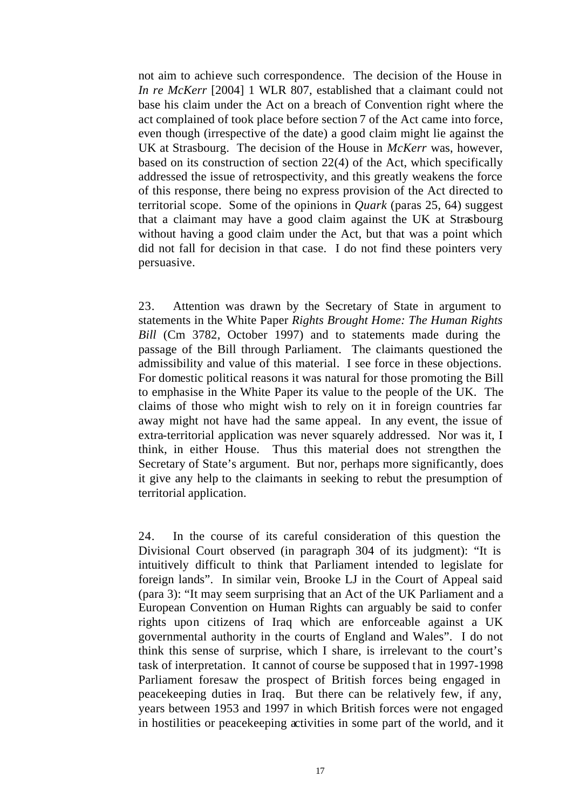not aim to achieve such correspondence. The decision of the House in *In re McKerr* [2004] 1 WLR 807, established that a claimant could not base his claim under the Act on a breach of Convention right where the act complained of took place before section 7 of the Act came into force, even though (irrespective of the date) a good claim might lie against the UK at Strasbourg. The decision of the House in *McKerr* was, however, based on its construction of section 22(4) of the Act, which specifically addressed the issue of retrospectivity, and this greatly weakens the force of this response, there being no express provision of the Act directed to territorial scope. Some of the opinions in *Quark* (paras 25, 64) suggest that a claimant may have a good claim against the UK at Strasbourg without having a good claim under the Act, but that was a point which did not fall for decision in that case. I do not find these pointers very persuasive.

23. Attention was drawn by the Secretary of State in argument to statements in the White Paper *Rights Brought Home: The Human Rights Bill* (Cm 3782, October 1997) and to statements made during the passage of the Bill through Parliament. The claimants questioned the admissibility and value of this material. I see force in these objections. For domestic political reasons it was natural for those promoting the Bill to emphasise in the White Paper its value to the people of the UK. The claims of those who might wish to rely on it in foreign countries far away might not have had the same appeal. In any event, the issue of extra-territorial application was never squarely addressed. Nor was it, I think, in either House. Thus this material does not strengthen the Secretary of State's argument. But nor, perhaps more significantly, does it give any help to the claimants in seeking to rebut the presumption of territorial application.

24. In the course of its careful consideration of this question the Divisional Court observed (in paragraph 304 of its judgment): "It is intuitively difficult to think that Parliament intended to legislate for foreign lands". In similar vein, Brooke LJ in the Court of Appeal said (para 3): "It may seem surprising that an Act of the UK Parliament and a European Convention on Human Rights can arguably be said to confer rights upon citizens of Iraq which are enforceable against a UK governmental authority in the courts of England and Wales". I do not think this sense of surprise, which I share, is irrelevant to the court's task of interpretation. It cannot of course be supposed t hat in 1997-1998 Parliament foresaw the prospect of British forces being engaged in peacekeeping duties in Iraq. But there can be relatively few, if any, years between 1953 and 1997 in which British forces were not engaged in hostilities or peacekeeping activities in some part of the world, and it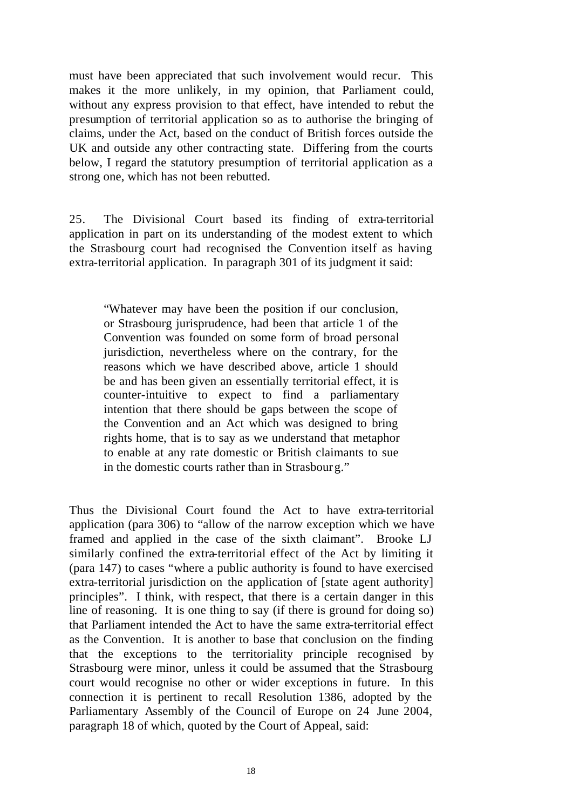must have been appreciated that such involvement would recur. This makes it the more unlikely, in my opinion, that Parliament could, without any express provision to that effect, have intended to rebut the presumption of territorial application so as to authorise the bringing of claims, under the Act, based on the conduct of British forces outside the UK and outside any other contracting state. Differing from the courts below, I regard the statutory presumption of territorial application as a strong one, which has not been rebutted.

25. The Divisional Court based its finding of extra-territorial application in part on its understanding of the modest extent to which the Strasbourg court had recognised the Convention itself as having extra-territorial application. In paragraph 301 of its judgment it said:

"Whatever may have been the position if our conclusion, or Strasbourg jurisprudence, had been that article 1 of the Convention was founded on some form of broad personal jurisdiction, nevertheless where on the contrary, for the reasons which we have described above, article 1 should be and has been given an essentially territorial effect, it is counter-intuitive to expect to find a parliamentary intention that there should be gaps between the scope of the Convention and an Act which was designed to bring rights home, that is to say as we understand that metaphor to enable at any rate domestic or British claimants to sue in the domestic courts rather than in Strasbourg."

Thus the Divisional Court found the Act to have extra-territorial application (para 306) to "allow of the narrow exception which we have framed and applied in the case of the sixth claimant". Brooke LJ similarly confined the extra-territorial effect of the Act by limiting it (para 147) to cases "where a public authority is found to have exercised extra-territorial jurisdiction on the application of [state agent authority] principles". I think, with respect, that there is a certain danger in this line of reasoning. It is one thing to say (if there is ground for doing so) that Parliament intended the Act to have the same extra-territorial effect as the Convention. It is another to base that conclusion on the finding that the exceptions to the territoriality principle recognised by Strasbourg were minor, unless it could be assumed that the Strasbourg court would recognise no other or wider exceptions in future. In this connection it is pertinent to recall Resolution 1386, adopted by the Parliamentary Assembly of the Council of Europe on 24 June 2004, paragraph 18 of which, quoted by the Court of Appeal, said: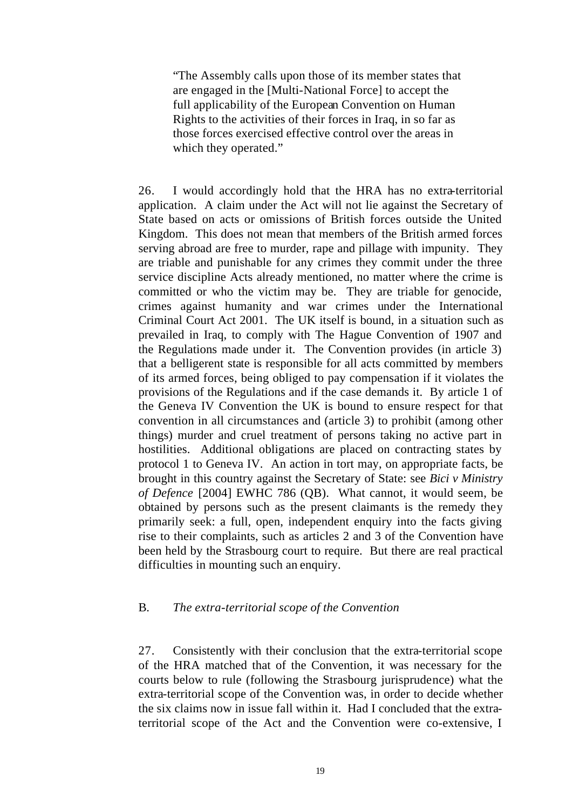"The Assembly calls upon those of its member states that are engaged in the [Multi-National Force] to accept the full applicability of the European Convention on Human Rights to the activities of their forces in Iraq, in so far as those forces exercised effective control over the areas in which they operated."

26. I would accordingly hold that the HRA has no extra-territorial application. A claim under the Act will not lie against the Secretary of State based on acts or omissions of British forces outside the United Kingdom. This does not mean that members of the British armed forces serving abroad are free to murder, rape and pillage with impunity. They are triable and punishable for any crimes they commit under the three service discipline Acts already mentioned, no matter where the crime is committed or who the victim may be. They are triable for genocide, crimes against humanity and war crimes under the International Criminal Court Act 2001. The UK itself is bound, in a situation such as prevailed in Iraq, to comply with The Hague Convention of 1907 and the Regulations made under it. The Convention provides (in article 3) that a belligerent state is responsible for all acts committed by members of its armed forces, being obliged to pay compensation if it violates the provisions of the Regulations and if the case demands it. By article 1 of the Geneva IV Convention the UK is bound to ensure respect for that convention in all circumstances and (article 3) to prohibit (among other things) murder and cruel treatment of persons taking no active part in hostilities. Additional obligations are placed on contracting states by protocol 1 to Geneva IV. An action in tort may, on appropriate facts, be brought in this country against the Secretary of State: see *Bici v Ministry of Defence* [2004] EWHC 786 (QB). What cannot, it would seem, be obtained by persons such as the present claimants is the remedy they primarily seek: a full, open, independent enquiry into the facts giving rise to their complaints, such as articles 2 and 3 of the Convention have been held by the Strasbourg court to require. But there are real practical difficulties in mounting such an enquiry.

#### B. *The extra-territorial scope of the Convention*

27. Consistently with their conclusion that the extra-territorial scope of the HRA matched that of the Convention, it was necessary for the courts below to rule (following the Strasbourg jurisprudence) what the extra-territorial scope of the Convention was, in order to decide whether the six claims now in issue fall within it. Had I concluded that the extraterritorial scope of the Act and the Convention were co-extensive, I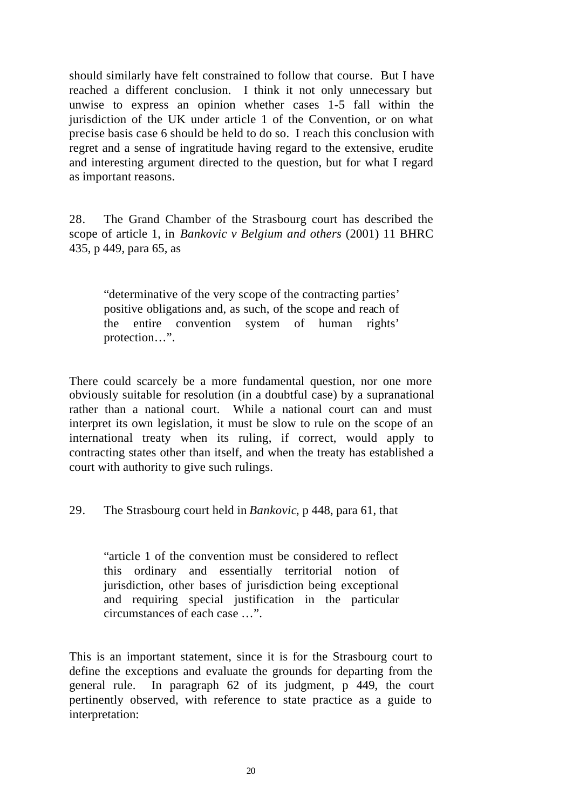should similarly have felt constrained to follow that course. But I have reached a different conclusion. I think it not only unnecessary but unwise to express an opinion whether cases 1-5 fall within the jurisdiction of the UK under article 1 of the Convention, or on what precise basis case 6 should be held to do so. I reach this conclusion with regret and a sense of ingratitude having regard to the extensive, erudite and interesting argument directed to the question, but for what I regard as important reasons.

28. The Grand Chamber of the Strasbourg court has described the scope of article 1, in *Bankovic v Belgium and others* (2001) 11 BHRC 435, p 449, para 65, as

"determinative of the very scope of the contracting parties' positive obligations and, as such, of the scope and reach of the entire convention system of human rights' protection…".

There could scarcely be a more fundamental question, nor one more obviously suitable for resolution (in a doubtful case) by a supranational rather than a national court. While a national court can and must interpret its own legislation, it must be slow to rule on the scope of an international treaty when its ruling, if correct, would apply to contracting states other than itself, and when the treaty has established a court with authority to give such rulings.

#### 29. The Strasbourg court held in *Bankovic*, p 448, para 61, that

"article 1 of the convention must be considered to reflect this ordinary and essentially territorial notion of jurisdiction, other bases of jurisdiction being exceptional and requiring special justification in the particular circumstances of each case …".

This is an important statement, since it is for the Strasbourg court to define the exceptions and evaluate the grounds for departing from the general rule. In paragraph 62 of its judgment, p 449, the court pertinently observed, with reference to state practice as a guide to interpretation: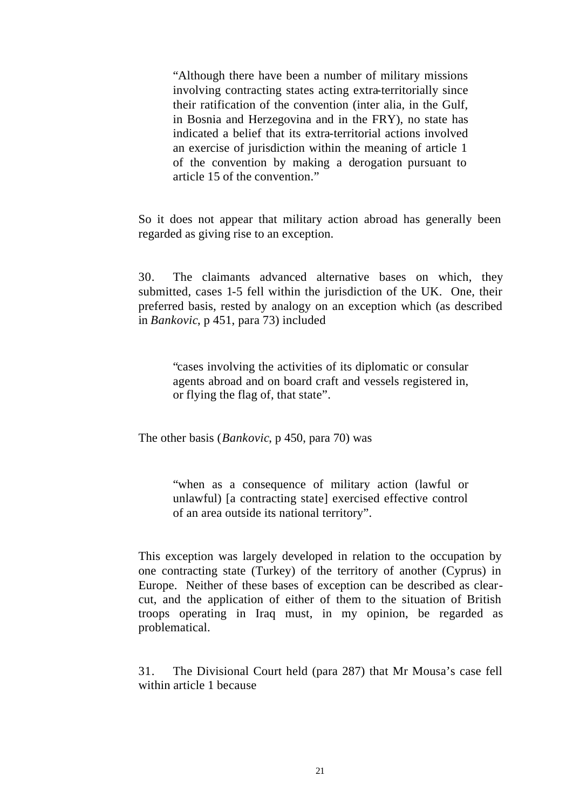"Although there have been a number of military missions involving contracting states acting extra-territorially since their ratification of the convention (inter alia, in the Gulf, in Bosnia and Herzegovina and in the FRY), no state has indicated a belief that its extra-territorial actions involved an exercise of jurisdiction within the meaning of article 1 of the convention by making a derogation pursuant to article 15 of the convention."

So it does not appear that military action abroad has generally been regarded as giving rise to an exception.

30. The claimants advanced alternative bases on which, they submitted, cases 1-5 fell within the jurisdiction of the UK. One, their preferred basis, rested by analogy on an exception which (as described in *Bankovic*, p 451, para 73) included

"cases involving the activities of its diplomatic or consular agents abroad and on board craft and vessels registered in, or flying the flag of, that state".

The other basis (*Bankovic*, p 450, para 70) was

"when as a consequence of military action (lawful or unlawful) [a contracting state] exercised effective control of an area outside its national territory".

This exception was largely developed in relation to the occupation by one contracting state (Turkey) of the territory of another (Cyprus) in Europe. Neither of these bases of exception can be described as clearcut, and the application of either of them to the situation of British troops operating in Iraq must, in my opinion, be regarded as problematical.

31. The Divisional Court held (para 287) that Mr Mousa's case fell within article 1 because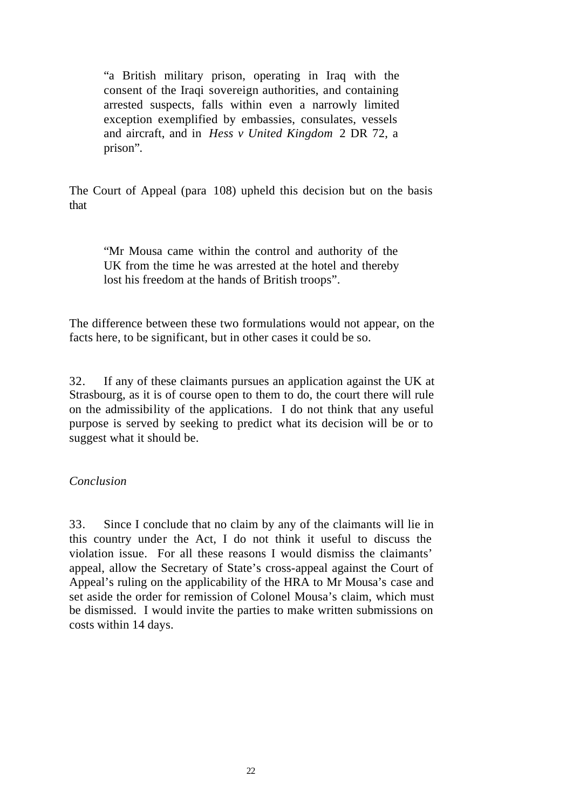"a British military prison, operating in Iraq with the consent of the Iraqi sovereign authorities, and containing arrested suspects, falls within even a narrowly limited exception exemplified by embassies, consulates, vessels and aircraft, and in *Hess v United Kingdom* 2 DR 72, a prison"*.*

The Court of Appeal (para 108) upheld this decision but on the basis that

"Mr Mousa came within the control and authority of the UK from the time he was arrested at the hotel and thereby lost his freedom at the hands of British troops".

The difference between these two formulations would not appear, on the facts here, to be significant, but in other cases it could be so.

32. If any of these claimants pursues an application against the UK at Strasbourg, as it is of course open to them to do, the court there will rule on the admissibility of the applications. I do not think that any useful purpose is served by seeking to predict what its decision will be or to suggest what it should be.

#### *Conclusion*

33. Since I conclude that no claim by any of the claimants will lie in this country under the Act, I do not think it useful to discuss the violation issue. For all these reasons I would dismiss the claimants' appeal, allow the Secretary of State's cross-appeal against the Court of Appeal's ruling on the applicability of the HRA to Mr Mousa's case and set aside the order for remission of Colonel Mousa's claim, which must be dismissed. I would invite the parties to make written submissions on costs within 14 days.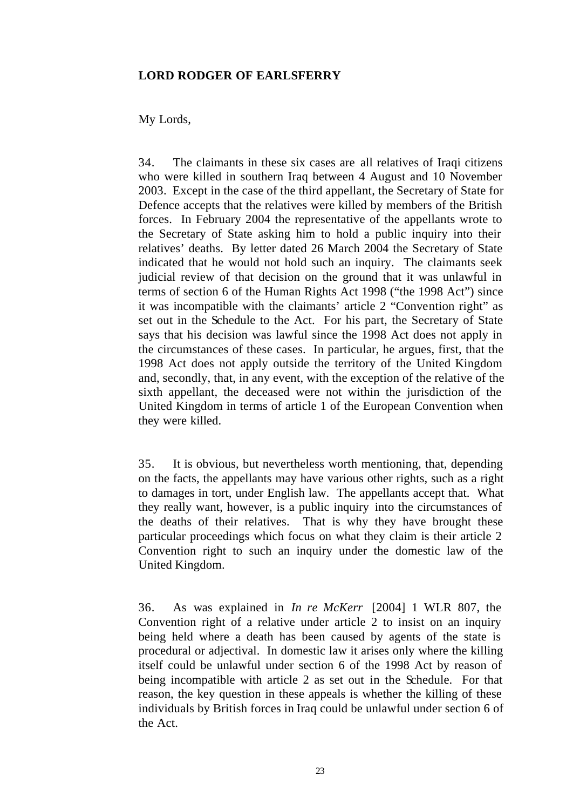#### **LORD RODGER OF EARLSFERRY**

#### My Lords,

34. The claimants in these six cases are all relatives of Iraqi citizens who were killed in southern Iraq between 4 August and 10 November 2003. Except in the case of the third appellant, the Secretary of State for Defence accepts that the relatives were killed by members of the British forces. In February 2004 the representative of the appellants wrote to the Secretary of State asking him to hold a public inquiry into their relatives' deaths. By letter dated 26 March 2004 the Secretary of State indicated that he would not hold such an inquiry. The claimants seek judicial review of that decision on the ground that it was unlawful in terms of section 6 of the Human Rights Act 1998 ("the 1998 Act") since it was incompatible with the claimants' article 2 "Convention right" as set out in the Schedule to the Act. For his part, the Secretary of State says that his decision was lawful since the 1998 Act does not apply in the circumstances of these cases. In particular, he argues, first, that the 1998 Act does not apply outside the territory of the United Kingdom and, secondly, that, in any event, with the exception of the relative of the sixth appellant, the deceased were not within the jurisdiction of the United Kingdom in terms of article 1 of the European Convention when they were killed.

35. It is obvious, but nevertheless worth mentioning, that, depending on the facts, the appellants may have various other rights, such as a right to damages in tort, under English law. The appellants accept that. What they really want, however, is a public inquiry into the circumstances of the deaths of their relatives. That is why they have brought these particular proceedings which focus on what they claim is their article 2 Convention right to such an inquiry under the domestic law of the United Kingdom.

36. As was explained in *In re McKerr* [2004] 1 WLR 807, the Convention right of a relative under article 2 to insist on an inquiry being held where a death has been caused by agents of the state is procedural or adjectival. In domestic law it arises only where the killing itself could be unlawful under section 6 of the 1998 Act by reason of being incompatible with article 2 as set out in the Schedule. For that reason, the key question in these appeals is whether the killing of these individuals by British forces in Iraq could be unlawful under section 6 of the Act.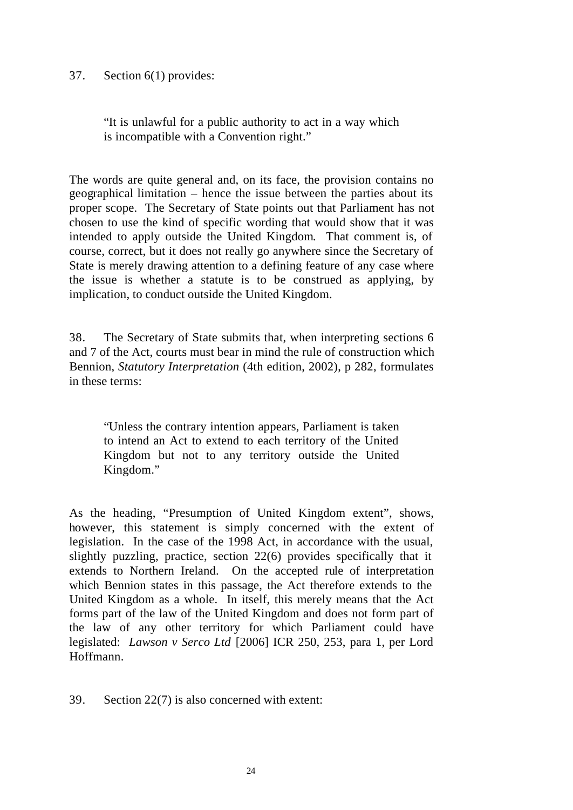#### 37. Section 6(1) provides:

"It is unlawful for a public authority to act in a way which is incompatible with a Convention right."

The words are quite general and, on its face, the provision contains no geographical limitation – hence the issue between the parties about its proper scope. The Secretary of State points out that Parliament has not chosen to use the kind of specific wording that would show that it was intended to apply outside the United Kingdom. That comment is, of course, correct, but it does not really go anywhere since the Secretary of State is merely drawing attention to a defining feature of any case where the issue is whether a statute is to be construed as applying, by implication, to conduct outside the United Kingdom.

38. The Secretary of State submits that, when interpreting sections 6 and 7 of the Act, courts must bear in mind the rule of construction which Bennion, *Statutory Interpretation* (4th edition, 2002), p 282, formulates in these terms:

"Unless the contrary intention appears, Parliament is taken to intend an Act to extend to each territory of the United Kingdom but not to any territory outside the United Kingdom."

As the heading, "Presumption of United Kingdom extent", shows, however, this statement is simply concerned with the extent of legislation. In the case of the 1998 Act, in accordance with the usual, slightly puzzling, practice, section 22(6) provides specifically that it extends to Northern Ireland. On the accepted rule of interpretation which Bennion states in this passage, the Act therefore extends to the United Kingdom as a whole. In itself, this merely means that the Act forms part of the law of the United Kingdom and does not form part of the law of any other territory for which Parliament could have legislated: *Lawson v Serco Ltd* [2006] ICR 250, 253, para 1, per Lord Hoffmann.

39. Section 22(7) is also concerned with extent: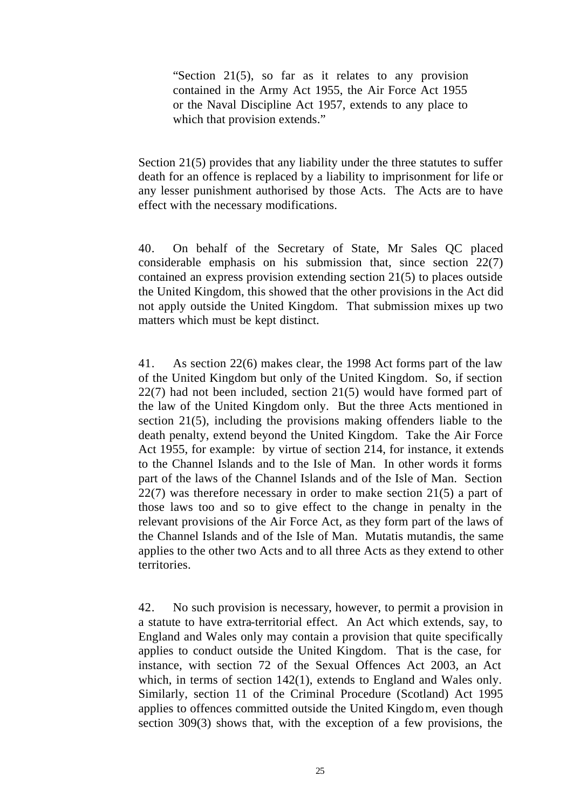"Section 21(5), so far as it relates to any provision contained in the Army Act 1955, the Air Force Act 1955 or the Naval Discipline Act 1957, extends to any place to which that provision extends."

Section 21(5) provides that any liability under the three statutes to suffer death for an offence is replaced by a liability to imprisonment for life or any lesser punishment authorised by those Acts. The Acts are to have effect with the necessary modifications.

40. On behalf of the Secretary of State, Mr Sales QC placed considerable emphasis on his submission that, since section 22(7) contained an express provision extending section 21(5) to places outside the United Kingdom, this showed that the other provisions in the Act did not apply outside the United Kingdom. That submission mixes up two matters which must be kept distinct.

41. As section 22(6) makes clear, the 1998 Act forms part of the law of the United Kingdom but only of the United Kingdom. So, if section 22(7) had not been included, section 21(5) would have formed part of the law of the United Kingdom only. But the three Acts mentioned in section 21(5), including the provisions making offenders liable to the death penalty, extend beyond the United Kingdom. Take the Air Force Act 1955, for example: by virtue of section 214, for instance, it extends to the Channel Islands and to the Isle of Man. In other words it forms part of the laws of the Channel Islands and of the Isle of Man. Section 22(7) was therefore necessary in order to make section 21(5) a part of those laws too and so to give effect to the change in penalty in the relevant provisions of the Air Force Act, as they form part of the laws of the Channel Islands and of the Isle of Man. Mutatis mutandis, the same applies to the other two Acts and to all three Acts as they extend to other territories.

42. No such provision is necessary, however, to permit a provision in a statute to have extra-territorial effect. An Act which extends, say, to England and Wales only may contain a provision that quite specifically applies to conduct outside the United Kingdom. That is the case, for instance, with section 72 of the Sexual Offences Act 2003, an Act which, in terms of section 142(1), extends to England and Wales only. Similarly, section 11 of the Criminal Procedure (Scotland) Act 1995 applies to offences committed outside the United Kingdom, even though section 309(3) shows that, with the exception of a few provisions, the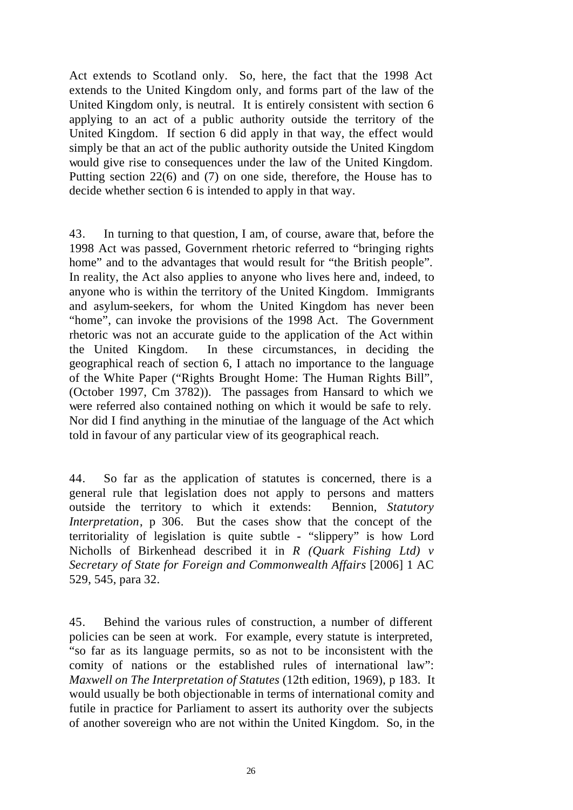Act extends to Scotland only. So, here, the fact that the 1998 Act extends to the United Kingdom only, and forms part of the law of the United Kingdom only, is neutral. It is entirely consistent with section 6 applying to an act of a public authority outside the territory of the United Kingdom. If section 6 did apply in that way, the effect would simply be that an act of the public authority outside the United Kingdom would give rise to consequences under the law of the United Kingdom. Putting section 22(6) and (7) on one side, therefore, the House has to decide whether section 6 is intended to apply in that way.

43. In turning to that question, I am, of course, aware that, before the 1998 Act was passed, Government rhetoric referred to "bringing rights home" and to the advantages that would result for "the British people". In reality, the Act also applies to anyone who lives here and, indeed, to anyone who is within the territory of the United Kingdom. Immigrants and asylum-seekers, for whom the United Kingdom has never been "home", can invoke the provisions of the 1998 Act. The Government rhetoric was not an accurate guide to the application of the Act within the United Kingdom. In these circumstances, in deciding the geographical reach of section 6, I attach no importance to the language of the White Paper ("Rights Brought Home: The Human Rights Bill", (October 1997, Cm 3782)). The passages from Hansard to which we were referred also contained nothing on which it would be safe to rely. Nor did I find anything in the minutiae of the language of the Act which told in favour of any particular view of its geographical reach.

44. So far as the application of statutes is concerned, there is a general rule that legislation does not apply to persons and matters outside the territory to which it extends: Bennion, *Statutory Interpretation*, p 306. But the cases show that the concept of the territoriality of legislation is quite subtle - "slippery" is how Lord Nicholls of Birkenhead described it in *R (Quark Fishing Ltd) v Secretary of State for Foreign and Commonwealth Affairs* [2006] 1 AC 529, 545, para 32.

45. Behind the various rules of construction, a number of different policies can be seen at work. For example, every statute is interpreted, "so far as its language permits, so as not to be inconsistent with the comity of nations or the established rules of international law": *Maxwell on The Interpretation of Statutes* (12th edition, 1969), p 183. It would usually be both objectionable in terms of international comity and futile in practice for Parliament to assert its authority over the subjects of another sovereign who are not within the United Kingdom. So, in the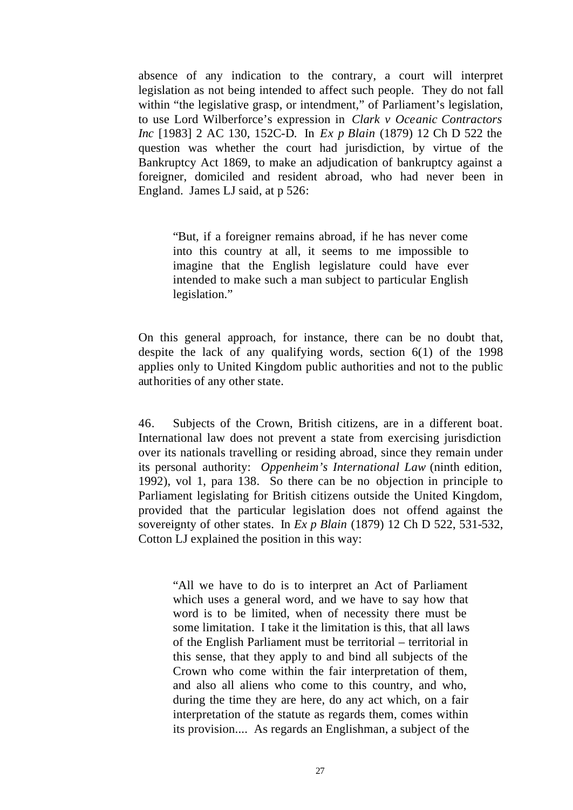absence of any indication to the contrary, a court will interpret legislation as not being intended to affect such people. They do not fall within "the legislative grasp, or intendment," of Parliament's legislation, to use Lord Wilberforce's expression in *Clark v Oceanic Contractors Inc* [1983] 2 AC 130, 152C-D. In *Ex p Blain* (1879) 12 Ch D 522 the question was whether the court had jurisdiction, by virtue of the Bankruptcy Act 1869, to make an adjudication of bankruptcy against a foreigner, domiciled and resident abroad, who had never been in England. James LJ said, at p 526:

"But, if a foreigner remains abroad, if he has never come into this country at all, it seems to me impossible to imagine that the English legislature could have ever intended to make such a man subject to particular English legislation."

On this general approach, for instance, there can be no doubt that, despite the lack of any qualifying words, section 6(1) of the 1998 applies only to United Kingdom public authorities and not to the public authorities of any other state.

46. Subjects of the Crown, British citizens, are in a different boat. International law does not prevent a state from exercising jurisdiction over its nationals travelling or residing abroad, since they remain under its personal authority: *Oppenheim's International Law* (ninth edition, 1992), vol 1, para 138. So there can be no objection in principle to Parliament legislating for British citizens outside the United Kingdom, provided that the particular legislation does not offend against the sovereignty of other states. In *Ex p Blain* (1879) 12 Ch D 522, 531-532, Cotton LJ explained the position in this way:

"All we have to do is to interpret an Act of Parliament which uses a general word, and we have to say how that word is to be limited, when of necessity there must be some limitation. I take it the limitation is this, that all laws of the English Parliament must be territorial – territorial in this sense, that they apply to and bind all subjects of the Crown who come within the fair interpretation of them, and also all aliens who come to this country, and who, during the time they are here, do any act which, on a fair interpretation of the statute as regards them, comes within its provision.... As regards an Englishman, a subject of the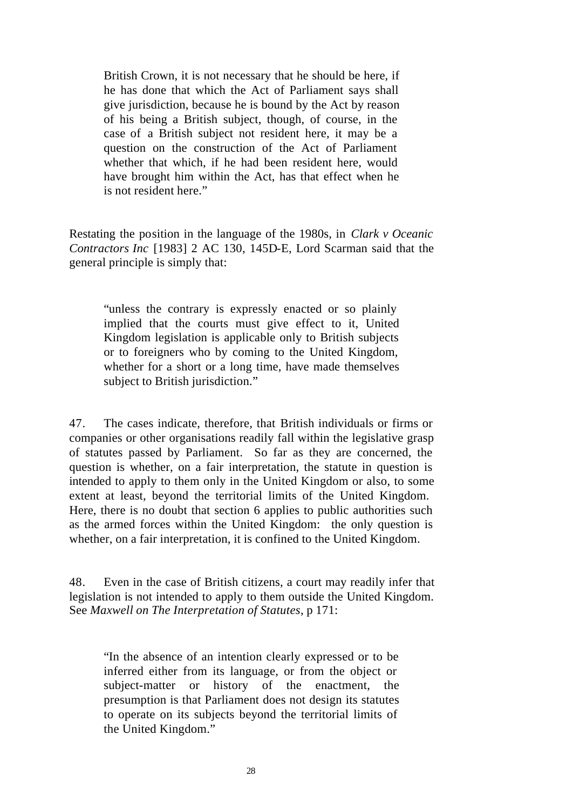British Crown, it is not necessary that he should be here, if he has done that which the Act of Parliament says shall give jurisdiction, because he is bound by the Act by reason of his being a British subject, though, of course, in the case of a British subject not resident here, it may be a question on the construction of the Act of Parliament whether that which, if he had been resident here, would have brought him within the Act, has that effect when he is not resident here."

Restating the position in the language of the 1980s, in *Clark v Oceanic Contractors Inc* [1983] 2 AC 130, 145D-E, Lord Scarman said that the general principle is simply that:

"unless the contrary is expressly enacted or so plainly implied that the courts must give effect to it, United Kingdom legislation is applicable only to British subjects or to foreigners who by coming to the United Kingdom, whether for a short or a long time, have made themselves subject to British jurisdiction."

47. The cases indicate, therefore, that British individuals or firms or companies or other organisations readily fall within the legislative grasp of statutes passed by Parliament. So far as they are concerned, the question is whether, on a fair interpretation, the statute in question is intended to apply to them only in the United Kingdom or also, to some extent at least, beyond the territorial limits of the United Kingdom. Here, there is no doubt that section 6 applies to public authorities such as the armed forces within the United Kingdom: the only question is whether, on a fair interpretation, it is confined to the United Kingdom.

48. Even in the case of British citizens, a court may readily infer that legislation is not intended to apply to them outside the United Kingdom. See *Maxwell on The Interpretation of Statutes*, p 171:

"In the absence of an intention clearly expressed or to be inferred either from its language, or from the object or subject-matter or history of the enactment, the presumption is that Parliament does not design its statutes to operate on its subjects beyond the territorial limits of the United Kingdom."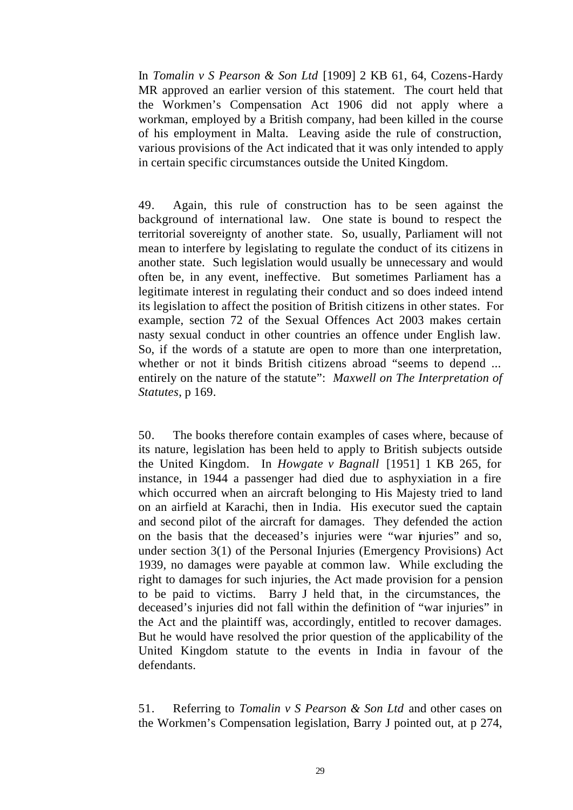In *Tomalin v S Pearson & Son Ltd* [1909] 2 KB 61, 64, Cozens-Hardy MR approved an earlier version of this statement. The court held that the Workmen's Compensation Act 1906 did not apply where a workman, employed by a British company, had been killed in the course of his employment in Malta. Leaving aside the rule of construction, various provisions of the Act indicated that it was only intended to apply in certain specific circumstances outside the United Kingdom.

49. Again, this rule of construction has to be seen against the background of international law. One state is bound to respect the territorial sovereignty of another state. So, usually, Parliament will not mean to interfere by legislating to regulate the conduct of its citizens in another state. Such legislation would usually be unnecessary and would often be, in any event, ineffective. But sometimes Parliament has a legitimate interest in regulating their conduct and so does indeed intend its legislation to affect the position of British citizens in other states. For example, section 72 of the Sexual Offences Act 2003 makes certain nasty sexual conduct in other countries an offence under English law. So, if the words of a statute are open to more than one interpretation, whether or not it binds British citizens abroad "seems to depend ... entirely on the nature of the statute": *Maxwell on The Interpretation of Statutes*, p 169.

50. The books therefore contain examples of cases where, because of its nature, legislation has been held to apply to British subjects outside the United Kingdom. In *Howgate v Bagnall* [1951] 1 KB 265, for instance, in 1944 a passenger had died due to asphyxiation in a fire which occurred when an aircraft belonging to His Majesty tried to land on an airfield at Karachi, then in India. His executor sued the captain and second pilot of the aircraft for damages. They defended the action on the basis that the deceased's injuries were "war injuries" and so, under section 3(1) of the Personal Injuries (Emergency Provisions) Act 1939, no damages were payable at common law. While excluding the right to damages for such injuries, the Act made provision for a pension to be paid to victims. Barry J held that, in the circumstances, the deceased's injuries did not fall within the definition of "war injuries" in the Act and the plaintiff was, accordingly, entitled to recover damages. But he would have resolved the prior question of the applicability of the United Kingdom statute to the events in India in favour of the defendants.

51. Referring to *Tomalin v S Pearson & Son Ltd* and other cases on the Workmen's Compensation legislation, Barry J pointed out, at p 274,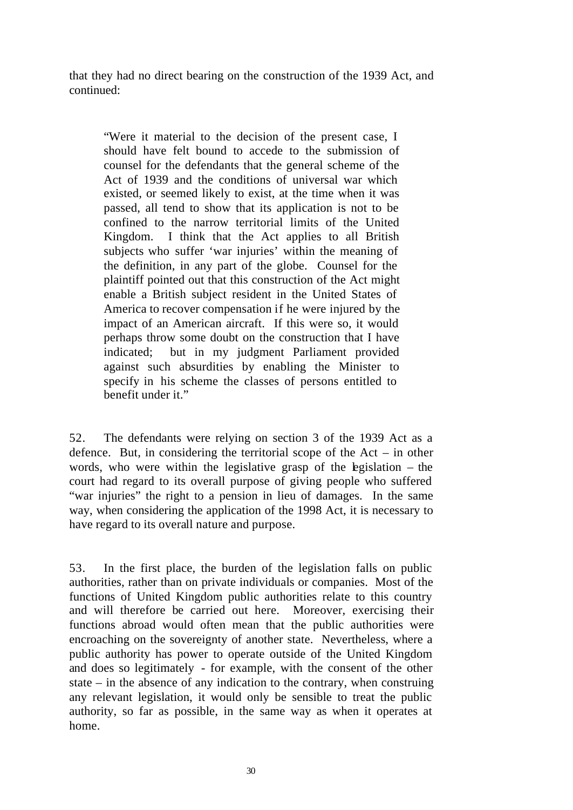that they had no direct bearing on the construction of the 1939 Act, and continued:

"Were it material to the decision of the present case, I should have felt bound to accede to the submission of counsel for the defendants that the general scheme of the Act of 1939 and the conditions of universal war which existed, or seemed likely to exist, at the time when it was passed, all tend to show that its application is not to be confined to the narrow territorial limits of the United Kingdom. I think that the Act applies to all British subjects who suffer 'war injuries' within the meaning of the definition, in any part of the globe. Counsel for the plaintiff pointed out that this construction of the Act might enable a British subject resident in the United States of America to recover compensation if he were injured by the impact of an American aircraft. If this were so, it would perhaps throw some doubt on the construction that I have indicated; but in my judgment Parliament provided against such absurdities by enabling the Minister to specify in his scheme the classes of persons entitled to benefit under it."

52. The defendants were relying on section 3 of the 1939 Act as a defence. But, in considering the territorial scope of the Act – in other words, who were within the legislative grasp of the legislation  $-$  the court had regard to its overall purpose of giving people who suffered "war injuries" the right to a pension in lieu of damages. In the same way, when considering the application of the 1998 Act, it is necessary to have regard to its overall nature and purpose.

53. In the first place, the burden of the legislation falls on public authorities, rather than on private individuals or companies. Most of the functions of United Kingdom public authorities relate to this country and will therefore be carried out here. Moreover, exercising their functions abroad would often mean that the public authorities were encroaching on the sovereignty of another state. Nevertheless, where a public authority has power to operate outside of the United Kingdom and does so legitimately - for example, with the consent of the other state – in the absence of any indication to the contrary, when construing any relevant legislation, it would only be sensible to treat the public authority, so far as possible, in the same way as when it operates at home.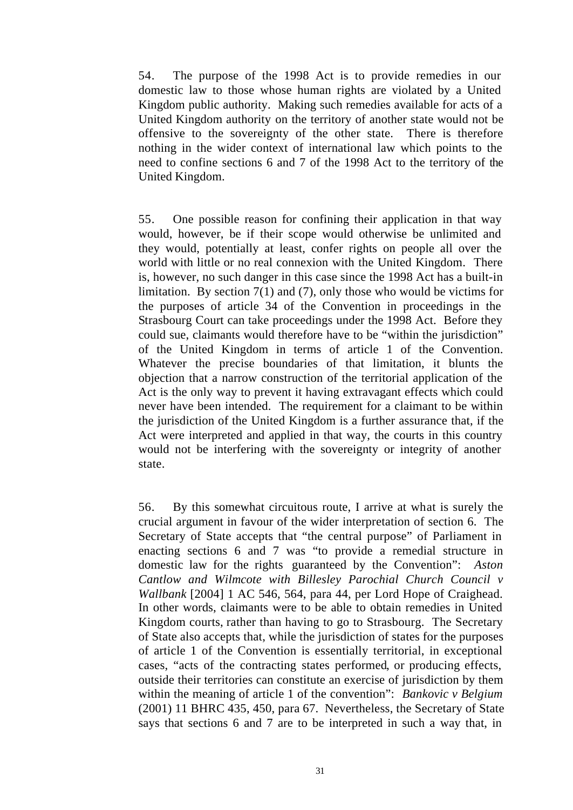54. The purpose of the 1998 Act is to provide remedies in our domestic law to those whose human rights are violated by a United Kingdom public authority. Making such remedies available for acts of a United Kingdom authority on the territory of another state would not be offensive to the sovereignty of the other state. There is therefore nothing in the wider context of international law which points to the need to confine sections 6 and 7 of the 1998 Act to the territory of the United Kingdom.

55. One possible reason for confining their application in that way would, however, be if their scope would otherwise be unlimited and they would, potentially at least, confer rights on people all over the world with little or no real connexion with the United Kingdom. There is, however, no such danger in this case since the 1998 Act has a built-in limitation. By section 7(1) and (7), only those who would be victims for the purposes of article 34 of the Convention in proceedings in the Strasbourg Court can take proceedings under the 1998 Act. Before they could sue, claimants would therefore have to be "within the jurisdiction" of the United Kingdom in terms of article 1 of the Convention. Whatever the precise boundaries of that limitation, it blunts the objection that a narrow construction of the territorial application of the Act is the only way to prevent it having extravagant effects which could never have been intended. The requirement for a claimant to be within the jurisdiction of the United Kingdom is a further assurance that, if the Act were interpreted and applied in that way, the courts in this country would not be interfering with the sovereignty or integrity of another state.

56. By this somewhat circuitous route, I arrive at what is surely the crucial argument in favour of the wider interpretation of section 6. The Secretary of State accepts that "the central purpose" of Parliament in enacting sections 6 and 7 was "to provide a remedial structure in domestic law for the rights guaranteed by the Convention": *Aston Cantlow and Wilmcote with Billesley Parochial Church Council v Wallbank* [2004] 1 AC 546, 564, para 44, per Lord Hope of Craighead. In other words, claimants were to be able to obtain remedies in United Kingdom courts, rather than having to go to Strasbourg. The Secretary of State also accepts that, while the jurisdiction of states for the purposes of article 1 of the Convention is essentially territorial, in exceptional cases, "acts of the contracting states performed, or producing effects, outside their territories can constitute an exercise of jurisdiction by them within the meaning of article 1 of the convention": *Bankovic v Belgium*  (2001) 11 BHRC 435, 450, para 67. Nevertheless, the Secretary of State says that sections 6 and 7 are to be interpreted in such a way that, in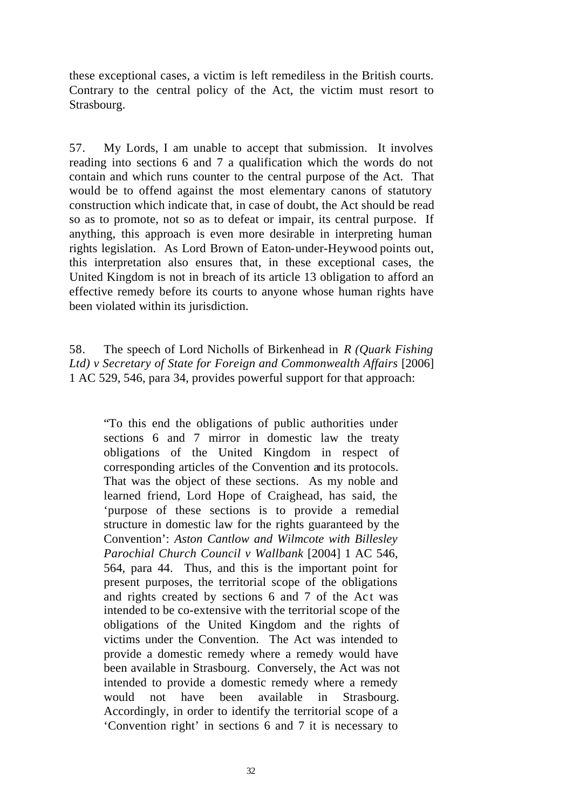these exceptional cases, a victim is left remediless in the British courts. Contrary to the central policy of the Act, the victim must resort to Strasbourg.

57. My Lords, I am unable to accept that submission. It involves reading into sections 6 and 7 a qualification which the words do not contain and which runs counter to the central purpose of the Act. That would be to offend against the most elementary canons of statutory construction which indicate that, in case of doubt, the Act should be read so as to promote, not so as to defeat or impair, its central purpose. If anything, this approach is even more desirable in interpreting human rights legislation. As Lord Brown of Eaton-under-Heywood points out, this interpretation also ensures that, in these exceptional cases, the United Kingdom is not in breach of its article 13 obligation to afford an effective remedy before its courts to anyone whose human rights have been violated within its jurisdiction.

58. The speech of Lord Nicholls of Birkenhead in *R (Quark Fishing Ltd) v Secretary of State for Foreign and Commonwealth Affairs* [2006] 1 AC 529, 546, para 34, provides powerful support for that approach:

"To this end the obligations of public authorities under sections 6 and 7 mirror in domestic law the treaty obligations of the United Kingdom in respect of corresponding articles of the Convention and its protocols. That was the object of these sections. As my noble and learned friend, Lord Hope of Craighead, has said, the 'purpose of these sections is to provide a remedial structure in domestic law for the rights guaranteed by the Convention': *Aston Cantlow and Wilmcote with Billesley Parochial Church Council v Wallbank* [2004] 1 AC 546, 564, para 44. Thus, and this is the important point for present purposes, the territorial scope of the obligations and rights created by sections 6 and 7 of the Act was intended to be co-extensive with the territorial scope of the obligations of the United Kingdom and the rights of victims under the Convention. The Act was intended to provide a domestic remedy where a remedy would have been available in Strasbourg. Conversely, the Act was not intended to provide a domestic remedy where a remedy would not have been available in Strasbourg. Accordingly, in order to identify the territorial scope of a 'Convention right' in sections 6 and 7 it is necessary to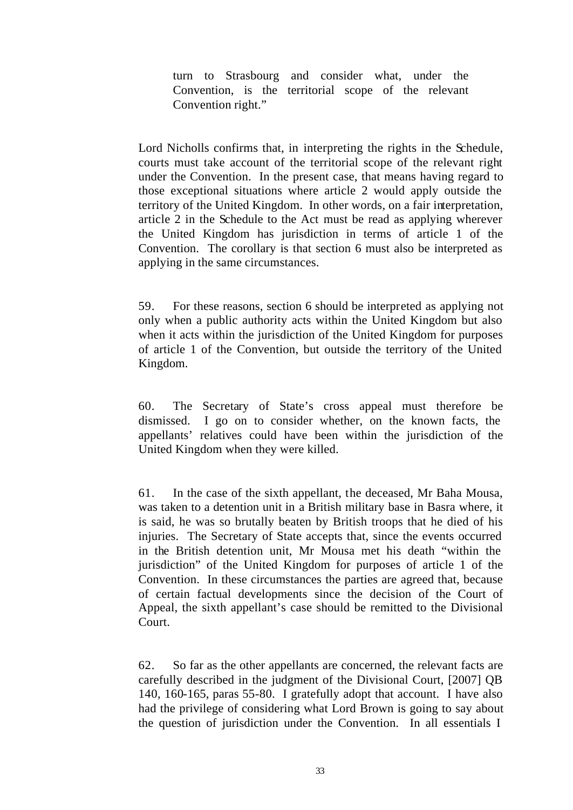turn to Strasbourg and consider what, under the Convention, is the territorial scope of the relevant Convention right."

Lord Nicholls confirms that, in interpreting the rights in the Schedule, courts must take account of the territorial scope of the relevant right under the Convention. In the present case, that means having regard to those exceptional situations where article 2 would apply outside the territory of the United Kingdom. In other words, on a fair interpretation, article 2 in the Schedule to the Act must be read as applying wherever the United Kingdom has jurisdiction in terms of article 1 of the Convention. The corollary is that section 6 must also be interpreted as applying in the same circumstances.

59. For these reasons, section 6 should be interpreted as applying not only when a public authority acts within the United Kingdom but also when it acts within the jurisdiction of the United Kingdom for purposes of article 1 of the Convention, but outside the territory of the United Kingdom.

60. The Secretary of State's cross appeal must therefore be dismissed. I go on to consider whether, on the known facts, the appellants' relatives could have been within the jurisdiction of the United Kingdom when they were killed.

61. In the case of the sixth appellant, the deceased, Mr Baha Mousa, was taken to a detention unit in a British military base in Basra where, it is said, he was so brutally beaten by British troops that he died of his injuries. The Secretary of State accepts that, since the events occurred in the British detention unit, Mr Mousa met his death "within the jurisdiction" of the United Kingdom for purposes of article 1 of the Convention. In these circumstances the parties are agreed that, because of certain factual developments since the decision of the Court of Appeal, the sixth appellant's case should be remitted to the Divisional Court.

62. So far as the other appellants are concerned, the relevant facts are carefully described in the judgment of the Divisional Court, [2007] QB 140, 160-165, paras 55-80. I gratefully adopt that account. I have also had the privilege of considering what Lord Brown is going to say about the question of jurisdiction under the Convention. In all essentials I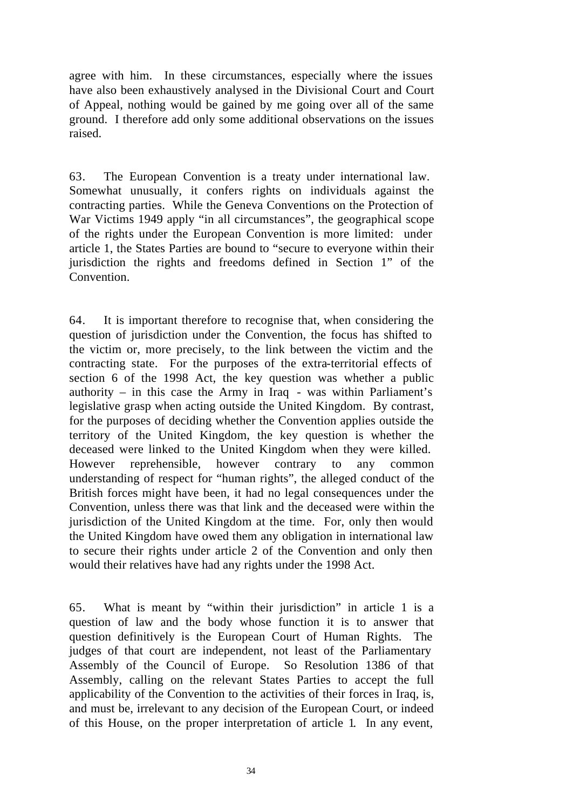agree with him. In these circumstances, especially where the issues have also been exhaustively analysed in the Divisional Court and Court of Appeal, nothing would be gained by me going over all of the same ground. I therefore add only some additional observations on the issues raised.

63. The European Convention is a treaty under international law. Somewhat unusually, it confers rights on individuals against the contracting parties. While the Geneva Conventions on the Protection of War Victims 1949 apply "in all circumstances", the geographical scope of the rights under the European Convention is more limited: under article 1, the States Parties are bound to "secure to everyone within their jurisdiction the rights and freedoms defined in Section 1" of the Convention.

64. It is important therefore to recognise that, when considering the question of jurisdiction under the Convention, the focus has shifted to the victim or, more precisely, to the link between the victim and the contracting state. For the purposes of the extra-territorial effects of section 6 of the 1998 Act, the key question was whether a public authority – in this case the Army in Iraq - was within Parliament's legislative grasp when acting outside the United Kingdom. By contrast, for the purposes of deciding whether the Convention applies outside the territory of the United Kingdom, the key question is whether the deceased were linked to the United Kingdom when they were killed. However reprehensible, however contrary to any common understanding of respect for "human rights", the alleged conduct of the British forces might have been, it had no legal consequences under the Convention, unless there was that link and the deceased were within the jurisdiction of the United Kingdom at the time. For, only then would the United Kingdom have owed them any obligation in international law to secure their rights under article 2 of the Convention and only then would their relatives have had any rights under the 1998 Act.

65. What is meant by "within their jurisdiction" in article 1 is a question of law and the body whose function it is to answer that question definitively is the European Court of Human Rights. The judges of that court are independent, not least of the Parliamentary Assembly of the Council of Europe. So Resolution 1386 of that Assembly, calling on the relevant States Parties to accept the full applicability of the Convention to the activities of their forces in Iraq, is, and must be, irrelevant to any decision of the European Court, or indeed of this House, on the proper interpretation of article 1. In any event,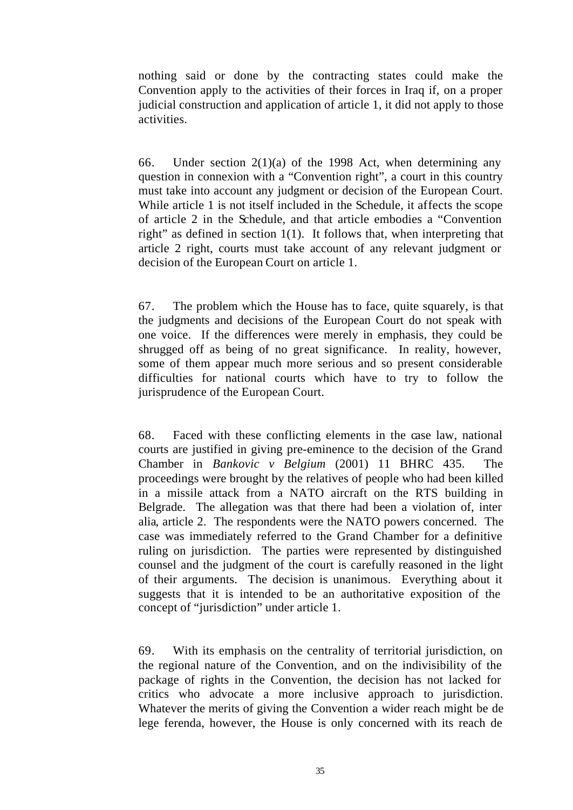nothing said or done by the contracting states could make the Convention apply to the activities of their forces in Iraq if, on a proper judicial construction and application of article 1, it did not apply to those activities.

66. Under section 2(1)(a) of the 1998 Act, when determining any question in connexion with a "Convention right", a court in this country must take into account any judgment or decision of the European Court. While article 1 is not itself included in the Schedule, it affects the scope of article 2 in the Schedule, and that article embodies a "Convention right" as defined in section 1(1). It follows that, when interpreting that article 2 right, courts must take account of any relevant judgment or decision of the European Court on article 1.

67. The problem which the House has to face, quite squarely, is that the judgments and decisions of the European Court do not speak with one voice. If the differences were merely in emphasis, they could be shrugged off as being of no great significance. In reality, however, some of them appear much more serious and so present considerable difficulties for national courts which have to try to follow the jurisprudence of the European Court.

68. Faced with these conflicting elements in the case law, national courts are justified in giving pre-eminence to the decision of the Grand Chamber in *Bankovic v Belgium* (2001) 11 BHRC 435. The proceedings were brought by the relatives of people who had been killed in a missile attack from a NATO aircraft on the RTS building in Belgrade. The allegation was that there had been a violation of, inter alia, article 2. The respondents were the NATO powers concerned. The case was immediately referred to the Grand Chamber for a definitive ruling on jurisdiction. The parties were represented by distinguished counsel and the judgment of the court is carefully reasoned in the light of their arguments. The decision is unanimous. Everything about it suggests that it is intended to be an authoritative exposition of the concept of "jurisdiction" under article 1.

69. With its emphasis on the centrality of territorial jurisdiction, on the regional nature of the Convention, and on the indivisibility of the package of rights in the Convention, the decision has not lacked for critics who advocate a more inclusive approach to jurisdiction. Whatever the merits of giving the Convention a wider reach might be de lege ferenda, however, the House is only concerned with its reach de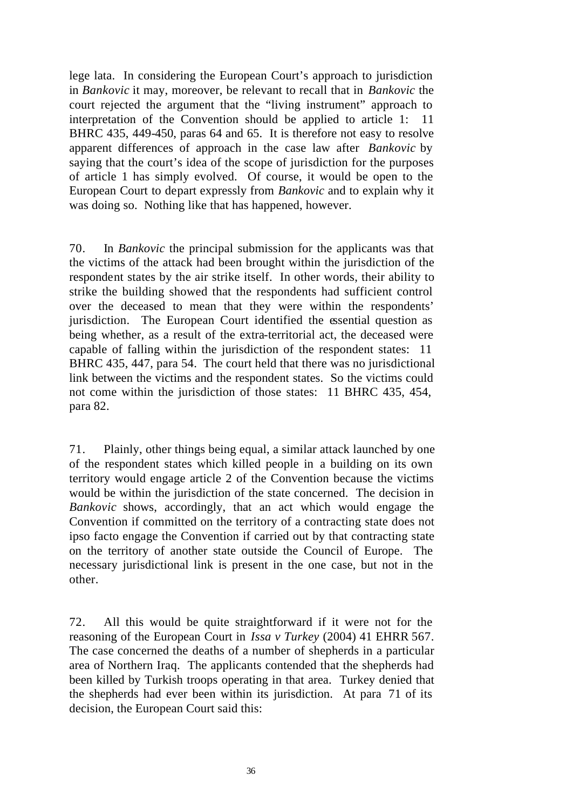lege lata. In considering the European Court's approach to jurisdiction in *Bankovic* it may, moreover, be relevant to recall that in *Bankovic* the court rejected the argument that the "living instrument" approach to interpretation of the Convention should be applied to article 1: 11 BHRC 435, 449-450, paras 64 and 65. It is therefore not easy to resolve apparent differences of approach in the case law after *Bankovic* by saying that the court's idea of the scope of jurisdiction for the purposes of article 1 has simply evolved. Of course, it would be open to the European Court to depart expressly from *Bankovic* and to explain why it was doing so. Nothing like that has happened, however.

70. In *Bankovic* the principal submission for the applicants was that the victims of the attack had been brought within the jurisdiction of the respondent states by the air strike itself. In other words, their ability to strike the building showed that the respondents had sufficient control over the deceased to mean that they were within the respondents' jurisdiction. The European Court identified the essential question as being whether, as a result of the extra-territorial act, the deceased were capable of falling within the jurisdiction of the respondent states: 11 BHRC 435, 447, para 54. The court held that there was no jurisdictional link between the victims and the respondent states. So the victims could not come within the jurisdiction of those states: 11 BHRC 435, 454, para 82.

71. Plainly, other things being equal, a similar attack launched by one of the respondent states which killed people in a building on its own territory would engage article 2 of the Convention because the victims would be within the jurisdiction of the state concerned. The decision in *Bankovic* shows, accordingly, that an act which would engage the Convention if committed on the territory of a contracting state does not ipso facto engage the Convention if carried out by that contracting state on the territory of another state outside the Council of Europe. The necessary jurisdictional link is present in the one case, but not in the other.

72. All this would be quite straightforward if it were not for the reasoning of the European Court in *Issa v Turkey* (2004) 41 EHRR 567. The case concerned the deaths of a number of shepherds in a particular area of Northern Iraq. The applicants contended that the shepherds had been killed by Turkish troops operating in that area. Turkey denied that the shepherds had ever been within its jurisdiction. At para 71 of its decision, the European Court said this: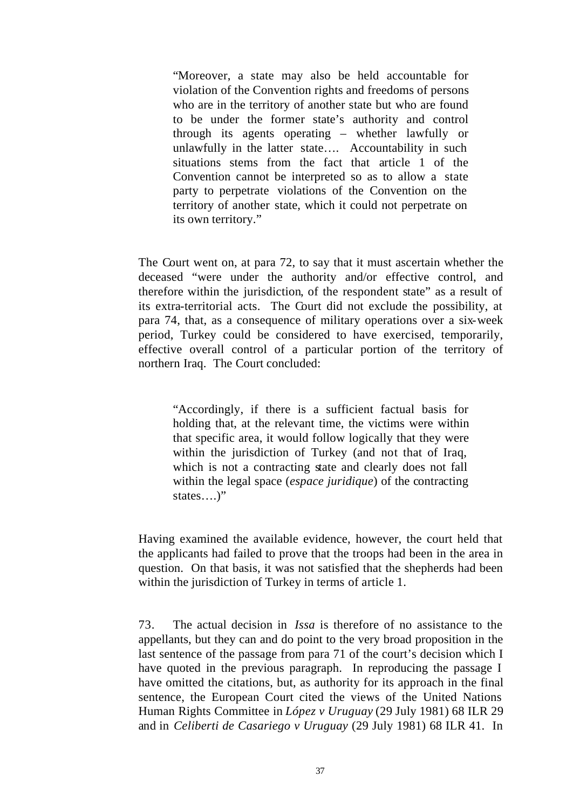"Moreover, a state may also be held accountable for violation of the Convention rights and freedoms of persons who are in the territory of another state but who are found to be under the former state's authority and control through its agents operating – whether lawfully or unlawfully in the latter state…. Accountability in such situations stems from the fact that article 1 of the Convention cannot be interpreted so as to allow a state party to perpetrate violations of the Convention on the territory of another state, which it could not perpetrate on its own territory."

The Court went on, at para 72, to say that it must ascertain whether the deceased "were under the authority and/or effective control, and therefore within the jurisdiction, of the respondent state" as a result of its extra-territorial acts. The Court did not exclude the possibility, at para 74, that, as a consequence of military operations over a six-week period, Turkey could be considered to have exercised, temporarily, effective overall control of a particular portion of the territory of northern Iraq. The Court concluded:

"Accordingly, if there is a sufficient factual basis for holding that, at the relevant time, the victims were within that specific area, it would follow logically that they were within the jurisdiction of Turkey (and not that of Iraq, which is not a contracting state and clearly does not fall within the legal space (*espace juridique*) of the contracting states....)"

Having examined the available evidence, however, the court held that the applicants had failed to prove that the troops had been in the area in question. On that basis, it was not satisfied that the shepherds had been within the jurisdiction of Turkey in terms of article 1.

73. The actual decision in *Issa* is therefore of no assistance to the appellants, but they can and do point to the very broad proposition in the last sentence of the passage from para 71 of the court's decision which I have quoted in the previous paragraph. In reproducing the passage I have omitted the citations, but, as authority for its approach in the final sentence, the European Court cited the views of the United Nations Human Rights Committee in *López v Uruguay* (29 July 1981) 68 ILR 29 and in *Celiberti de Casariego v Uruguay* (29 July 1981) 68 ILR 41. In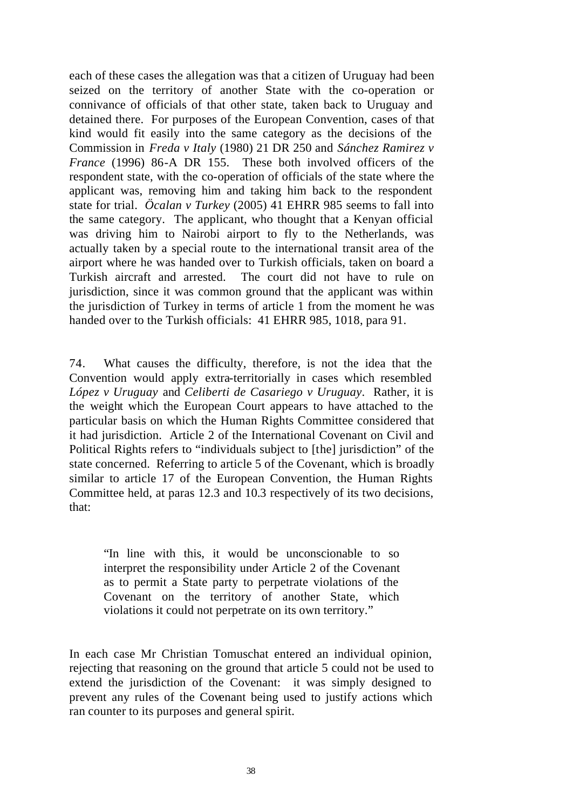each of these cases the allegation was that a citizen of Uruguay had been seized on the territory of another State with the co-operation or connivance of officials of that other state, taken back to Uruguay and detained there. For purposes of the European Convention, cases of that kind would fit easily into the same category as the decisions of the Commission in *Freda v Italy* (1980) 21 DR 250 and *Sánchez Ramirez v France* (1996) 86-A DR 155. These both involved officers of the respondent state, with the co-operation of officials of the state where the applicant was, removing him and taking him back to the respondent state for trial. *Öcalan v Turkey* (2005) 41 EHRR 985 seems to fall into the same category. The applicant, who thought that a Kenyan official was driving him to Nairobi airport to fly to the Netherlands, was actually taken by a special route to the international transit area of the airport where he was handed over to Turkish officials, taken on board a Turkish aircraft and arrested. The court did not have to rule on jurisdiction, since it was common ground that the applicant was within the jurisdiction of Turkey in terms of article 1 from the moment he was handed over to the Turkish officials: 41 EHRR 985, 1018, para 91.

74. What causes the difficulty, therefore, is not the idea that the Convention would apply extra-territorially in cases which resembled *López v Uruguay* and *Celiberti de Casariego v Uruguay*. Rather, it is the weight which the European Court appears to have attached to the particular basis on which the Human Rights Committee considered that it had jurisdiction. Article 2 of the International Covenant on Civil and Political Rights refers to "individuals subject to [the] jurisdiction" of the state concerned. Referring to article 5 of the Covenant, which is broadly similar to article 17 of the European Convention, the Human Rights Committee held, at paras 12.3 and 10.3 respectively of its two decisions, that:

"In line with this, it would be unconscionable to so interpret the responsibility under Article 2 of the Covenant as to permit a State party to perpetrate violations of the Covenant on the territory of another State, which violations it could not perpetrate on its own territory."

In each case Mr Christian Tomuschat entered an individual opinion, rejecting that reasoning on the ground that article 5 could not be used to extend the jurisdiction of the Covenant: it was simply designed to prevent any rules of the Covenant being used to justify actions which ran counter to its purposes and general spirit.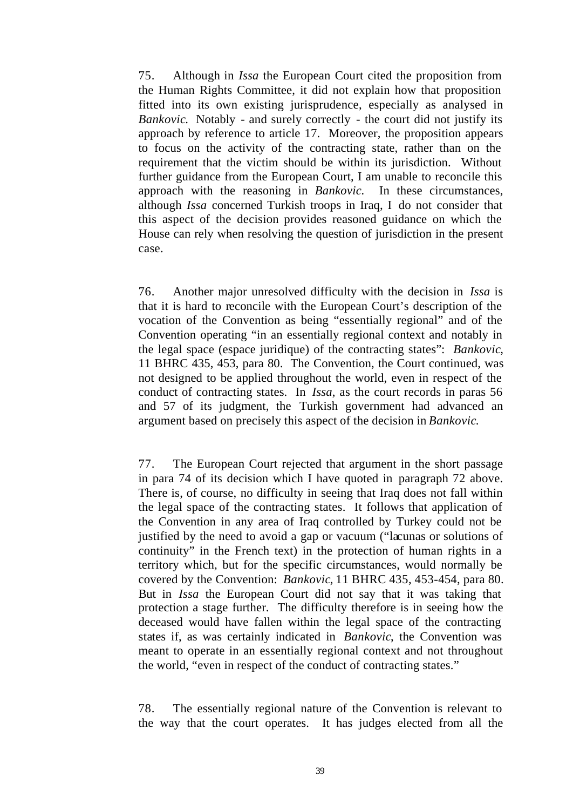75. Although in *Issa* the European Court cited the proposition from the Human Rights Committee, it did not explain how that proposition fitted into its own existing jurisprudence, especially as analysed in *Bankovic*. Notably - and surely correctly - the court did not justify its approach by reference to article 17. Moreover, the proposition appears to focus on the activity of the contracting state, rather than on the requirement that the victim should be within its jurisdiction. Without further guidance from the European Court, I am unable to reconcile this approach with the reasoning in *Bankovic.* In these circumstances, although *Issa* concerned Turkish troops in Iraq, I do not consider that this aspect of the decision provides reasoned guidance on which the House can rely when resolving the question of jurisdiction in the present case.

76. Another major unresolved difficulty with the decision in *Issa* is that it is hard to reconcile with the European Court's description of the vocation of the Convention as being "essentially regional" and of the Convention operating "in an essentially regional context and notably in the legal space (espace juridique) of the contracting states": *Bankovic*, 11 BHRC 435, 453, para 80. The Convention, the Court continued, was not designed to be applied throughout the world, even in respect of the conduct of contracting states. In *Issa*, as the court records in paras 56 and 57 of its judgment, the Turkish government had advanced an argument based on precisely this aspect of the decision in *Bankovic*.

77. The European Court rejected that argument in the short passage in para 74 of its decision which I have quoted in paragraph 72 above. There is, of course, no difficulty in seeing that Iraq does not fall within the legal space of the contracting states. It follows that application of the Convention in any area of Iraq controlled by Turkey could not be justified by the need to avoid a gap or vacuum ("lacunas or solutions of continuity" in the French text) in the protection of human rights in a territory which, but for the specific circumstances, would normally be covered by the Convention: *Bankovic*, 11 BHRC 435, 453-454, para 80. But in *Issa* the European Court did not say that it was taking that protection a stage further. The difficulty therefore is in seeing how the deceased would have fallen within the legal space of the contracting states if, as was certainly indicated in *Bankovic*, the Convention was meant to operate in an essentially regional context and not throughout the world, "even in respect of the conduct of contracting states."

78. The essentially regional nature of the Convention is relevant to the way that the court operates. It has judges elected from all the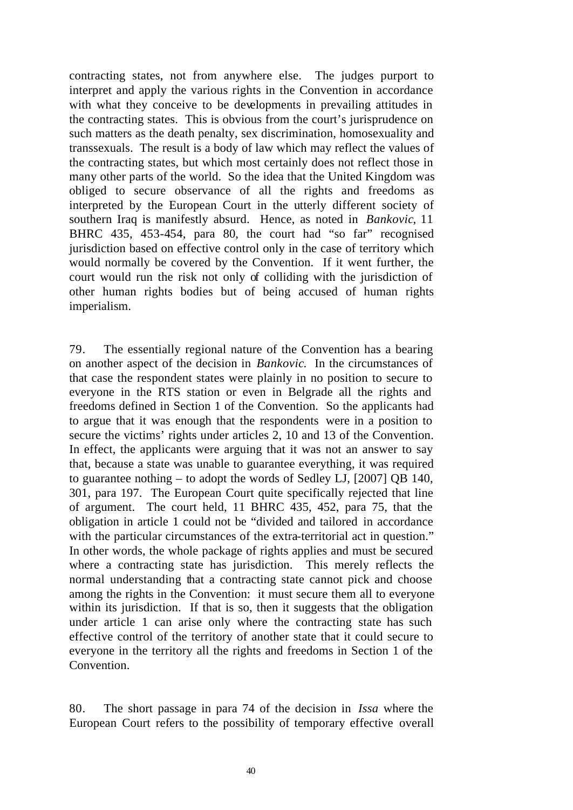contracting states, not from anywhere else. The judges purport to interpret and apply the various rights in the Convention in accordance with what they conceive to be developments in prevailing attitudes in the contracting states. This is obvious from the court's jurisprudence on such matters as the death penalty, sex discrimination, homosexuality and transsexuals. The result is a body of law which may reflect the values of the contracting states, but which most certainly does not reflect those in many other parts of the world. So the idea that the United Kingdom was obliged to secure observance of all the rights and freedoms as interpreted by the European Court in the utterly different society of southern Iraq is manifestly absurd. Hence, as noted in *Bankovic*, 11 BHRC 435, 453-454, para 80, the court had "so far" recognised jurisdiction based on effective control only in the case of territory which would normally be covered by the Convention. If it went further, the court would run the risk not only of colliding with the jurisdiction of other human rights bodies but of being accused of human rights imperialism.

79. The essentially regional nature of the Convention has a bearing on another aspect of the decision in *Bankovic*. In the circumstances of that case the respondent states were plainly in no position to secure to everyone in the RTS station or even in Belgrade all the rights and freedoms defined in Section 1 of the Convention. So the applicants had to argue that it was enough that the respondents were in a position to secure the victims' rights under articles 2, 10 and 13 of the Convention. In effect, the applicants were arguing that it was not an answer to say that, because a state was unable to guarantee everything, it was required to guarantee nothing – to adopt the words of Sedley LJ, [2007] QB 140, 301, para 197. The European Court quite specifically rejected that line of argument. The court held, 11 BHRC 435, 452, para 75, that the obligation in article 1 could not be "divided and tailored in accordance with the particular circumstances of the extra-territorial act in question." In other words, the whole package of rights applies and must be secured where a contracting state has jurisdiction. This merely reflects the normal understanding that a contracting state cannot pick and choose among the rights in the Convention: it must secure them all to everyone within its jurisdiction. If that is so, then it suggests that the obligation under article 1 can arise only where the contracting state has such effective control of the territory of another state that it could secure to everyone in the territory all the rights and freedoms in Section 1 of the Convention.

80. The short passage in para 74 of the decision in *Issa* where the European Court refers to the possibility of temporary effective overall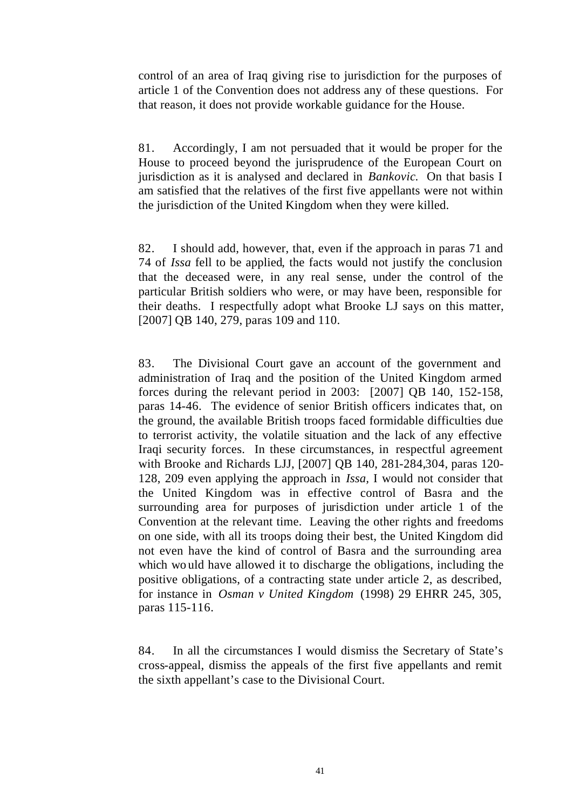control of an area of Iraq giving rise to jurisdiction for the purposes of article 1 of the Convention does not address any of these questions. For that reason, it does not provide workable guidance for the House.

81. Accordingly, I am not persuaded that it would be proper for the House to proceed beyond the jurisprudence of the European Court on jurisdiction as it is analysed and declared in *Bankovic*. On that basis I am satisfied that the relatives of the first five appellants were not within the jurisdiction of the United Kingdom when they were killed.

82. I should add, however, that, even if the approach in paras 71 and 74 of *Issa* fell to be applied, the facts would not justify the conclusion that the deceased were, in any real sense, under the control of the particular British soldiers who were, or may have been, responsible for their deaths. I respectfully adopt what Brooke LJ says on this matter, [2007] QB 140, 279, paras 109 and 110.

83. The Divisional Court gave an account of the government and administration of Iraq and the position of the United Kingdom armed forces during the relevant period in 2003: [2007] QB 140, 152-158, paras 14-46. The evidence of senior British officers indicates that, on the ground, the available British troops faced formidable difficulties due to terrorist activity, the volatile situation and the lack of any effective Iraqi security forces. In these circumstances, in respectful agreement with Brooke and Richards LJJ, [2007] QB 140, 281-284,304, paras 120- 128, 209 even applying the approach in *Issa,* I would not consider that the United Kingdom was in effective control of Basra and the surrounding area for purposes of jurisdiction under article 1 of the Convention at the relevant time. Leaving the other rights and freedoms on one side, with all its troops doing their best, the United Kingdom did not even have the kind of control of Basra and the surrounding area which wo uld have allowed it to discharge the obligations, including the positive obligations, of a contracting state under article 2, as described, for instance in *Osman v United Kingdom* (1998) 29 EHRR 245, 305, paras 115-116.

84. In all the circumstances I would dismiss the Secretary of State's cross-appeal, dismiss the appeals of the first five appellants and remit the sixth appellant's case to the Divisional Court.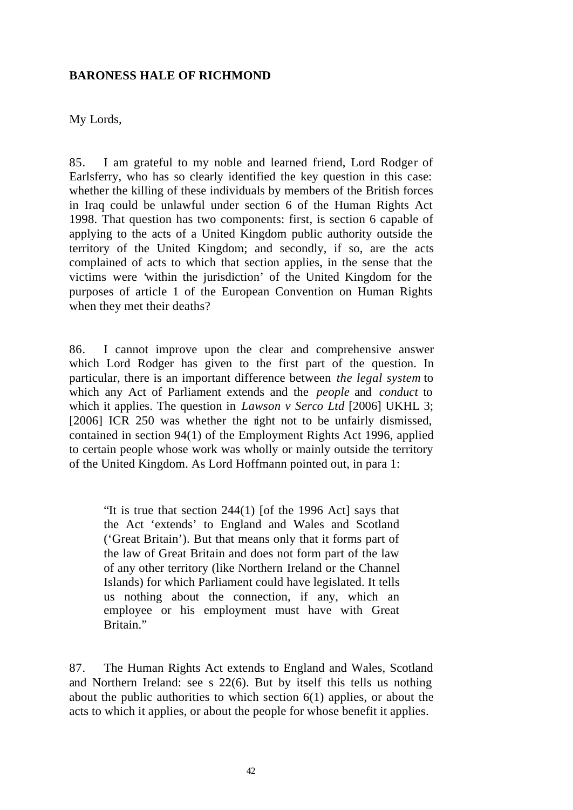#### **BARONESS HALE OF RICHMOND**

My Lords,

85. I am grateful to my noble and learned friend, Lord Rodger of Earlsferry, who has so clearly identified the key question in this case: whether the killing of these individuals by members of the British forces in Iraq could be unlawful under section 6 of the Human Rights Act 1998. That question has two components: first, is section 6 capable of applying to the acts of a United Kingdom public authority outside the territory of the United Kingdom; and secondly, if so, are the acts complained of acts to which that section applies, in the sense that the victims were 'within the jurisdiction' of the United Kingdom for the purposes of article 1 of the European Convention on Human Rights when they met their deaths?

86. I cannot improve upon the clear and comprehensive answer which Lord Rodger has given to the first part of the question. In particular, there is an important difference between *the legal system* to which any Act of Parliament extends and the *people* and *conduct* to which it applies. The question in *Lawson v Serco Ltd* [2006] UKHL 3; [2006] ICR 250 was whether the right not to be unfairly dismissed, contained in section 94(1) of the Employment Rights Act 1996, applied to certain people whose work was wholly or mainly outside the territory of the United Kingdom. As Lord Hoffmann pointed out, in para 1:

"It is true that section 244(1) [of the 1996 Act] says that the Act 'extends' to England and Wales and Scotland ('Great Britain'). But that means only that it forms part of the law of Great Britain and does not form part of the law of any other territory (like Northern Ireland or the Channel Islands) for which Parliament could have legislated. It tells us nothing about the connection, if any, which an employee or his employment must have with Great Britain."

87. The Human Rights Act extends to England and Wales, Scotland and Northern Ireland: see s 22(6). But by itself this tells us nothing about the public authorities to which section  $6(1)$  applies, or about the acts to which it applies, or about the people for whose benefit it applies.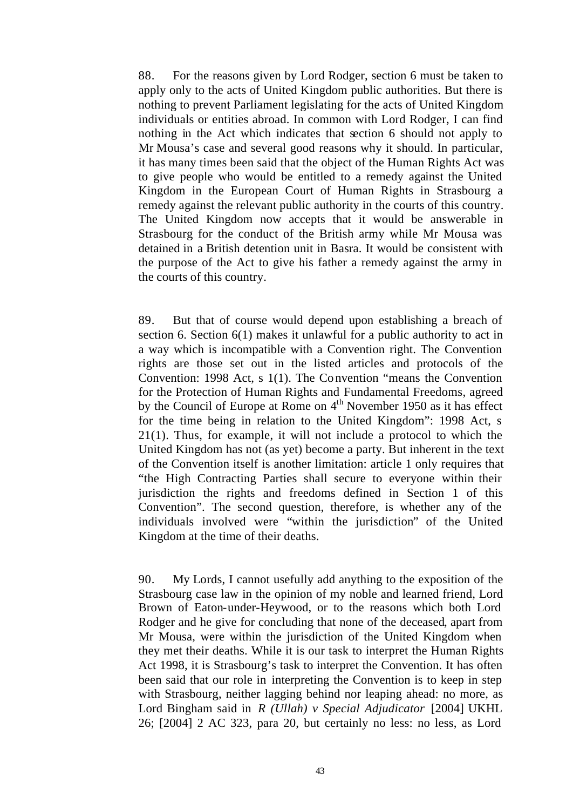88. For the reasons given by Lord Rodger, section 6 must be taken to apply only to the acts of United Kingdom public authorities. But there is nothing to prevent Parliament legislating for the acts of United Kingdom individuals or entities abroad. In common with Lord Rodger, I can find nothing in the Act which indicates that section 6 should not apply to Mr Mousa's case and several good reasons why it should. In particular, it has many times been said that the object of the Human Rights Act was to give people who would be entitled to a remedy against the United Kingdom in the European Court of Human Rights in Strasbourg a remedy against the relevant public authority in the courts of this country. The United Kingdom now accepts that it would be answerable in Strasbourg for the conduct of the British army while Mr Mousa was detained in a British detention unit in Basra. It would be consistent with the purpose of the Act to give his father a remedy against the army in the courts of this country.

89. But that of course would depend upon establishing a breach of section 6. Section 6(1) makes it unlawful for a public authority to act in a way which is incompatible with a Convention right. The Convention rights are those set out in the listed articles and protocols of the Convention: 1998 Act, s 1(1). The Convention "means the Convention for the Protection of Human Rights and Fundamental Freedoms, agreed by the Council of Europe at Rome on  $4<sup>th</sup>$  November 1950 as it has effect for the time being in relation to the United Kingdom": 1998 Act, s 21(1). Thus, for example, it will not include a protocol to which the United Kingdom has not (as yet) become a party. But inherent in the text of the Convention itself is another limitation: article 1 only requires that "the High Contracting Parties shall secure to everyone within their jurisdiction the rights and freedoms defined in Section 1 of this Convention". The second question, therefore, is whether any of the individuals involved were "within the jurisdiction" of the United Kingdom at the time of their deaths.

90. My Lords, I cannot usefully add anything to the exposition of the Strasbourg case law in the opinion of my noble and learned friend, Lord Brown of Eaton-under-Heywood, or to the reasons which both Lord Rodger and he give for concluding that none of the deceased, apart from Mr Mousa, were within the jurisdiction of the United Kingdom when they met their deaths. While it is our task to interpret the Human Rights Act 1998, it is Strasbourg's task to interpret the Convention. It has often been said that our role in interpreting the Convention is to keep in step with Strasbourg, neither lagging behind nor leaping ahead: no more, as Lord Bingham said in *R (Ullah) v Special Adjudicator* [2004] UKHL 26; [2004] 2 AC 323, para 20, but certainly no less: no less, as Lord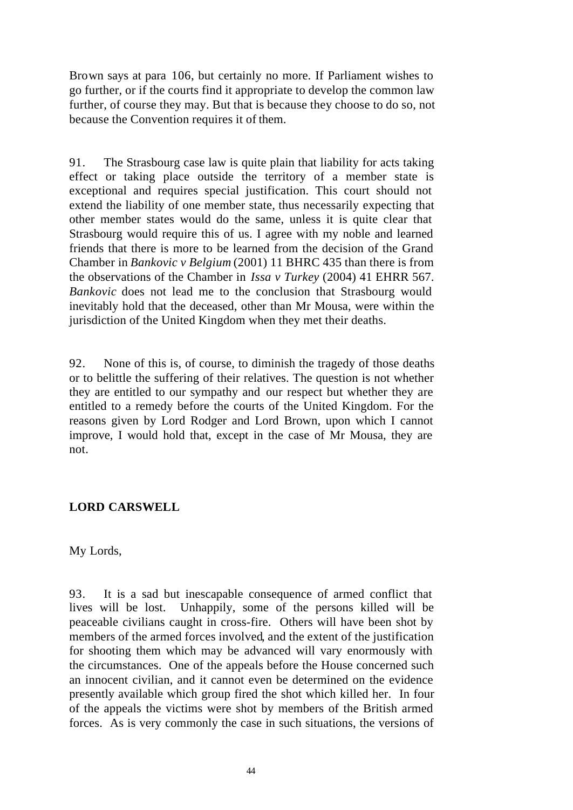Brown says at para 106, but certainly no more. If Parliament wishes to go further, or if the courts find it appropriate to develop the common law further, of course they may. But that is because they choose to do so, not because the Convention requires it of them.

91. The Strasbourg case law is quite plain that liability for acts taking effect or taking place outside the territory of a member state is exceptional and requires special justification. This court should not extend the liability of one member state, thus necessarily expecting that other member states would do the same, unless it is quite clear that Strasbourg would require this of us. I agree with my noble and learned friends that there is more to be learned from the decision of the Grand Chamber in *Bankovic v Belgium* (2001) 11 BHRC 435 than there is from the observations of the Chamber in *Issa v Turkey* (2004) 41 EHRR 567. *Bankovic* does not lead me to the conclusion that Strasbourg would inevitably hold that the deceased, other than Mr Mousa, were within the jurisdiction of the United Kingdom when they met their deaths.

92. None of this is, of course, to diminish the tragedy of those deaths or to belittle the suffering of their relatives. The question is not whether they are entitled to our sympathy and our respect but whether they are entitled to a remedy before the courts of the United Kingdom. For the reasons given by Lord Rodger and Lord Brown, upon which I cannot improve, I would hold that, except in the case of Mr Mousa, they are not.

#### **LORD CARSWELL**

My Lords,

93. It is a sad but inescapable consequence of armed conflict that lives will be lost. Unhappily, some of the persons killed will be peaceable civilians caught in cross-fire. Others will have been shot by members of the armed forces involved, and the extent of the justification for shooting them which may be advanced will vary enormously with the circumstances. One of the appeals before the House concerned such an innocent civilian, and it cannot even be determined on the evidence presently available which group fired the shot which killed her. In four of the appeals the victims were shot by members of the British armed forces. As is very commonly the case in such situations, the versions of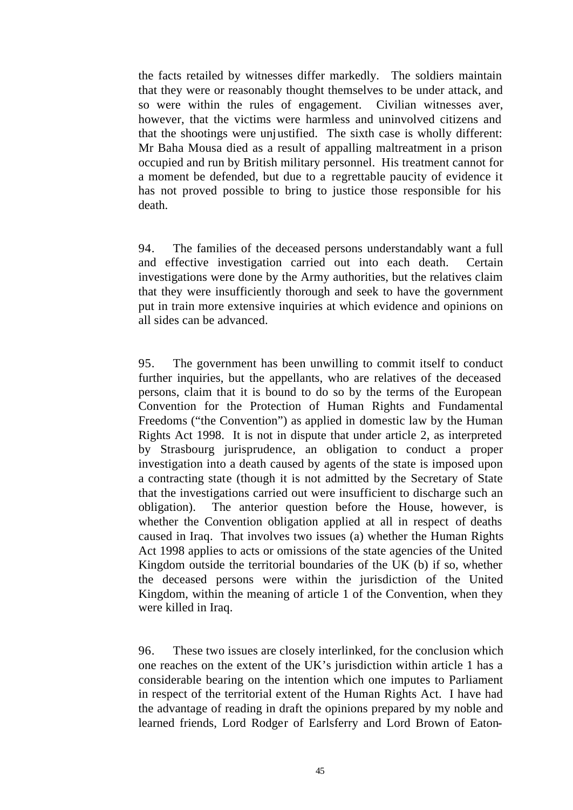the facts retailed by witnesses differ markedly. The soldiers maintain that they were or reasonably thought themselves to be under attack, and so were within the rules of engagement. Civilian witnesses aver, however, that the victims were harmless and uninvolved citizens and that the shootings were unjustified. The sixth case is wholly different: Mr Baha Mousa died as a result of appalling maltreatment in a prison occupied and run by British military personnel. His treatment cannot for a moment be defended, but due to a regrettable paucity of evidence it has not proved possible to bring to justice those responsible for his death.

94. The families of the deceased persons understandably want a full and effective investigation carried out into each death. Certain investigations were done by the Army authorities, but the relatives claim that they were insufficiently thorough and seek to have the government put in train more extensive inquiries at which evidence and opinions on all sides can be advanced.

95. The government has been unwilling to commit itself to conduct further inquiries, but the appellants, who are relatives of the deceased persons, claim that it is bound to do so by the terms of the European Convention for the Protection of Human Rights and Fundamental Freedoms ("the Convention") as applied in domestic law by the Human Rights Act 1998. It is not in dispute that under article 2, as interpreted by Strasbourg jurisprudence, an obligation to conduct a proper investigation into a death caused by agents of the state is imposed upon a contracting state (though it is not admitted by the Secretary of State that the investigations carried out were insufficient to discharge such an obligation). The anterior question before the House, however, is whether the Convention obligation applied at all in respect of deaths caused in Iraq. That involves two issues (a) whether the Human Rights Act 1998 applies to acts or omissions of the state agencies of the United Kingdom outside the territorial boundaries of the UK (b) if so, whether the deceased persons were within the jurisdiction of the United Kingdom, within the meaning of article 1 of the Convention, when they were killed in Iraq.

96. These two issues are closely interlinked, for the conclusion which one reaches on the extent of the UK's jurisdiction within article 1 has a considerable bearing on the intention which one imputes to Parliament in respect of the territorial extent of the Human Rights Act. I have had the advantage of reading in draft the opinions prepared by my noble and learned friends, Lord Rodger of Earlsferry and Lord Brown of Eaton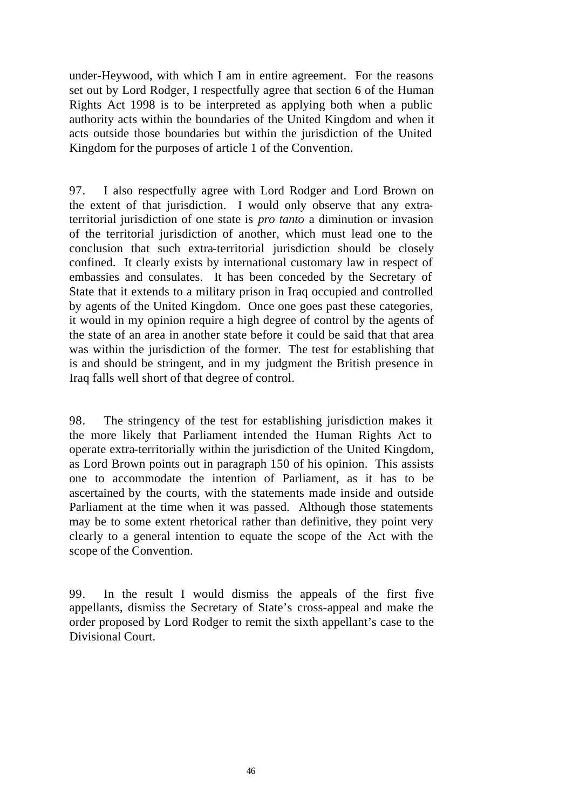under-Heywood, with which I am in entire agreement. For the reasons set out by Lord Rodger, I respectfully agree that section 6 of the Human Rights Act 1998 is to be interpreted as applying both when a public authority acts within the boundaries of the United Kingdom and when it acts outside those boundaries but within the jurisdiction of the United Kingdom for the purposes of article 1 of the Convention.

97. I also respectfully agree with Lord Rodger and Lord Brown on the extent of that jurisdiction. I would only observe that any extraterritorial jurisdiction of one state is *pro tanto* a diminution or invasion of the territorial jurisdiction of another, which must lead one to the conclusion that such extra-territorial jurisdiction should be closely confined. It clearly exists by international customary law in respect of embassies and consulates. It has been conceded by the Secretary of State that it extends to a military prison in Iraq occupied and controlled by agents of the United Kingdom. Once one goes past these categories, it would in my opinion require a high degree of control by the agents of the state of an area in another state before it could be said that that area was within the jurisdiction of the former. The test for establishing that is and should be stringent, and in my judgment the British presence in Iraq falls well short of that degree of control.

98. The stringency of the test for establishing jurisdiction makes it the more likely that Parliament intended the Human Rights Act to operate extra-territorially within the jurisdiction of the United Kingdom, as Lord Brown points out in paragraph 150 of his opinion. This assists one to accommodate the intention of Parliament, as it has to be ascertained by the courts, with the statements made inside and outside Parliament at the time when it was passed. Although those statements may be to some extent rhetorical rather than definitive, they point very clearly to a general intention to equate the scope of the Act with the scope of the Convention.

99. In the result I would dismiss the appeals of the first five appellants, dismiss the Secretary of State's cross-appeal and make the order proposed by Lord Rodger to remit the sixth appellant's case to the Divisional Court.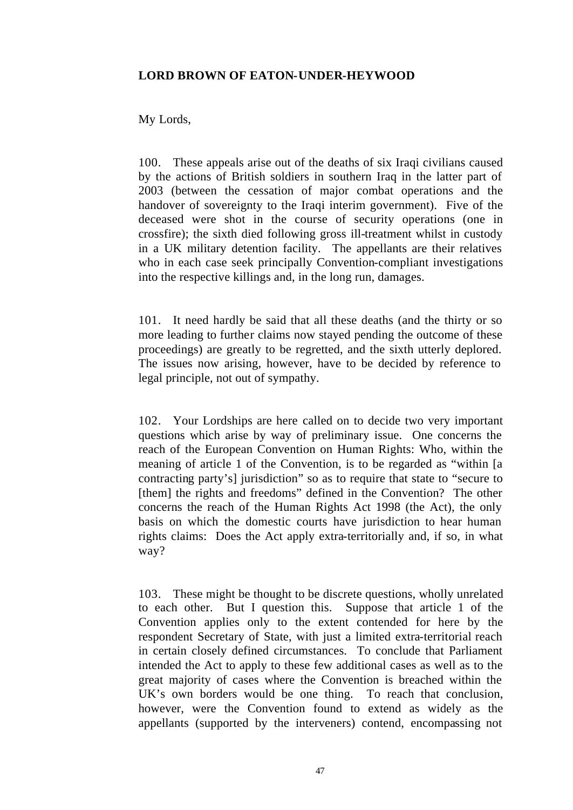#### **LORD BROWN OF EATON-UNDER-HEYWOOD**

#### My Lords,

100. These appeals arise out of the deaths of six Iraqi civilians caused by the actions of British soldiers in southern Iraq in the latter part of 2003 (between the cessation of major combat operations and the handover of sovereignty to the Iraqi interim government). Five of the deceased were shot in the course of security operations (one in crossfire); the sixth died following gross ill-treatment whilst in custody in a UK military detention facility. The appellants are their relatives who in each case seek principally Convention-compliant investigations into the respective killings and, in the long run, damages.

101. It need hardly be said that all these deaths (and the thirty or so more leading to further claims now stayed pending the outcome of these proceedings) are greatly to be regretted, and the sixth utterly deplored. The issues now arising, however, have to be decided by reference to legal principle, not out of sympathy.

102. Your Lordships are here called on to decide two very important questions which arise by way of preliminary issue. One concerns the reach of the European Convention on Human Rights: Who, within the meaning of article 1 of the Convention, is to be regarded as "within [a contracting party's] jurisdiction" so as to require that state to "secure to [them] the rights and freedoms" defined in the Convention? The other concerns the reach of the Human Rights Act 1998 (the Act), the only basis on which the domestic courts have jurisdiction to hear human rights claims: Does the Act apply extra-territorially and, if so, in what way?

103. These might be thought to be discrete questions, wholly unrelated to each other. But I question this. Suppose that article 1 of the Convention applies only to the extent contended for here by the respondent Secretary of State, with just a limited extra-territorial reach in certain closely defined circumstances. To conclude that Parliament intended the Act to apply to these few additional cases as well as to the great majority of cases where the Convention is breached within the UK's own borders would be one thing. To reach that conclusion, however, were the Convention found to extend as widely as the appellants (supported by the interveners) contend, encompassing not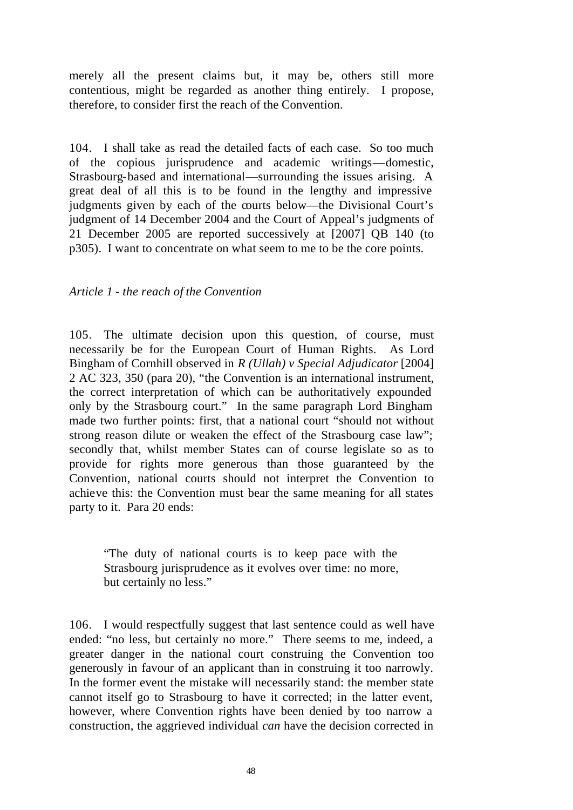merely all the present claims but, it may be, others still more contentious, might be regarded as another thing entirely. I propose, therefore, to consider first the reach of the Convention.

104. I shall take as read the detailed facts of each case. So too much of the copious jurisprudence and academic writings—domestic, Strasbourg-based and international—surrounding the issues arising. A great deal of all this is to be found in the lengthy and impressive judgments given by each of the courts below—the Divisional Court's judgment of 14 December 2004 and the Court of Appeal's judgments of 21 December 2005 are reported successively at [2007] QB 140 (to p305). I want to concentrate on what seem to me to be the core points.

#### *Article 1 - the reach of the Convention*

105. The ultimate decision upon this question, of course, must necessarily be for the European Court of Human Rights. As Lord Bingham of Cornhill observed in *R (Ullah) v Special Adjudicator* [2004] 2 AC 323, 350 (para 20), "the Convention is an international instrument, the correct interpretation of which can be authoritatively expounded only by the Strasbourg court." In the same paragraph Lord Bingham made two further points: first, that a national court "should not without strong reason dilute or weaken the effect of the Strasbourg case law"; secondly that, whilst member States can of course legislate so as to provide for rights more generous than those guaranteed by the Convention, national courts should not interpret the Convention to achieve this: the Convention must bear the same meaning for all states party to it. Para 20 ends:

"The duty of national courts is to keep pace with the Strasbourg jurisprudence as it evolves over time: no more, but certainly no less."

106. I would respectfully suggest that last sentence could as well have ended: "no less, but certainly no more." There seems to me, indeed, a greater danger in the national court construing the Convention too generously in favour of an applicant than in construing it too narrowly. In the former event the mistake will necessarily stand: the member state cannot itself go to Strasbourg to have it corrected; in the latter event, however, where Convention rights have been denied by too narrow a construction, the aggrieved individual *can* have the decision corrected in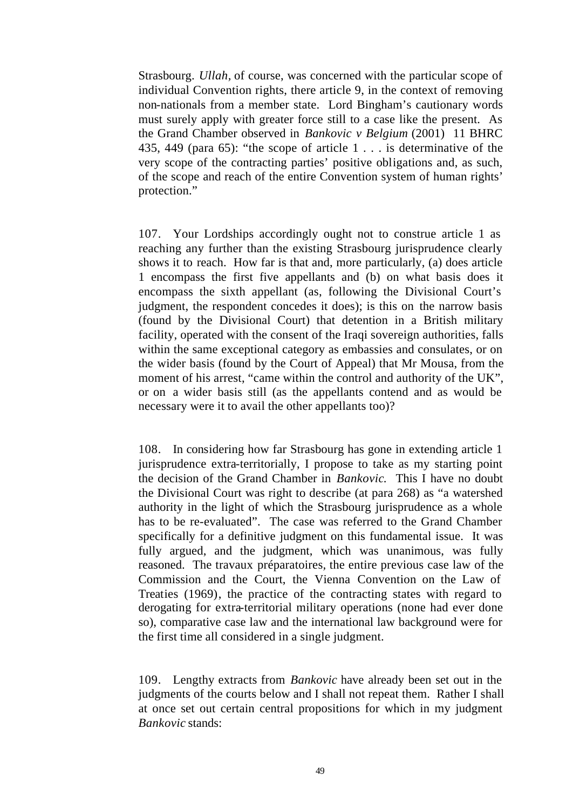Strasbourg. *Ullah,* of course, was concerned with the particular scope of individual Convention rights, there article 9, in the context of removing non-nationals from a member state. Lord Bingham's cautionary words must surely apply with greater force still to a case like the present. As the Grand Chamber observed in *Bankovic v Belgium* (2001) 11 BHRC 435, 449 (para 65): "the scope of article 1 . . . is determinative of the very scope of the contracting parties' positive obligations and, as such, of the scope and reach of the entire Convention system of human rights' protection."

107. Your Lordships accordingly ought not to construe article 1 as reaching any further than the existing Strasbourg jurisprudence clearly shows it to reach. How far is that and, more particularly, (a) does article 1 encompass the first five appellants and (b) on what basis does it encompass the sixth appellant (as, following the Divisional Court's judgment, the respondent concedes it does); is this on the narrow basis (found by the Divisional Court) that detention in a British military facility, operated with the consent of the Iraqi sovereign authorities, falls within the same exceptional category as embassies and consulates, or on the wider basis (found by the Court of Appeal) that Mr Mousa, from the moment of his arrest, "came within the control and authority of the UK", or on a wider basis still (as the appellants contend and as would be necessary were it to avail the other appellants too)?

108. In considering how far Strasbourg has gone in extending article 1 jurisprudence extra-territorially, I propose to take as my starting point the decision of the Grand Chamber in *Bankovic*. This I have no doubt the Divisional Court was right to describe (at para 268) as "a watershed authority in the light of which the Strasbourg jurisprudence as a whole has to be re-evaluated". The case was referred to the Grand Chamber specifically for a definitive judgment on this fundamental issue. It was fully argued, and the judgment, which was unanimous, was fully reasoned. The travaux préparatoires*,* the entire previous case law of the Commission and the Court, the Vienna Convention on the Law of Treaties (1969), the practice of the contracting states with regard to derogating for extra-territorial military operations (none had ever done so), comparative case law and the international law background were for the first time all considered in a single judgment.

109. Lengthy extracts from *Bankovic* have already been set out in the judgments of the courts below and I shall not repeat them. Rather I shall at once set out certain central propositions for which in my judgment *Bankovic* stands: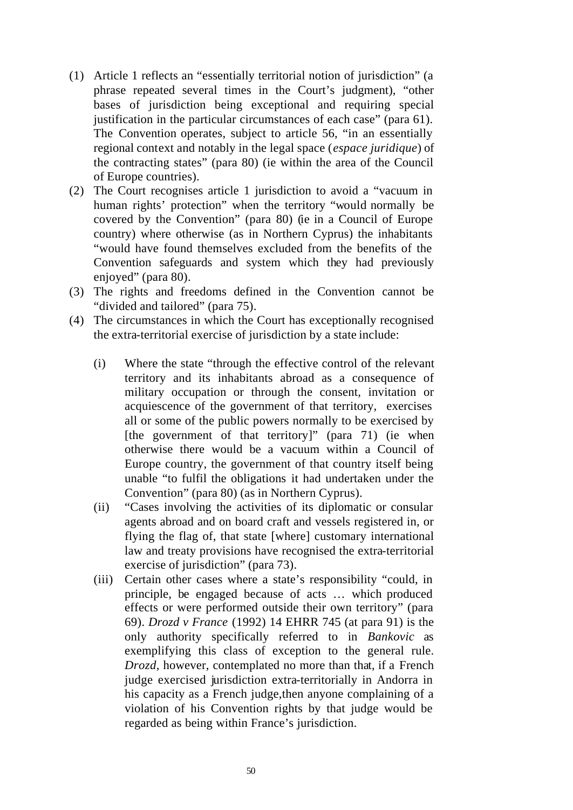- (1) Article 1 reflects an "essentially territorial notion of jurisdiction" (a phrase repeated several times in the Court's judgment), "other bases of jurisdiction being exceptional and requiring special justification in the particular circumstances of each case" (para 61). The Convention operates, subject to article 56, "in an essentially regional context and notably in the legal space (*espace juridique*) of the contracting states" (para 80) (ie within the area of the Council of Europe countries).
- (2) The Court recognises article 1 jurisdiction to avoid a "vacuum in human rights' protection" when the territory "would normally be covered by the Convention" (para 80) (ie in a Council of Europe country) where otherwise (as in Northern Cyprus) the inhabitants "would have found themselves excluded from the benefits of the Convention safeguards and system which they had previously enjoyed" (para 80).
- (3) The rights and freedoms defined in the Convention cannot be "divided and tailored" (para 75).
- (4) The circumstances in which the Court has exceptionally recognised the extra-territorial exercise of jurisdiction by a state include:
	- (i) Where the state "through the effective control of the relevant territory and its inhabitants abroad as a consequence of military occupation or through the consent, invitation or acquiescence of the government of that territory, exercises all or some of the public powers normally to be exercised by [the government of that territory]" (para 71) (ie when otherwise there would be a vacuum within a Council of Europe country, the government of that country itself being unable "to fulfil the obligations it had undertaken under the Convention" (para 80) (as in Northern Cyprus).
	- (ii) "Cases involving the activities of its diplomatic or consular agents abroad and on board craft and vessels registered in, or flying the flag of, that state [where] customary international law and treaty provisions have recognised the extra-territorial exercise of jurisdiction" (para 73).
	- (iii) Certain other cases where a state's responsibility "could, in principle, be engaged because of acts … which produced effects or were performed outside their own territory" (para 69). *Drozd v France* (1992) 14 EHRR 745 (at para 91) is the only authority specifically referred to in *Bankovic* as exemplifying this class of exception to the general rule. *Drozd*, however, contemplated no more than that, if a French judge exercised jurisdiction extra-territorially in Andorra in his capacity as a French judge,then anyone complaining of a violation of his Convention rights by that judge would be regarded as being within France's jurisdiction.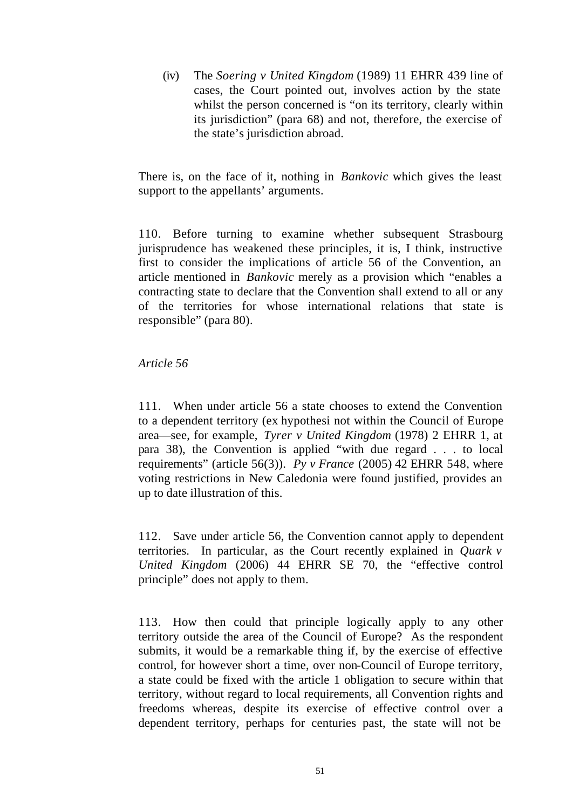(iv) The *Soering v United Kingdom* (1989) 11 EHRR 439 line of cases, the Court pointed out, involves action by the state whilst the person concerned is "on its territory, clearly within its jurisdiction" (para 68) and not, therefore, the exercise of the state's jurisdiction abroad.

There is, on the face of it, nothing in *Bankovic* which gives the least support to the appellants' arguments.

110. Before turning to examine whether subsequent Strasbourg jurisprudence has weakened these principles, it is, I think, instructive first to consider the implications of article 56 of the Convention, an article mentioned in *Bankovic* merely as a provision which "enables a contracting state to declare that the Convention shall extend to all or any of the territories for whose international relations that state is responsible" (para 80).

#### *Article 56*

111. When under article 56 a state chooses to extend the Convention to a dependent territory (ex hypothesi not within the Council of Europe area—see, for example, *Tyrer v United Kingdom* (1978) 2 EHRR 1, at para 38), the Convention is applied "with due regard . . . to local requirements" (article 56(3)). *Py v France* (2005) 42 EHRR 548, where voting restrictions in New Caledonia were found justified, provides an up to date illustration of this.

112. Save under article 56, the Convention cannot apply to dependent territories. In particular, as the Court recently explained in *Quark v United Kingdom* (2006) 44 EHRR SE 70, the "effective control principle" does not apply to them.

113. How then could that principle logically apply to any other territory outside the area of the Council of Europe? As the respondent submits, it would be a remarkable thing if, by the exercise of effective control, for however short a time, over non-Council of Europe territory, a state could be fixed with the article 1 obligation to secure within that territory, without regard to local requirements, all Convention rights and freedoms whereas, despite its exercise of effective control over a dependent territory, perhaps for centuries past, the state will not be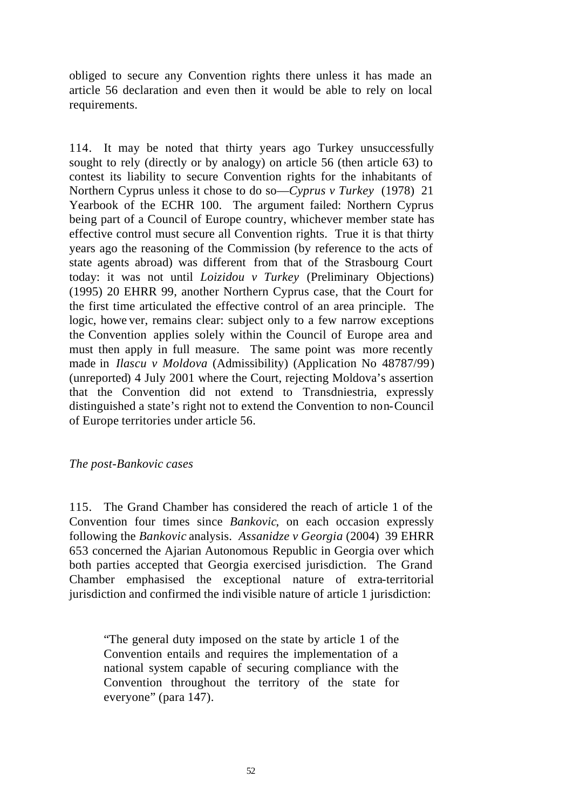obliged to secure any Convention rights there unless it has made an article 56 declaration and even then it would be able to rely on local requirements.

114. It may be noted that thirty years ago Turkey unsuccessfully sought to rely (directly or by analogy) on article 56 (then article 63) to contest its liability to secure Convention rights for the inhabitants of Northern Cyprus unless it chose to do so—*Cyprus v Turkey* (1978) 21 Yearbook of the ECHR 100. The argument failed: Northern Cyprus being part of a Council of Europe country, whichever member state has effective control must secure all Convention rights. True it is that thirty years ago the reasoning of the Commission (by reference to the acts of state agents abroad) was different from that of the Strasbourg Court today: it was not until *Loizidou v Turkey* (Preliminary Objections) (1995) 20 EHRR 99, another Northern Cyprus case, that the Court for the first time articulated the effective control of an area principle. The logic, howe ver, remains clear: subject only to a few narrow exceptions the Convention applies solely within the Council of Europe area and must then apply in full measure. The same point was more recently made in *Ilascu v Moldova* (Admissibility) (Application No 48787/99) (unreported) 4 July 2001 where the Court, rejecting Moldova's assertion that the Convention did not extend to Transdniestria, expressly distinguished a state's right not to extend the Convention to non-Council of Europe territories under article 56.

#### *The post-Bankovic cases*

115. The Grand Chamber has considered the reach of article 1 of the Convention four times since *Bankovic*, on each occasion expressly following the *Bankovic* analysis. *Assanidze v Georgia* (2004) 39 EHRR 653 concerned the Ajarian Autonomous Republic in Georgia over which both parties accepted that Georgia exercised jurisdiction. The Grand Chamber emphasised the exceptional nature of extra-territorial jurisdiction and confirmed the indivisible nature of article 1 jurisdiction:

"The general duty imposed on the state by article 1 of the Convention entails and requires the implementation of a national system capable of securing compliance with the Convention throughout the territory of the state for everyone" (para 147).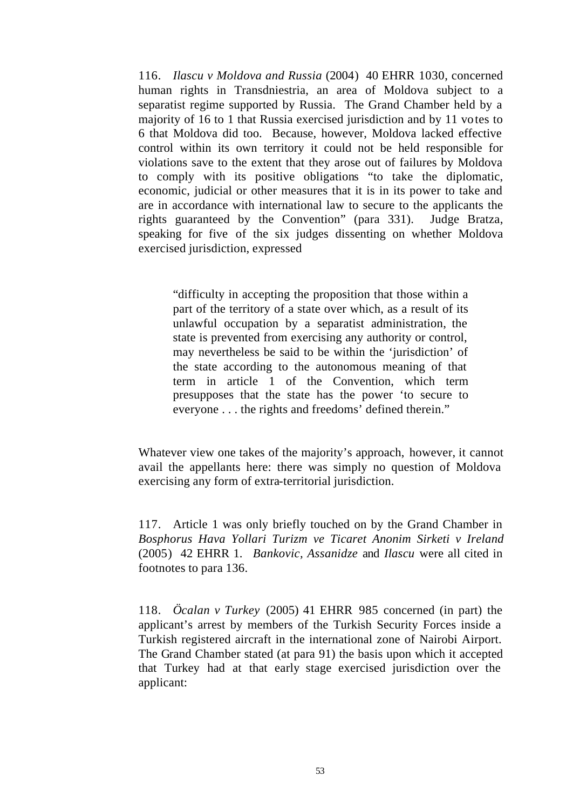116. *Ilascu v Moldova and Russia* (2004) 40 EHRR 1030, concerned human rights in Transdniestria, an area of Moldova subject to a separatist regime supported by Russia. The Grand Chamber held by a majority of 16 to 1 that Russia exercised jurisdiction and by 11 votes to 6 that Moldova did too. Because, however, Moldova lacked effective control within its own territory it could not be held responsible for violations save to the extent that they arose out of failures by Moldova to comply with its positive obligations "to take the diplomatic, economic, judicial or other measures that it is in its power to take and are in accordance with international law to secure to the applicants the rights guaranteed by the Convention" (para 331). Judge Bratza, speaking for five of the six judges dissenting on whether Moldova exercised jurisdiction, expressed

"difficulty in accepting the proposition that those within a part of the territory of a state over which, as a result of its unlawful occupation by a separatist administration, the state is prevented from exercising any authority or control, may nevertheless be said to be within the 'jurisdiction' of the state according to the autonomous meaning of that term in article 1 of the Convention, which term presupposes that the state has the power 'to secure to everyone . . . the rights and freedoms' defined therein."

Whatever view one takes of the majority's approach, however, it cannot avail the appellants here: there was simply no question of Moldova exercising any form of extra-territorial jurisdiction.

117. Article 1 was only briefly touched on by the Grand Chamber in *Bosphorus Hava Yollari Turizm ve Ticaret Anonim Sirketi v Ireland* (2005) 42 EHRR 1. *Bankovic, Assanidze* and *Ilascu* were all cited in footnotes to para 136.

118. *Öcalan v Turkey* (2005) 41 EHRR 985 concerned (in part) the applicant's arrest by members of the Turkish Security Forces inside a Turkish registered aircraft in the international zone of Nairobi Airport. The Grand Chamber stated (at para 91) the basis upon which it accepted that Turkey had at that early stage exercised jurisdiction over the applicant: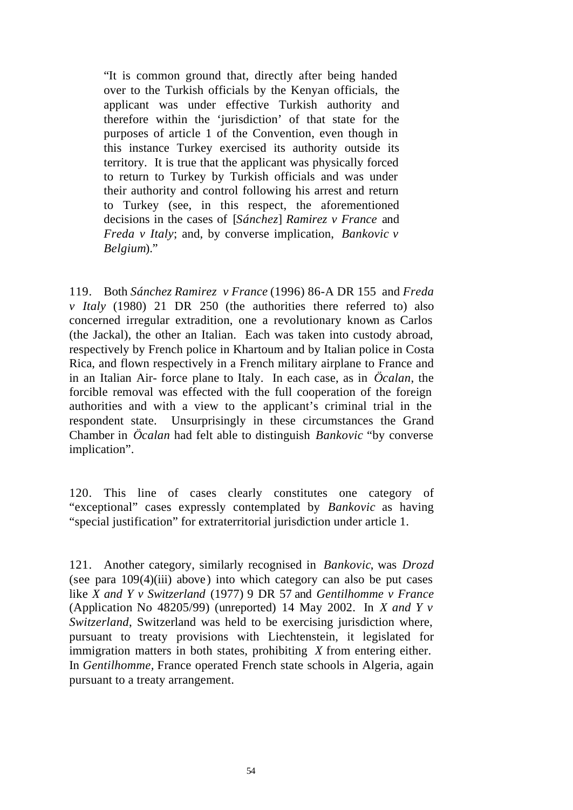"It is common ground that, directly after being handed over to the Turkish officials by the Kenyan officials, the applicant was under effective Turkish authority and therefore within the 'jurisdiction' of that state for the purposes of article 1 of the Convention, even though in this instance Turkey exercised its authority outside its territory. It is true that the applicant was physically forced to return to Turkey by Turkish officials and was under their authority and control following his arrest and return to Turkey (see, in this respect, the aforementioned decisions in the cases of [*Sánchez*] *Ramirez v France* and *Freda v Italy*; and, by converse implication, *Bankovic v Belgium*)."

119. Both *Sánchez Ramirez v France* (1996) 86-A DR 155 and *Freda v Italy* (1980) 21 DR 250 (the authorities there referred to) also concerned irregular extradition, one a revolutionary known as Carlos (the Jackal), the other an Italian. Each was taken into custody abroad, respectively by French police in Khartoum and by Italian police in Costa Rica, and flown respectively in a French military airplane to France and in an Italian Air- force plane to Italy. In each case, as in *Öcalan*, the forcible removal was effected with the full cooperation of the foreign authorities and with a view to the applicant's criminal trial in the respondent state. Unsurprisingly in these circumstances the Grand Chamber in *Öcalan* had felt able to distinguish *Bankovic* "by converse implication".

120. This line of cases clearly constitutes one category of "exceptional" cases expressly contemplated by *Bankovic* as having "special justification" for extraterritorial jurisdiction under article 1.

121. Another category, similarly recognised in *Bankovic*, was *Drozd*  (see para 109(4)(iii) above) into which category can also be put cases like *X and Y v Switzerland* (1977) 9 DR 57 and *Gentilhomme v France* (Application No 48205/99) (unreported) 14 May 2002. In *X and Y v Switzerland*, Switzerland was held to be exercising jurisdiction where, pursuant to treaty provisions with Liechtenstein, it legislated for immigration matters in both states, prohibiting *X* from entering either. In *Gentilhomme,* France operated French state schools in Algeria, again pursuant to a treaty arrangement.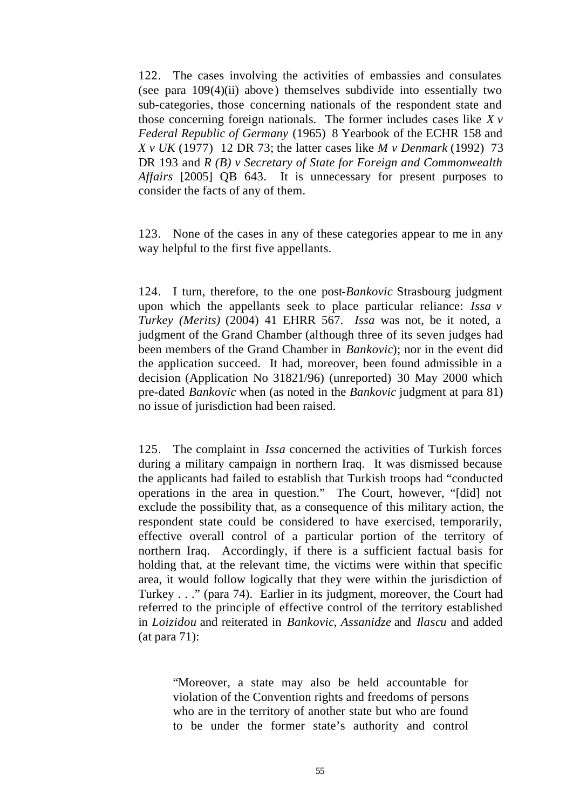122. The cases involving the activities of embassies and consulates (see para  $109(4)$ (ii) above) themselves subdivide into essentially two sub-categories, those concerning nationals of the respondent state and those concerning foreign nationals. The former includes cases like *X v Federal Republic of Germany* (1965) 8 Yearbook of the ECHR 158 and *X v UK* (1977) 12 DR 73; the latter cases like *M v Denmark* (1992) 73 DR 193 and *R (B) v Secretary of State for Foreign and Commonwealth Affairs* [2005] QB 643. It is unnecessary for present purposes to consider the facts of any of them.

123. None of the cases in any of these categories appear to me in any way helpful to the first five appellants.

124. I turn, therefore, to the one post-*Bankovic* Strasbourg judgment upon which the appellants seek to place particular reliance: *Issa v Turkey (Merits)* (2004) 41 EHRR 567. *Issa* was not, be it noted, a judgment of the Grand Chamber (although three of its seven judges had been members of the Grand Chamber in *Bankovic*); nor in the event did the application succeed. It had, moreover, been found admissible in a decision (Application No 31821/96) (unreported) 30 May 2000 which pre-dated *Bankovic* when (as noted in the *Bankovic* judgment at para 81) no issue of jurisdiction had been raised.

125. The complaint in *Issa* concerned the activities of Turkish forces during a military campaign in northern Iraq. It was dismissed because the applicants had failed to establish that Turkish troops had "conducted operations in the area in question." The Court, however, "[did] not exclude the possibility that, as a consequence of this military action, the respondent state could be considered to have exercised, temporarily, effective overall control of a particular portion of the territory of northern Iraq. Accordingly, if there is a sufficient factual basis for holding that, at the relevant time, the victims were within that specific area, it would follow logically that they were within the jurisdiction of Turkey . . ." (para 74). Earlier in its judgment, moreover, the Court had referred to the principle of effective control of the territory established in *Loizidou* and reiterated in *Bankovic*, *Assanidze* and *Ilascu* and added (at para 71):

"Moreover, a state may also be held accountable for violation of the Convention rights and freedoms of persons who are in the territory of another state but who are found to be under the former state's authority and control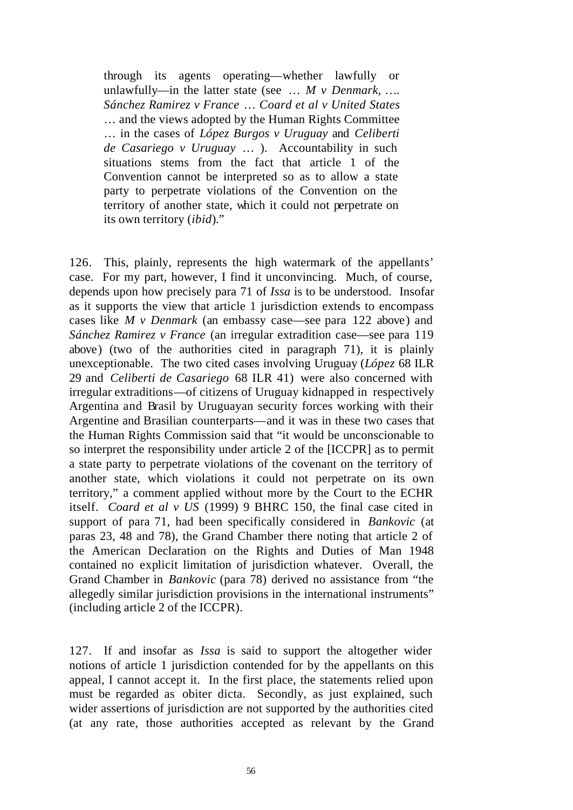through its agents operating—whether lawfully or unlawfully—in the latter state (see … *M v Denmark, …*. *Sánchez Ramirez v France* … *Coard et al v United States* … and the views adopted by the Human Rights Committee … in the cases of *López Burgos v Uruguay* and *Celiberti de Casariego v Uruguay* … ). Accountability in such situations stems from the fact that article 1 of the Convention cannot be interpreted so as to allow a state party to perpetrate violations of the Convention on the territory of another state, which it could not perpetrate on its own territory (*ibid*)."

126. This, plainly, represents the high watermark of the appellants' case. For my part, however, I find it unconvincing. Much, of course, depends upon how precisely para 71 of *Issa* is to be understood. Insofar as it supports the view that article 1 jurisdiction extends to encompass cases like *M v Denmark* (an embassy case—see para 122 above) and *Sánchez Ramirez v France* (an irregular extradition case—see para 119 above) (two of the authorities cited in paragraph 71), it is plainly unexceptionable. The two cited cases involving Uruguay (*López* 68 ILR 29 and *Celiberti de Casariego* 68 ILR 41) were also concerned with irregular extraditions—of citizens of Uruguay kidnapped in respectively Argentina and Brasil by Uruguayan security forces working with their Argentine and Brasilian counterparts—and it was in these two cases that the Human Rights Commission said that "it would be unconscionable to so interpret the responsibility under article 2 of the [ICCPR] as to permit a state party to perpetrate violations of the covenant on the territory of another state, which violations it could not perpetrate on its own territory," a comment applied without more by the Court to the ECHR itself. *Coard et al v US* (1999) 9 BHRC 150, the final case cited in support of para 71, had been specifically considered in *Bankovic* (at paras 23, 48 and 78), the Grand Chamber there noting that article 2 of the American Declaration on the Rights and Duties of Man 1948 contained no explicit limitation of jurisdiction whatever. Overall, the Grand Chamber in *Bankovic* (para 78) derived no assistance from "the allegedly similar jurisdiction provisions in the international instruments" (including article 2 of the ICCPR).

127. If and insofar as *Issa* is said to support the altogether wider notions of article 1 jurisdiction contended for by the appellants on this appeal, I cannot accept it. In the first place, the statements relied upon must be regarded as obiter dicta. Secondly, as just explained, such wider assertions of jurisdiction are not supported by the authorities cited (at any rate, those authorities accepted as relevant by the Grand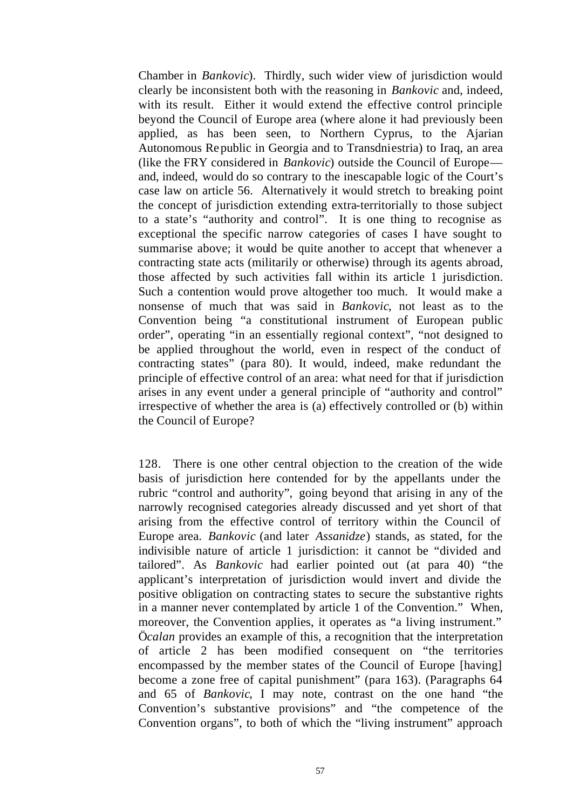Chamber in *Bankovic*). Thirdly, such wider view of jurisdiction would clearly be inconsistent both with the reasoning in *Bankovic* and, indeed, with its result. Either it would extend the effective control principle beyond the Council of Europe area (where alone it had previously been applied, as has been seen, to Northern Cyprus, to the Ajarian Autonomous Republic in Georgia and to Transdniestria) to Iraq, an area (like the FRY considered in *Bankovic*) outside the Council of Europe and, indeed, would do so contrary to the inescapable logic of the Court's case law on article 56. Alternatively it would stretch to breaking point the concept of jurisdiction extending extra-territorially to those subject to a state's "authority and control". It is one thing to recognise as exceptional the specific narrow categories of cases I have sought to summarise above; it would be quite another to accept that whenever a contracting state acts (militarily or otherwise) through its agents abroad, those affected by such activities fall within its article 1 jurisdiction. Such a contention would prove altogether too much. It would make a nonsense of much that was said in *Bankovic*, not least as to the Convention being "a constitutional instrument of European public order", operating "in an essentially regional context", "not designed to be applied throughout the world, even in respect of the conduct of contracting states" (para 80). It would, indeed, make redundant the principle of effective control of an area: what need for that if jurisdiction arises in any event under a general principle of "authority and control" irrespective of whether the area is (a) effectively controlled or (b) within the Council of Europe?

128. There is one other central objection to the creation of the wide basis of jurisdiction here contended for by the appellants under the rubric "control and authority", going beyond that arising in any of the narrowly recognised categories already discussed and yet short of that arising from the effective control of territory within the Council of Europe area. *Bankovic* (and later *Assanidze*) stands, as stated, for the indivisible nature of article 1 jurisdiction: it cannot be "divided and tailored". As *Bankovic* had earlier pointed out (at para 40) "the applicant's interpretation of jurisdiction would invert and divide the positive obligation on contracting states to secure the substantive rights in a manner never contemplated by article 1 of the Convention." When, moreover, the Convention applies, it operates as "a living instrument." Ö*calan* provides an example of this, a recognition that the interpretation of article 2 has been modified consequent on "the territories encompassed by the member states of the Council of Europe [having] become a zone free of capital punishment" (para 163). (Paragraphs 64 and 65 of *Bankovic*, I may note, contrast on the one hand "the Convention's substantive provisions" and "the competence of the Convention organs", to both of which the "living instrument" approach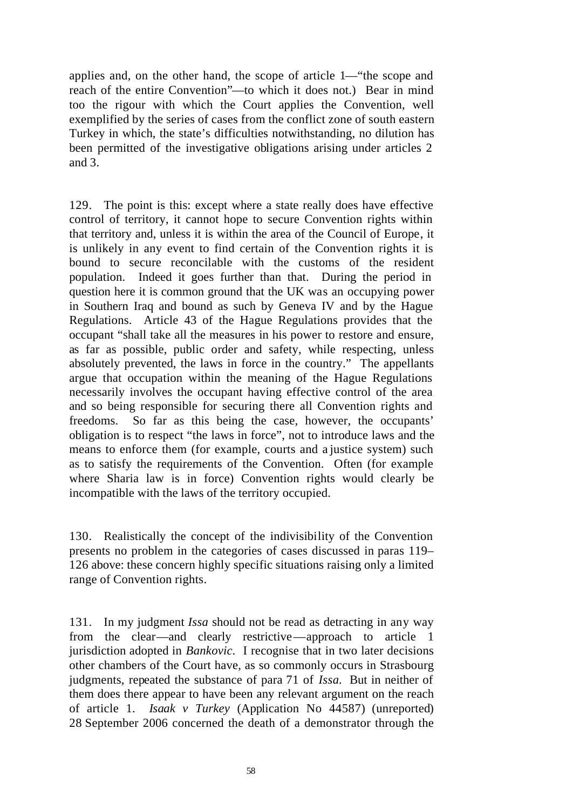applies and, on the other hand, the scope of article 1—"the scope and reach of the entire Convention"—to which it does not.) Bear in mind too the rigour with which the Court applies the Convention, well exemplified by the series of cases from the conflict zone of south eastern Turkey in which, the state's difficulties notwithstanding, no dilution has been permitted of the investigative obligations arising under articles 2 and 3.

129. The point is this: except where a state really does have effective control of territory, it cannot hope to secure Convention rights within that territory and, unless it is within the area of the Council of Europe, it is unlikely in any event to find certain of the Convention rights it is bound to secure reconcilable with the customs of the resident population. Indeed it goes further than that. During the period in question here it is common ground that the UK was an occupying power in Southern Iraq and bound as such by Geneva IV and by the Hague Regulations. Article 43 of the Hague Regulations provides that the occupant "shall take all the measures in his power to restore and ensure, as far as possible, public order and safety, while respecting, unless absolutely prevented, the laws in force in the country." The appellants argue that occupation within the meaning of the Hague Regulations necessarily involves the occupant having effective control of the area and so being responsible for securing there all Convention rights and freedoms. So far as this being the case, however, the occupants' obligation is to respect "the laws in force", not to introduce laws and the means to enforce them (for example, courts and a justice system) such as to satisfy the requirements of the Convention. Often (for example where Sharia law is in force) Convention rights would clearly be incompatible with the laws of the territory occupied.

130. Realistically the concept of the indivisibility of the Convention presents no problem in the categories of cases discussed in paras 119– 126 above: these concern highly specific situations raising only a limited range of Convention rights.

131. In my judgment *Issa* should not be read as detracting in any way from the clear—and clearly restrictive—approach to article 1 jurisdiction adopted in *Bankovic.* I recognise that in two later decisions other chambers of the Court have, as so commonly occurs in Strasbourg judgments, repeated the substance of para 71 of *Issa.* But in neither of them does there appear to have been any relevant argument on the reach of article 1. *Isaak v Turkey* (Application No 44587) (unreported) 28 September 2006 concerned the death of a demonstrator through the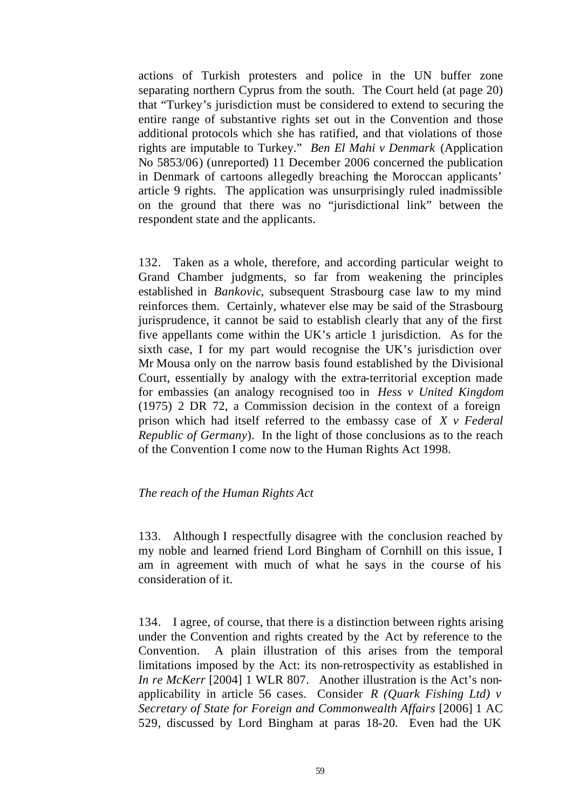actions of Turkish protesters and police in the UN buffer zone separating northern Cyprus from the south. The Court held (at page 20) that "Turkey's jurisdiction must be considered to extend to securing the entire range of substantive rights set out in the Convention and those additional protocols which she has ratified, and that violations of those rights are imputable to Turkey." *Ben El Mahi v Denmark* (Application No 5853/06) (unreported) 11 December 2006 concerned the publication in Denmark of cartoons allegedly breaching the Moroccan applicants' article 9 rights. The application was unsurprisingly ruled inadmissible on the ground that there was no "jurisdictional link" between the respondent state and the applicants.

132. Taken as a whole, therefore, and according particular weight to Grand Chamber judgments, so far from weakening the principles established in *Bankovic*, subsequent Strasbourg case law to my mind reinforces them. Certainly, whatever else may be said of the Strasbourg jurisprudence, it cannot be said to establish clearly that any of the first five appellants come within the UK's article 1 jurisdiction. As for the sixth case, I for my part would recognise the UK's jurisdiction over Mr Mousa only on the narrow basis found established by the Divisional Court, essentially by analogy with the extra-territorial exception made for embassies (an analogy recognised too in *Hess v United Kingdom* (1975) 2 DR 72, a Commission decision in the context of a foreign prison which had itself referred to the embassy case of *X v Federal Republic of Germany*). In the light of those conclusions as to the reach of the Convention I come now to the Human Rights Act 1998.

#### *The reach of the Human Rights Act*

133. Although I respectfully disagree with the conclusion reached by my noble and learned friend Lord Bingham of Cornhill on this issue, I am in agreement with much of what he says in the course of his consideration of it.

134. I agree, of course, that there is a distinction between rights arising under the Convention and rights created by the Act by reference to the Convention. A plain illustration of this arises from the temporal limitations imposed by the Act: its non-retrospectivity as established in *In re McKerr* [2004] 1 WLR 807. Another illustration is the Act's nonapplicability in article 56 cases. Consider *R (Quark Fishing Ltd) v Secretary of State for Foreign and Commonwealth Affairs* [2006] 1 AC 529, discussed by Lord Bingham at paras 18-20. Even had the UK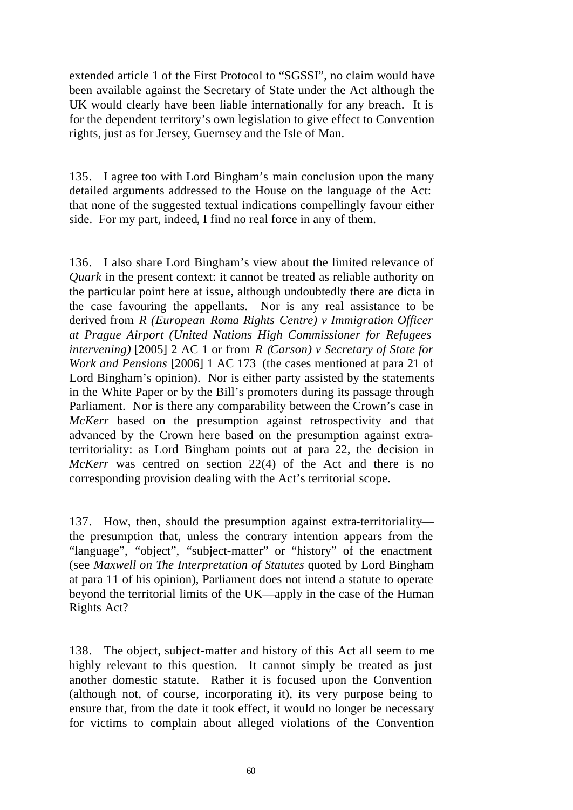extended article 1 of the First Protocol to "SGSSI", no claim would have been available against the Secretary of State under the Act although the UK would clearly have been liable internationally for any breach. It is for the dependent territory's own legislation to give effect to Convention rights, just as for Jersey, Guernsey and the Isle of Man.

135. I agree too with Lord Bingham's main conclusion upon the many detailed arguments addressed to the House on the language of the Act: that none of the suggested textual indications compellingly favour either side. For my part, indeed, I find no real force in any of them.

136. I also share Lord Bingham's view about the limited relevance of *Quark* in the present context: it cannot be treated as reliable authority on the particular point here at issue, although undoubtedly there are dicta in the case favouring the appellants. Nor is any real assistance to be derived from *R (European Roma Rights Centre) v Immigration Officer at Prague Airport (United Nations High Commissioner for Refugees intervening)* [2005] 2 AC 1 or from *R (Carson) v Secretary of State for Work and Pensions* [2006] 1 AC 173 (the cases mentioned at para 21 of Lord Bingham's opinion). Nor is either party assisted by the statements in the White Paper or by the Bill's promoters during its passage through Parliament. Nor is there any comparability between the Crown's case in *McKerr* based on the presumption against retrospectivity and that advanced by the Crown here based on the presumption against extraterritoriality: as Lord Bingham points out at para 22, the decision in *McKerr* was centred on section 22(4) of the Act and there is no corresponding provision dealing with the Act's territorial scope.

137. How, then, should the presumption against extra-territoriality the presumption that, unless the contrary intention appears from the "language", "object", "subject-matter" or "history" of the enactment (see *Maxwell on The Interpretation of Statutes* quoted by Lord Bingham at para 11 of his opinion), Parliament does not intend a statute to operate beyond the territorial limits of the UK—apply in the case of the Human Rights Act?

138. The object, subject-matter and history of this Act all seem to me highly relevant to this question. It cannot simply be treated as just another domestic statute. Rather it is focused upon the Convention (although not, of course, incorporating it), its very purpose being to ensure that, from the date it took effect, it would no longer be necessary for victims to complain about alleged violations of the Convention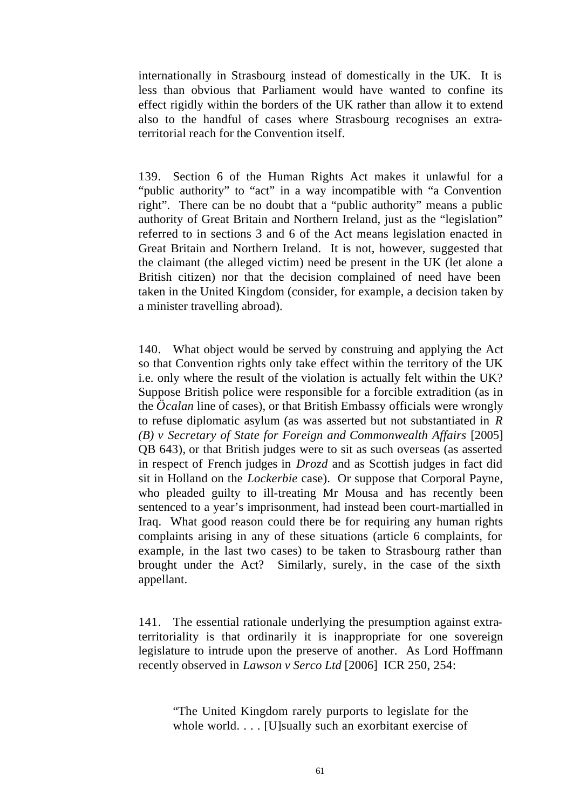internationally in Strasbourg instead of domestically in the UK. It is less than obvious that Parliament would have wanted to confine its effect rigidly within the borders of the UK rather than allow it to extend also to the handful of cases where Strasbourg recognises an extraterritorial reach for the Convention itself.

139. Section 6 of the Human Rights Act makes it unlawful for a "public authority" to "act" in a way incompatible with "a Convention right". There can be no doubt that a "public authority" means a public authority of Great Britain and Northern Ireland, just as the "legislation" referred to in sections 3 and 6 of the Act means legislation enacted in Great Britain and Northern Ireland. It is not, however, suggested that the claimant (the alleged victim) need be present in the UK (let alone a British citizen) nor that the decision complained of need have been taken in the United Kingdom (consider, for example, a decision taken by a minister travelling abroad).

140. What object would be served by construing and applying the Act so that Convention rights only take effect within the territory of the UK i.e. only where the result of the violation is actually felt within the UK? Suppose British police were responsible for a forcible extradition (as in the *Öcalan* line of cases), or that British Embassy officials were wrongly to refuse diplomatic asylum (as was asserted but not substantiated in *R (B) v Secretary of State for Foreign and Commonwealth Affairs* [2005] QB 643), or that British judges were to sit as such overseas (as asserted in respect of French judges in *Drozd* and as Scottish judges in fact did sit in Holland on the *Lockerbie* case). Or suppose that Corporal Payne, who pleaded guilty to ill-treating Mr Mousa and has recently been sentenced to a year's imprisonment, had instead been court-martialled in Iraq. What good reason could there be for requiring any human rights complaints arising in any of these situations (article 6 complaints, for example, in the last two cases) to be taken to Strasbourg rather than brought under the Act? Similarly, surely, in the case of the sixth appellant.

141. The essential rationale underlying the presumption against extraterritoriality is that ordinarily it is inappropriate for one sovereign legislature to intrude upon the preserve of another. As Lord Hoffmann recently observed in *Lawson v Serco Ltd* [2006] ICR 250, 254:

"The United Kingdom rarely purports to legislate for the whole world. . . . [U]sually such an exorbitant exercise of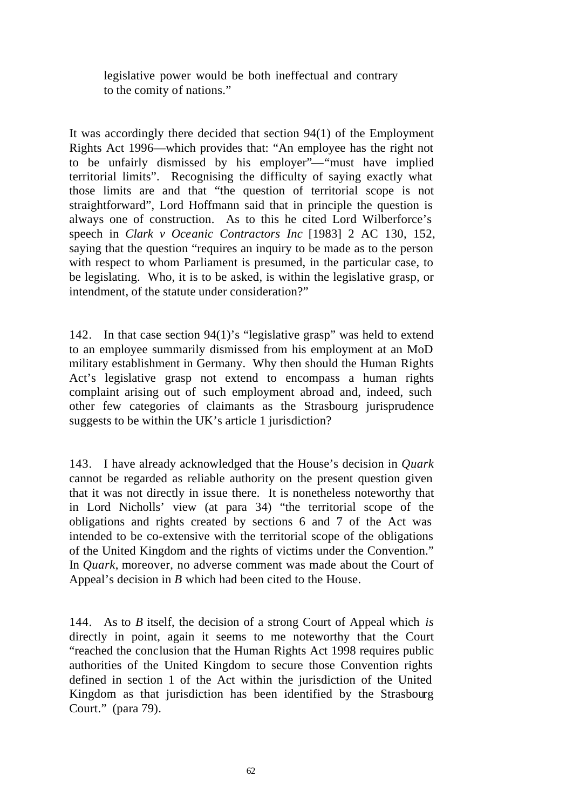legislative power would be both ineffectual and contrary to the comity of nations."

It was accordingly there decided that section 94(1) of the Employment Rights Act 1996—which provides that: "An employee has the right not to be unfairly dismissed by his employer"—"must have implied territorial limits". Recognising the difficulty of saying exactly what those limits are and that "the question of territorial scope is not straightforward", Lord Hoffmann said that in principle the question is always one of construction. As to this he cited Lord Wilberforce's speech in *Clark v Oceanic Contractors Inc* [1983] 2 AC 130, 152, saying that the question "requires an inquiry to be made as to the person with respect to whom Parliament is presumed, in the particular case, to be legislating. Who, it is to be asked, is within the legislative grasp, or intendment, of the statute under consideration?"

142. In that case section 94(1)'s "legislative grasp" was held to extend to an employee summarily dismissed from his employment at an MoD military establishment in Germany. Why then should the Human Rights Act's legislative grasp not extend to encompass a human rights complaint arising out of such employment abroad and, indeed, such other few categories of claimants as the Strasbourg jurisprudence suggests to be within the UK's article 1 jurisdiction?

143. I have already acknowledged that the House's decision in *Quark* cannot be regarded as reliable authority on the present question given that it was not directly in issue there. It is nonetheless noteworthy that in Lord Nicholls' view (at para 34) "the territorial scope of the obligations and rights created by sections 6 and 7 of the Act was intended to be co-extensive with the territorial scope of the obligations of the United Kingdom and the rights of victims under the Convention." In *Quark*, moreover, no adverse comment was made about the Court of Appeal's decision in *B* which had been cited to the House.

144. As to *B* itself, the decision of a strong Court of Appeal which *is* directly in point, again it seems to me noteworthy that the Court "reached the conclusion that the Human Rights Act 1998 requires public authorities of the United Kingdom to secure those Convention rights defined in section 1 of the Act within the jurisdiction of the United Kingdom as that jurisdiction has been identified by the Strasbourg Court." (para 79).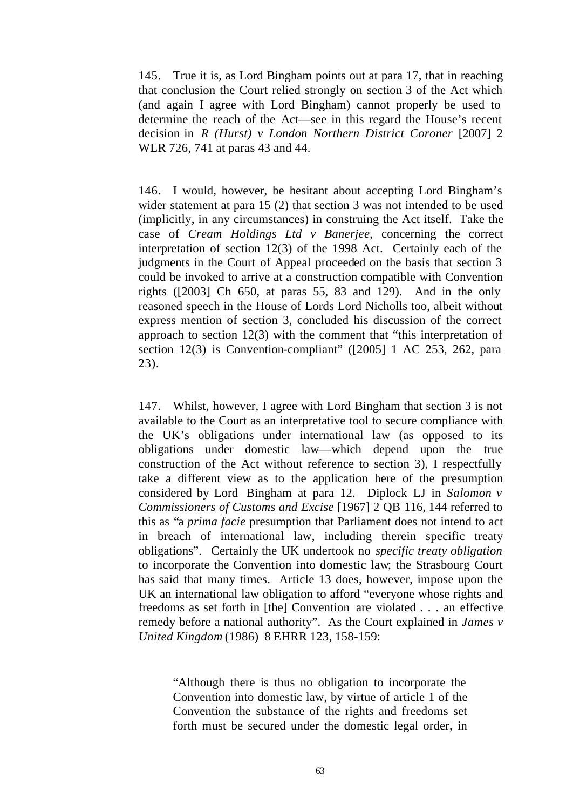145. True it is, as Lord Bingham points out at para 17, that in reaching that conclusion the Court relied strongly on section 3 of the Act which (and again I agree with Lord Bingham) cannot properly be used to determine the reach of the Act—see in this regard the House's recent decision in *R (Hurst) v London Northern District Coroner* [2007] 2 WLR 726, 741 at paras 43 and 44.

146. I would, however, be hesitant about accepting Lord Bingham's wider statement at para 15 (2) that section 3 was not intended to be used (implicitly, in any circumstances) in construing the Act itself. Take the case of *Cream Holdings Ltd v Banerjee*, concerning the correct interpretation of section 12(3) of the 1998 Act. Certainly each of the judgments in the Court of Appeal proceeded on the basis that section 3 could be invoked to arrive at a construction compatible with Convention rights ([2003] Ch 650, at paras 55, 83 and 129). And in the only reasoned speech in the House of Lords Lord Nicholls too, albeit without express mention of section 3, concluded his discussion of the correct approach to section 12(3) with the comment that "this interpretation of section 12(3) is Convention-compliant" ([2005] 1 AC 253, 262, para 23).

147. Whilst, however, I agree with Lord Bingham that section 3 is not available to the Court as an interpretative tool to secure compliance with the UK's obligations under international law (as opposed to its obligations under domestic law—which depend upon the true construction of the Act without reference to section 3), I respectfully take a different view as to the application here of the presumption considered by Lord Bingham at para 12. Diplock LJ in *Salomon v Commissioners of Customs and Excise* [1967] 2 QB 116, 144 referred to this as "a *prima facie* presumption that Parliament does not intend to act in breach of international law, including therein specific treaty obligations". Certainly the UK undertook no *specific treaty obligation*  to incorporate the Convention into domestic law; the Strasbourg Court has said that many times. Article 13 does, however, impose upon the UK an international law obligation to afford "everyone whose rights and freedoms as set forth in [the] Convention are violated . . . an effective remedy before a national authority". As the Court explained in *James v United Kingdom* (1986) 8 EHRR 123, 158-159:

"Although there is thus no obligation to incorporate the Convention into domestic law, by virtue of article 1 of the Convention the substance of the rights and freedoms set forth must be secured under the domestic legal order, in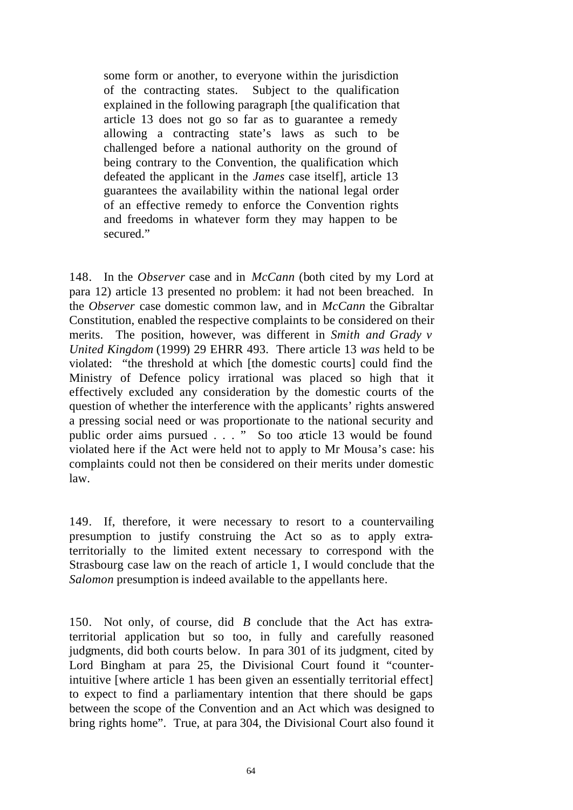some form or another, to everyone within the jurisdiction of the contracting states. Subject to the qualification explained in the following paragraph [the qualification that article 13 does not go so far as to guarantee a remedy allowing a contracting state's laws as such to be challenged before a national authority on the ground of being contrary to the Convention, the qualification which defeated the applicant in the *James* case itself], article 13 guarantees the availability within the national legal order of an effective remedy to enforce the Convention rights and freedoms in whatever form they may happen to be secured."

148. In the *Observer* case and in *McCann* (both cited by my Lord at para 12) article 13 presented no problem: it had not been breached. In the *Observer* case domestic common law, and in *McCann* the Gibraltar Constitution, enabled the respective complaints to be considered on their merits. The position, however, was different in *Smith and Grady v United Kingdom* (1999) 29 EHRR 493. There article 13 *was* held to be violated: "the threshold at which [the domestic courts] could find the Ministry of Defence policy irrational was placed so high that it effectively excluded any consideration by the domestic courts of the question of whether the interference with the applicants' rights answered a pressing social need or was proportionate to the national security and public order aims pursued . . . " So too article 13 would be found violated here if the Act were held not to apply to Mr Mousa's case: his complaints could not then be considered on their merits under domestic law.

149. If, therefore, it were necessary to resort to a countervailing presumption to justify construing the Act so as to apply extraterritorially to the limited extent necessary to correspond with the Strasbourg case law on the reach of article 1, I would conclude that the *Salomon* presumption is indeed available to the appellants here.

150. Not only, of course, did *B* conclude that the Act has extraterritorial application but so too, in fully and carefully reasoned judgments, did both courts below. In para 301 of its judgment, cited by Lord Bingham at para 25, the Divisional Court found it "counterintuitive [where article 1 has been given an essentially territorial effect] to expect to find a parliamentary intention that there should be gaps between the scope of the Convention and an Act which was designed to bring rights home". True, at para 304, the Divisional Court also found it